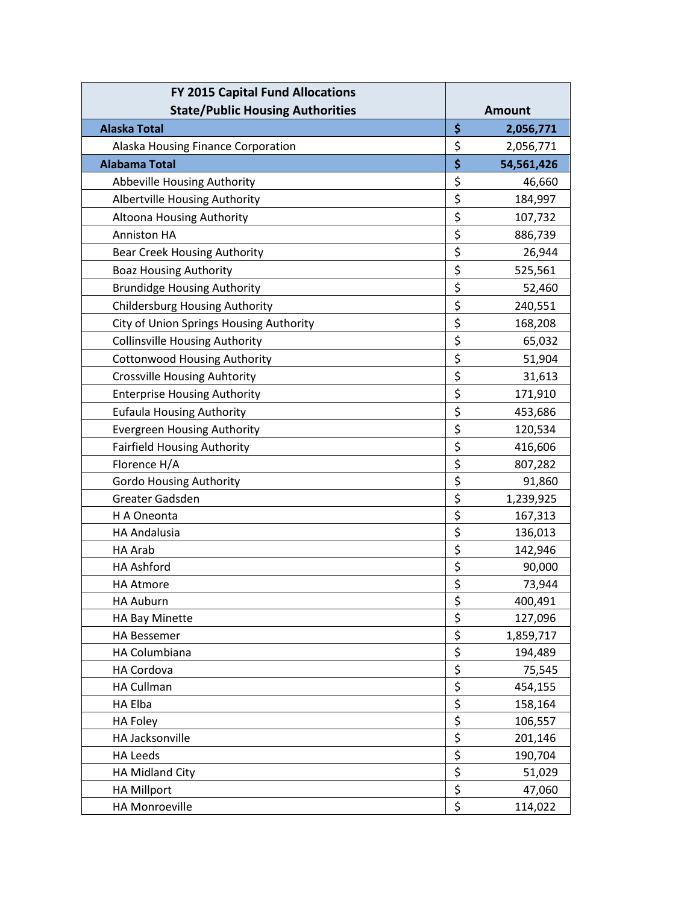| FY 2015 Capital Fund Allocations        |                  |
|-----------------------------------------|------------------|
| <b>State/Public Housing Authorities</b> | <b>Amount</b>    |
| <b>Alaska Total</b>                     | \$<br>2,056,771  |
| Alaska Housing Finance Corporation      | \$<br>2,056,771  |
| <b>Alabama Total</b>                    | \$<br>54,561,426 |
| Abbeville Housing Authority             | \$<br>46,660     |
| Albertville Housing Authority           | \$<br>184,997    |
| Altoona Housing Authority               | \$<br>107,732    |
| <b>Anniston HA</b>                      | \$<br>886,739    |
| <b>Bear Creek Housing Authority</b>     | \$<br>26,944     |
| <b>Boaz Housing Authority</b>           | \$<br>525,561    |
| <b>Brundidge Housing Authority</b>      | \$<br>52,460     |
| <b>Childersburg Housing Authority</b>   | \$<br>240,551    |
| City of Union Springs Housing Authority | \$<br>168,208    |
| <b>Collinsville Housing Authority</b>   | \$<br>65,032     |
| <b>Cottonwood Housing Authority</b>     | \$<br>51,904     |
| <b>Crossville Housing Auhtority</b>     | \$<br>31,613     |
| <b>Enterprise Housing Authority</b>     | \$<br>171,910    |
| <b>Eufaula Housing Authority</b>        | \$<br>453,686    |
| <b>Evergreen Housing Authority</b>      | \$<br>120,534    |
| <b>Fairfield Housing Authority</b>      | \$<br>416,606    |
| Florence H/A                            | \$<br>807,282    |
| <b>Gordo Housing Authority</b>          | \$<br>91,860     |
| Greater Gadsden                         | \$<br>1,239,925  |
| H A Oneonta                             | \$<br>167,313    |
| <b>HA Andalusia</b>                     | \$<br>136,013    |
| HA Arab                                 | \$<br>142,946    |
| <b>HA Ashford</b>                       | \$<br>90,000     |
| <b>HA Atmore</b>                        | \$<br>73,944     |
| <b>HA Auburn</b>                        | \$<br>400,491    |
| HA Bay Minette                          | \$<br>127,096    |
| <b>HA Bessemer</b>                      | \$<br>1,859,717  |
| HA Columbiana                           | \$<br>194,489    |
| HA Cordova                              | \$<br>75,545     |
| <b>HA Cullman</b>                       | \$<br>454,155    |
| HA Elba                                 | \$<br>158,164    |
| <b>HA Foley</b>                         | \$<br>106,557    |
| HA Jacksonville                         | \$<br>201,146    |
| <b>HA Leeds</b>                         | \$<br>190,704    |
| HA Midland City                         | \$<br>51,029     |
| <b>HA Millport</b>                      | \$<br>47,060     |
| HA Monroeville                          | \$<br>114,022    |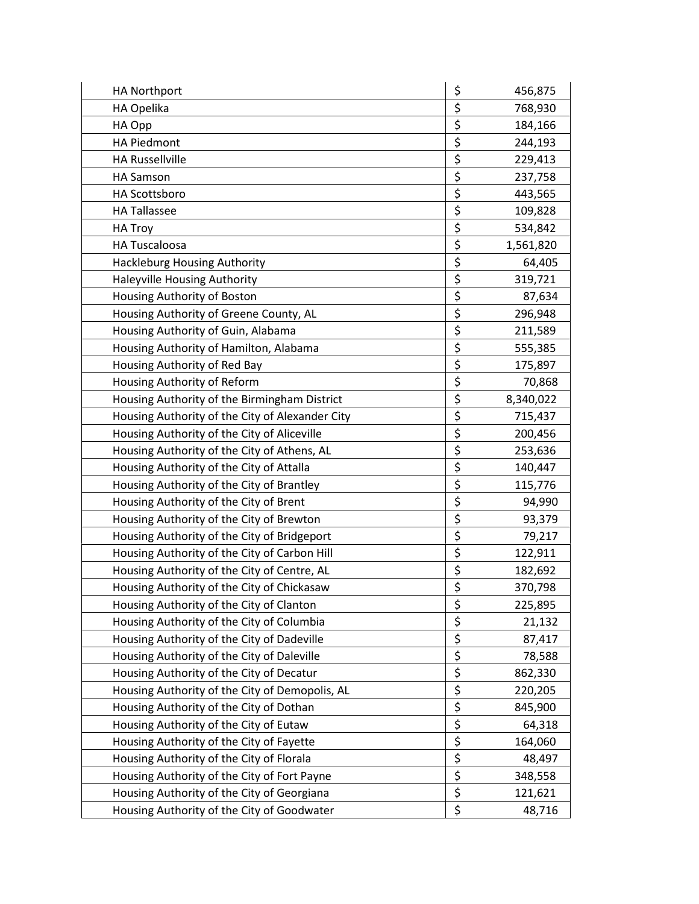| <b>HA Northport</b>                             | \$<br>456,875   |
|-------------------------------------------------|-----------------|
| HA Opelika                                      | \$<br>768,930   |
| HA Opp                                          | \$<br>184,166   |
| <b>HA Piedmont</b>                              | \$<br>244,193   |
| <b>HA Russellville</b>                          | \$<br>229,413   |
| <b>HA Samson</b>                                | \$<br>237,758   |
| HA Scottsboro                                   | \$<br>443,565   |
| <b>HA Tallassee</b>                             | \$<br>109,828   |
| <b>HA Troy</b>                                  | \$<br>534,842   |
| <b>HA Tuscaloosa</b>                            | \$<br>1,561,820 |
| Hackleburg Housing Authority                    | \$<br>64,405    |
| Haleyville Housing Authority                    | \$<br>319,721   |
| Housing Authority of Boston                     | \$<br>87,634    |
| Housing Authority of Greene County, AL          | \$<br>296,948   |
| Housing Authority of Guin, Alabama              | \$<br>211,589   |
| Housing Authority of Hamilton, Alabama          | \$<br>555,385   |
| Housing Authority of Red Bay                    | \$<br>175,897   |
| Housing Authority of Reform                     | \$<br>70,868    |
| Housing Authority of the Birmingham District    | \$<br>8,340,022 |
| Housing Authority of the City of Alexander City | \$<br>715,437   |
| Housing Authority of the City of Aliceville     | \$<br>200,456   |
| Housing Authority of the City of Athens, AL     | \$<br>253,636   |
| Housing Authority of the City of Attalla        | \$<br>140,447   |
| Housing Authority of the City of Brantley       | \$<br>115,776   |
| Housing Authority of the City of Brent          | \$<br>94,990    |
| Housing Authority of the City of Brewton        | \$<br>93,379    |
| Housing Authority of the City of Bridgeport     | \$<br>79,217    |
| Housing Authority of the City of Carbon Hill    | \$<br>122,911   |
| Housing Authority of the City of Centre, AL     | \$<br>182,692   |
| Housing Authority of the City of Chickasaw      | \$<br>370,798   |
| Housing Authority of the City of Clanton        | \$<br>225,895   |
| Housing Authority of the City of Columbia       | \$<br>21,132    |
| Housing Authority of the City of Dadeville      | \$<br>87,417    |
| Housing Authority of the City of Daleville      | \$<br>78,588    |
| Housing Authority of the City of Decatur        | \$<br>862,330   |
| Housing Authority of the City of Demopolis, AL  | \$<br>220,205   |
| Housing Authority of the City of Dothan         | \$<br>845,900   |
| Housing Authority of the City of Eutaw          | \$<br>64,318    |
| Housing Authority of the City of Fayette        | \$<br>164,060   |
| Housing Authority of the City of Florala        | \$<br>48,497    |
| Housing Authority of the City of Fort Payne     | \$<br>348,558   |
| Housing Authority of the City of Georgiana      | \$<br>121,621   |
| Housing Authority of the City of Goodwater      | \$<br>48,716    |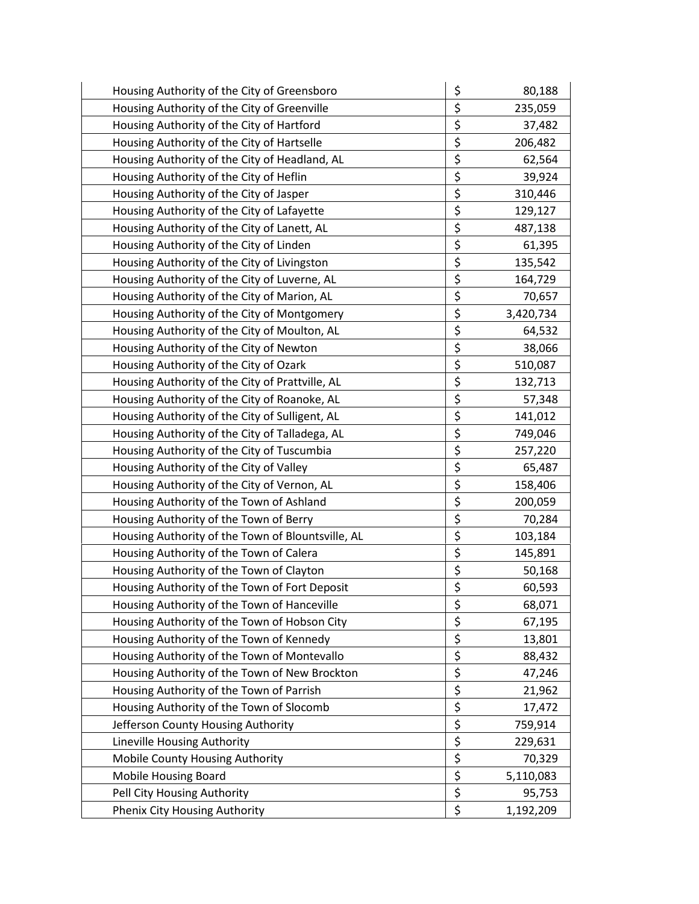| Housing Authority of the City of Greensboro       | \$<br>80,188    |
|---------------------------------------------------|-----------------|
| Housing Authority of the City of Greenville       | \$<br>235,059   |
| Housing Authority of the City of Hartford         | \$<br>37,482    |
| Housing Authority of the City of Hartselle        | \$<br>206,482   |
| Housing Authority of the City of Headland, AL     | \$<br>62,564    |
| Housing Authority of the City of Heflin           | \$<br>39,924    |
| Housing Authority of the City of Jasper           | \$<br>310,446   |
| Housing Authority of the City of Lafayette        | \$<br>129,127   |
| Housing Authority of the City of Lanett, AL       | \$<br>487,138   |
| Housing Authority of the City of Linden           | \$<br>61,395    |
| Housing Authority of the City of Livingston       | \$<br>135,542   |
| Housing Authority of the City of Luverne, AL      | \$<br>164,729   |
| Housing Authority of the City of Marion, AL       | \$<br>70,657    |
| Housing Authority of the City of Montgomery       | \$<br>3,420,734 |
| Housing Authority of the City of Moulton, AL      | \$<br>64,532    |
| Housing Authority of the City of Newton           | \$<br>38,066    |
| Housing Authority of the City of Ozark            | \$<br>510,087   |
| Housing Authority of the City of Prattville, AL   | \$<br>132,713   |
| Housing Authority of the City of Roanoke, AL      | \$<br>57,348    |
| Housing Authority of the City of Sulligent, AL    | \$<br>141,012   |
| Housing Authority of the City of Talladega, AL    | \$<br>749,046   |
| Housing Authority of the City of Tuscumbia        | \$<br>257,220   |
| Housing Authority of the City of Valley           | \$<br>65,487    |
| Housing Authority of the City of Vernon, AL       | \$<br>158,406   |
| Housing Authority of the Town of Ashland          | \$<br>200,059   |
| Housing Authority of the Town of Berry            | \$<br>70,284    |
| Housing Authority of the Town of Blountsville, AL | \$<br>103,184   |
| Housing Authority of the Town of Calera           | \$<br>145,891   |
| Housing Authority of the Town of Clayton          | \$<br>50,168    |
| Housing Authority of the Town of Fort Deposit     | \$<br>60,593    |
| Housing Authority of the Town of Hanceville       | \$<br>68,071    |
| Housing Authority of the Town of Hobson City      | \$<br>67,195    |
| Housing Authority of the Town of Kennedy          | \$<br>13,801    |
| Housing Authority of the Town of Montevallo       | \$<br>88,432    |
| Housing Authority of the Town of New Brockton     | \$<br>47,246    |
| Housing Authority of the Town of Parrish          | \$<br>21,962    |
| Housing Authority of the Town of Slocomb          | \$<br>17,472    |
| Jefferson County Housing Authority                | \$<br>759,914   |
| Lineville Housing Authority                       | \$<br>229,631   |
| Mobile County Housing Authority                   | \$<br>70,329    |
| Mobile Housing Board                              | \$<br>5,110,083 |
| Pell City Housing Authority                       | \$<br>95,753    |
| Phenix City Housing Authority                     | \$<br>1,192,209 |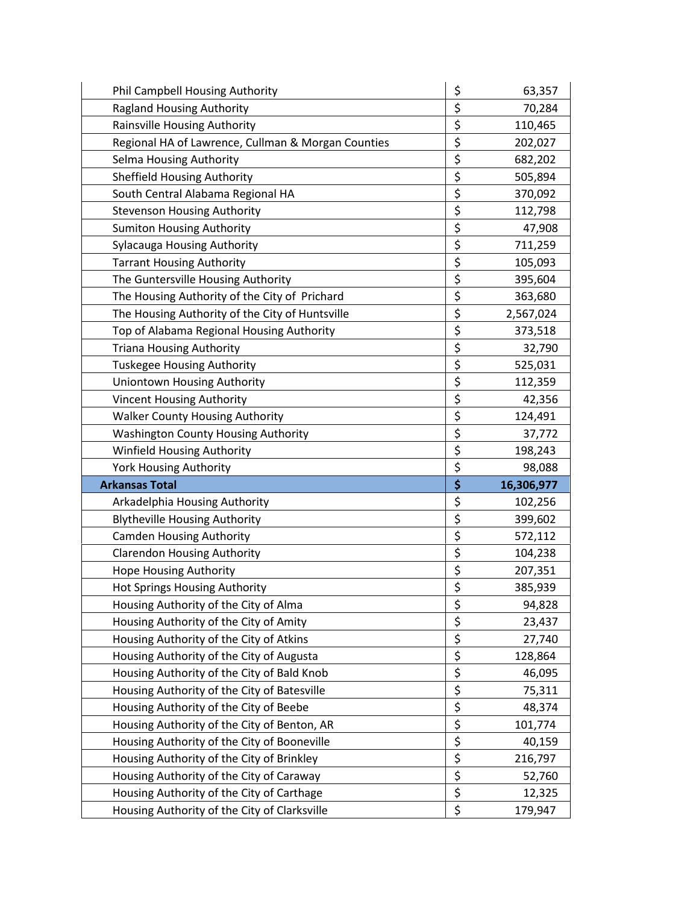| Phil Campbell Housing Authority                    | \$       | 63,357     |
|----------------------------------------------------|----------|------------|
| <b>Ragland Housing Authority</b>                   | \$       | 70,284     |
| Rainsville Housing Authority                       | \$       | 110,465    |
| Regional HA of Lawrence, Cullman & Morgan Counties | \$       | 202,027    |
| Selma Housing Authority                            | \$       | 682,202    |
| <b>Sheffield Housing Authority</b>                 | \$       | 505,894    |
| South Central Alabama Regional HA                  | \$       | 370,092    |
| <b>Stevenson Housing Authority</b>                 | \$       | 112,798    |
| <b>Sumiton Housing Authority</b>                   | \$       | 47,908     |
| Sylacauga Housing Authority                        | \$       | 711,259    |
| <b>Tarrant Housing Authority</b>                   | \$       | 105,093    |
| The Guntersville Housing Authority                 | \$       | 395,604    |
| The Housing Authority of the City of Prichard      | \$       | 363,680    |
| The Housing Authority of the City of Huntsville    | \$       | 2,567,024  |
| Top of Alabama Regional Housing Authority          | \$       | 373,518    |
| <b>Triana Housing Authority</b>                    | \$       | 32,790     |
| <b>Tuskegee Housing Authority</b>                  | \$       | 525,031    |
| Uniontown Housing Authority                        | \$       | 112,359    |
| <b>Vincent Housing Authority</b>                   | \$       | 42,356     |
| <b>Walker County Housing Authority</b>             | \$       | 124,491    |
| <b>Washington County Housing Authority</b>         | \$       | 37,772     |
|                                                    | \$       |            |
| Winfield Housing Authority                         |          | 198,243    |
| <b>York Housing Authority</b>                      | \$       | 98,088     |
| <b>Arkansas Total</b>                              | \$       | 16,306,977 |
| Arkadelphia Housing Authority                      | \$       | 102,256    |
| <b>Blytheville Housing Authority</b>               | \$       | 399,602    |
| <b>Camden Housing Authority</b>                    | \$       | 572,112    |
| <b>Clarendon Housing Authority</b>                 | \$       | 104,238    |
| <b>Hope Housing Authority</b>                      | \$       | 207,351    |
| Hot Springs Housing Authority                      | \$       | 385,939    |
| Housing Authority of the City of Alma              | \$       | 94,828     |
| Housing Authority of the City of Amity             | \$       | 23,437     |
| Housing Authority of the City of Atkins            | \$       | 27,740     |
| Housing Authority of the City of Augusta           | \$       | 128,864    |
| Housing Authority of the City of Bald Knob         | \$       | 46,095     |
| Housing Authority of the City of Batesville        | \$       | 75,311     |
| Housing Authority of the City of Beebe             | \$       | 48,374     |
| Housing Authority of the City of Benton, AR        | \$       | 101,774    |
| Housing Authority of the City of Booneville        | \$       | 40,159     |
| Housing Authority of the City of Brinkley          | \$       | 216,797    |
| Housing Authority of the City of Caraway           | \$       | 52,760     |
| Housing Authority of the City of Carthage          | \$<br>\$ | 12,325     |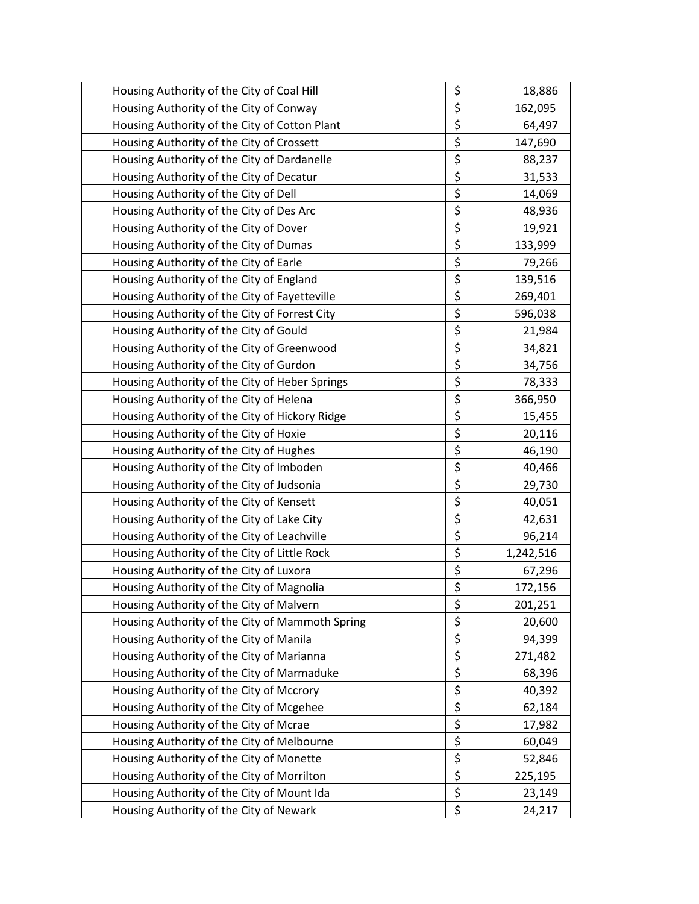| Housing Authority of the City of Coal Hill      | \$                      | 18,886    |
|-------------------------------------------------|-------------------------|-----------|
| Housing Authority of the City of Conway         | \$                      | 162,095   |
| Housing Authority of the City of Cotton Plant   | \$                      | 64,497    |
| Housing Authority of the City of Crossett       | \$                      | 147,690   |
| Housing Authority of the City of Dardanelle     | \$                      | 88,237    |
| Housing Authority of the City of Decatur        | \$                      | 31,533    |
| Housing Authority of the City of Dell           | \$                      | 14,069    |
| Housing Authority of the City of Des Arc        | \$                      | 48,936    |
| Housing Authority of the City of Dover          | \$                      | 19,921    |
| Housing Authority of the City of Dumas          | \$                      | 133,999   |
| Housing Authority of the City of Earle          | \$                      | 79,266    |
| Housing Authority of the City of England        | \$                      | 139,516   |
| Housing Authority of the City of Fayetteville   | \$                      | 269,401   |
| Housing Authority of the City of Forrest City   | \$                      | 596,038   |
| Housing Authority of the City of Gould          | \$                      | 21,984    |
| Housing Authority of the City of Greenwood      | \$                      | 34,821    |
| Housing Authority of the City of Gurdon         | \$                      | 34,756    |
| Housing Authority of the City of Heber Springs  | \$                      | 78,333    |
| Housing Authority of the City of Helena         | \$                      | 366,950   |
| Housing Authority of the City of Hickory Ridge  | \$                      | 15,455    |
| Housing Authority of the City of Hoxie          | \$                      | 20,116    |
| Housing Authority of the City of Hughes         | \$                      | 46,190    |
| Housing Authority of the City of Imboden        | \$                      | 40,466    |
| Housing Authority of the City of Judsonia       | \$                      | 29,730    |
| Housing Authority of the City of Kensett        | \$                      | 40,051    |
| Housing Authority of the City of Lake City      | \$                      | 42,631    |
| Housing Authority of the City of Leachville     | \$                      | 96,214    |
| Housing Authority of the City of Little Rock    | \$                      | 1,242,516 |
| Housing Authority of the City of Luxora         | \$                      | 67,296    |
| Housing Authority of the City of Magnolia       | $\overline{\mathsf{S}}$ | 172,156   |
| Housing Authority of the City of Malvern        | \$                      | 201,251   |
| Housing Authority of the City of Mammoth Spring | \$                      | 20,600    |
| Housing Authority of the City of Manila         | \$                      | 94,399    |
| Housing Authority of the City of Marianna       | \$                      | 271,482   |
| Housing Authority of the City of Marmaduke      | \$                      | 68,396    |
| Housing Authority of the City of Mccrory        | \$                      | 40,392    |
| Housing Authority of the City of Mcgehee        | $\overline{\xi}$        | 62,184    |
| Housing Authority of the City of Mcrae          | \$                      | 17,982    |
| Housing Authority of the City of Melbourne      | \$                      | 60,049    |
| Housing Authority of the City of Monette        | \$                      | 52,846    |
| Housing Authority of the City of Morrilton      | $\overline{\xi}$        | 225,195   |
| Housing Authority of the City of Mount Ida      | \$                      | 23,149    |
| Housing Authority of the City of Newark         | \$                      | 24,217    |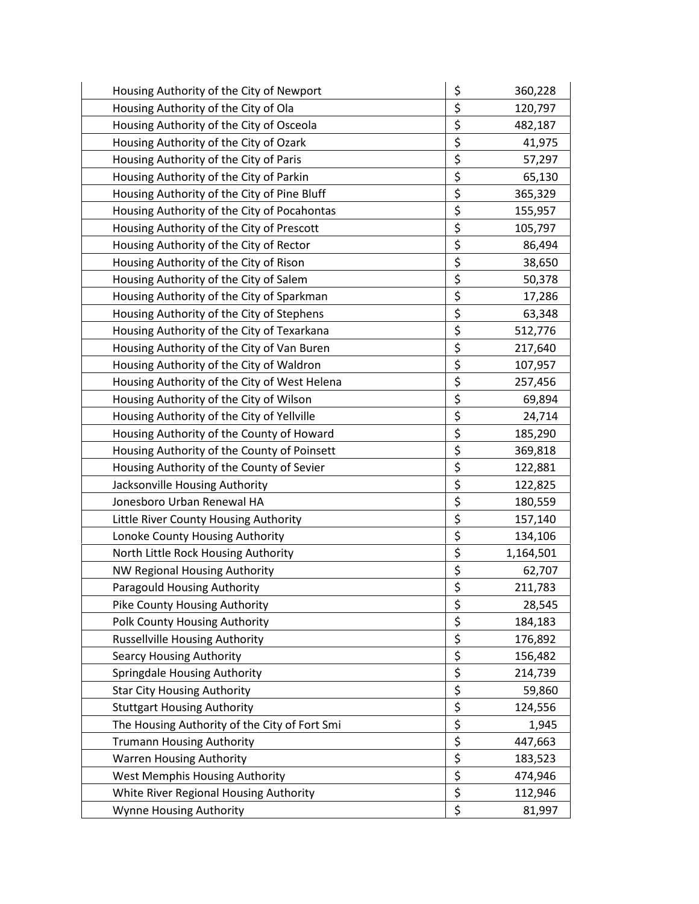| Housing Authority of the City of Newport      | \$<br>360,228   |
|-----------------------------------------------|-----------------|
| Housing Authority of the City of Ola          | \$<br>120,797   |
| Housing Authority of the City of Osceola      | \$<br>482,187   |
| Housing Authority of the City of Ozark        | \$<br>41,975    |
| Housing Authority of the City of Paris        | \$<br>57,297    |
| Housing Authority of the City of Parkin       | \$<br>65,130    |
| Housing Authority of the City of Pine Bluff   | \$<br>365,329   |
| Housing Authority of the City of Pocahontas   | \$<br>155,957   |
| Housing Authority of the City of Prescott     | \$<br>105,797   |
| Housing Authority of the City of Rector       | \$<br>86,494    |
| Housing Authority of the City of Rison        | \$<br>38,650    |
| Housing Authority of the City of Salem        | \$<br>50,378    |
| Housing Authority of the City of Sparkman     | \$<br>17,286    |
| Housing Authority of the City of Stephens     | \$<br>63,348    |
| Housing Authority of the City of Texarkana    | \$<br>512,776   |
| Housing Authority of the City of Van Buren    | \$<br>217,640   |
| Housing Authority of the City of Waldron      | \$<br>107,957   |
| Housing Authority of the City of West Helena  | \$<br>257,456   |
| Housing Authority of the City of Wilson       | \$<br>69,894    |
| Housing Authority of the City of Yellville    | \$<br>24,714    |
| Housing Authority of the County of Howard     | \$<br>185,290   |
| Housing Authority of the County of Poinsett   | \$<br>369,818   |
| Housing Authority of the County of Sevier     | \$<br>122,881   |
| Jacksonville Housing Authority                | \$<br>122,825   |
| Jonesboro Urban Renewal HA                    | \$<br>180,559   |
| Little River County Housing Authority         | \$<br>157,140   |
| Lonoke County Housing Authority               | \$<br>134,106   |
| North Little Rock Housing Authority           | \$<br>1,164,501 |
| NW Regional Housing Authority                 | \$<br>62,707    |
| Paragould Housing Authority                   | \$<br>211,783   |
| Pike County Housing Authority                 | \$<br>28,545    |
| Polk County Housing Authority                 | \$<br>184,183   |
| <b>Russellville Housing Authority</b>         | \$<br>176,892   |
| <b>Searcy Housing Authority</b>               | \$<br>156,482   |
| Springdale Housing Authority                  | \$<br>214,739   |
| <b>Star City Housing Authority</b>            | \$<br>59,860    |
| <b>Stuttgart Housing Authority</b>            | \$<br>124,556   |
| The Housing Authority of the City of Fort Smi | \$<br>1,945     |
| <b>Trumann Housing Authority</b>              | \$<br>447,663   |
| <b>Warren Housing Authority</b>               | \$<br>183,523   |
| West Memphis Housing Authority                | \$<br>474,946   |
| White River Regional Housing Authority        | \$<br>112,946   |
| Wynne Housing Authority                       | \$<br>81,997    |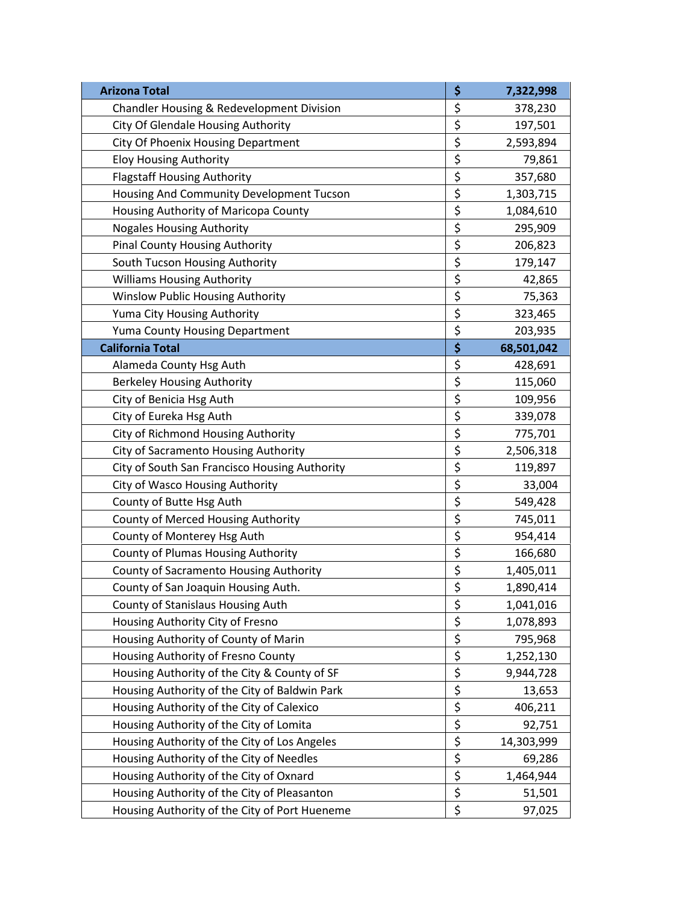| <b>Arizona Total</b>                          | \$<br>7,322,998  |
|-----------------------------------------------|------------------|
| Chandler Housing & Redevelopment Division     | \$<br>378,230    |
| City Of Glendale Housing Authority            | \$<br>197,501    |
| <b>City Of Phoenix Housing Department</b>     | \$<br>2,593,894  |
| <b>Eloy Housing Authority</b>                 | \$<br>79,861     |
| <b>Flagstaff Housing Authority</b>            | \$<br>357,680    |
| Housing And Community Development Tucson      | \$<br>1,303,715  |
| Housing Authority of Maricopa County          | \$<br>1,084,610  |
| <b>Nogales Housing Authority</b>              | \$<br>295,909    |
| <b>Pinal County Housing Authority</b>         | \$<br>206,823    |
| South Tucson Housing Authority                | \$<br>179,147    |
| <b>Williams Housing Authority</b>             | \$<br>42,865     |
| Winslow Public Housing Authority              | \$<br>75,363     |
| Yuma City Housing Authority                   | \$<br>323,465    |
| Yuma County Housing Department                | \$<br>203,935    |
| <b>California Total</b>                       | \$<br>68,501,042 |
| Alameda County Hsg Auth                       | \$<br>428,691    |
| <b>Berkeley Housing Authority</b>             | \$<br>115,060    |
| City of Benicia Hsg Auth                      | \$<br>109,956    |
| City of Eureka Hsg Auth                       | \$<br>339,078    |
| City of Richmond Housing Authority            | \$<br>775,701    |
| City of Sacramento Housing Authority          | \$<br>2,506,318  |
| City of South San Francisco Housing Authority | \$<br>119,897    |
| City of Wasco Housing Authority               | \$<br>33,004     |
| County of Butte Hsg Auth                      | \$<br>549,428    |
| County of Merced Housing Authority            | \$<br>745,011    |
| County of Monterey Hsg Auth                   | \$<br>954,414    |
| County of Plumas Housing Authority            | \$<br>166,680    |
| County of Sacramento Housing Authority        | \$<br>1,405,011  |
| County of San Joaquin Housing Auth.           | \$<br>1,890,414  |
| County of Stanislaus Housing Auth             | \$<br>1,041,016  |
| Housing Authority City of Fresno              | \$<br>1,078,893  |
| Housing Authority of County of Marin          | \$<br>795,968    |
| Housing Authority of Fresno County            | \$<br>1,252,130  |
| Housing Authority of the City & County of SF  | \$<br>9,944,728  |
| Housing Authority of the City of Baldwin Park | \$<br>13,653     |
| Housing Authority of the City of Calexico     | \$<br>406,211    |
| Housing Authority of the City of Lomita       | \$<br>92,751     |
| Housing Authority of the City of Los Angeles  | \$<br>14,303,999 |
| Housing Authority of the City of Needles      | \$<br>69,286     |
| Housing Authority of the City of Oxnard       | \$<br>1,464,944  |
| Housing Authority of the City of Pleasanton   | \$<br>51,501     |
| Housing Authority of the City of Port Hueneme | \$<br>97,025     |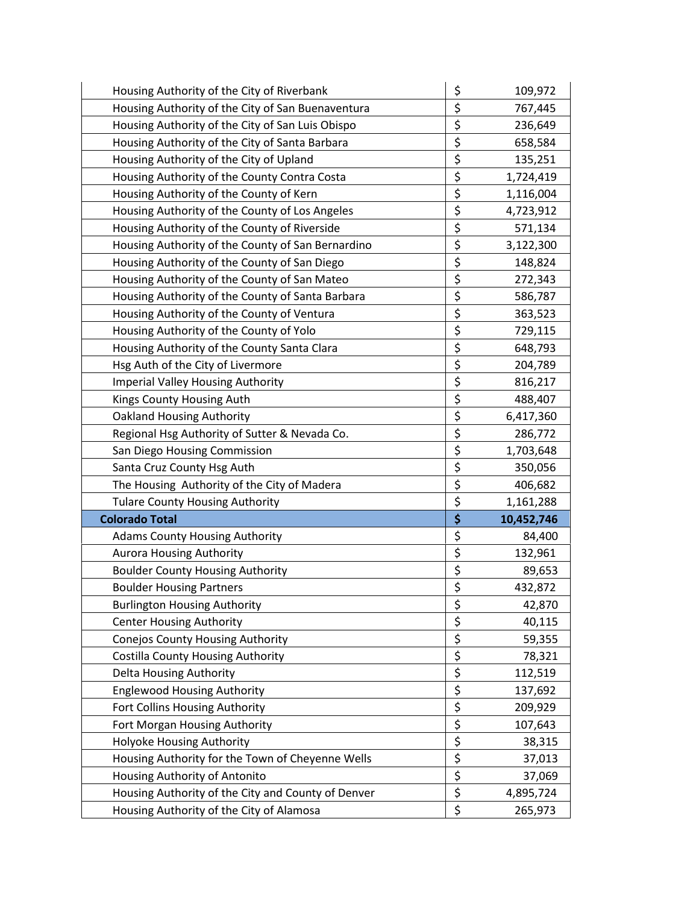| Housing Authority of the City of Riverbank         | \$       | 109,972              |
|----------------------------------------------------|----------|----------------------|
| Housing Authority of the City of San Buenaventura  | \$       | 767,445              |
| Housing Authority of the City of San Luis Obispo   | \$       | 236,649              |
| Housing Authority of the City of Santa Barbara     | \$       | 658,584              |
| Housing Authority of the City of Upland            | \$       | 135,251              |
| Housing Authority of the County Contra Costa       | \$       | 1,724,419            |
| Housing Authority of the County of Kern            | \$       | 1,116,004            |
| Housing Authority of the County of Los Angeles     | \$       | 4,723,912            |
| Housing Authority of the County of Riverside       | \$       | 571,134              |
| Housing Authority of the County of San Bernardino  | \$       | 3,122,300            |
| Housing Authority of the County of San Diego       | \$       | 148,824              |
| Housing Authority of the County of San Mateo       | \$       | 272,343              |
| Housing Authority of the County of Santa Barbara   | \$       | 586,787              |
| Housing Authority of the County of Ventura         | \$       | 363,523              |
| Housing Authority of the County of Yolo            | \$       | 729,115              |
| Housing Authority of the County Santa Clara        | \$       | 648,793              |
| Hsg Auth of the City of Livermore                  | \$       | 204,789              |
| <b>Imperial Valley Housing Authority</b>           | \$       | 816,217              |
| Kings County Housing Auth                          | \$       | 488,407              |
| <b>Oakland Housing Authority</b>                   | \$       | 6,417,360            |
| Regional Hsg Authority of Sutter & Nevada Co.      | \$       | 286,772              |
| San Diego Housing Commission                       | \$       | 1,703,648            |
| Santa Cruz County Hsg Auth                         | \$       | 350,056              |
| The Housing Authority of the City of Madera        | \$       | 406,682              |
| <b>Tulare County Housing Authority</b>             | \$       | 1,161,288            |
| <b>Colorado Total</b>                              | \$       | 10,452,746           |
| <b>Adams County Housing Authority</b>              | \$       | 84,400               |
| <b>Aurora Housing Authority</b>                    | \$       | 132,961              |
| <b>Boulder County Housing Authority</b>            | \$       | 89,653               |
| <b>Boulder Housing Partners</b>                    | \$       | 432,872              |
| <b>Burlington Housing Authority</b>                | \$       | 42,870               |
| <b>Center Housing Authority</b>                    | \$       | 40,115               |
| Conejos County Housing Authority                   | \$       | 59,355               |
| Costilla County Housing Authority                  | \$       | 78,321               |
| <b>Delta Housing Authority</b>                     | \$       | 112,519              |
| <b>Englewood Housing Authority</b>                 |          |                      |
|                                                    | \$       | 137,692              |
| Fort Collins Housing Authority                     | \$       | 209,929              |
| Fort Morgan Housing Authority                      | \$       | 107,643              |
| Holyoke Housing Authority                          | \$       | 38,315               |
| Housing Authority for the Town of Cheyenne Wells   | \$       | 37,013               |
| Housing Authority of Antonito                      | \$       | 37,069               |
| Housing Authority of the City and County of Denver | \$<br>\$ | 4,895,724<br>265,973 |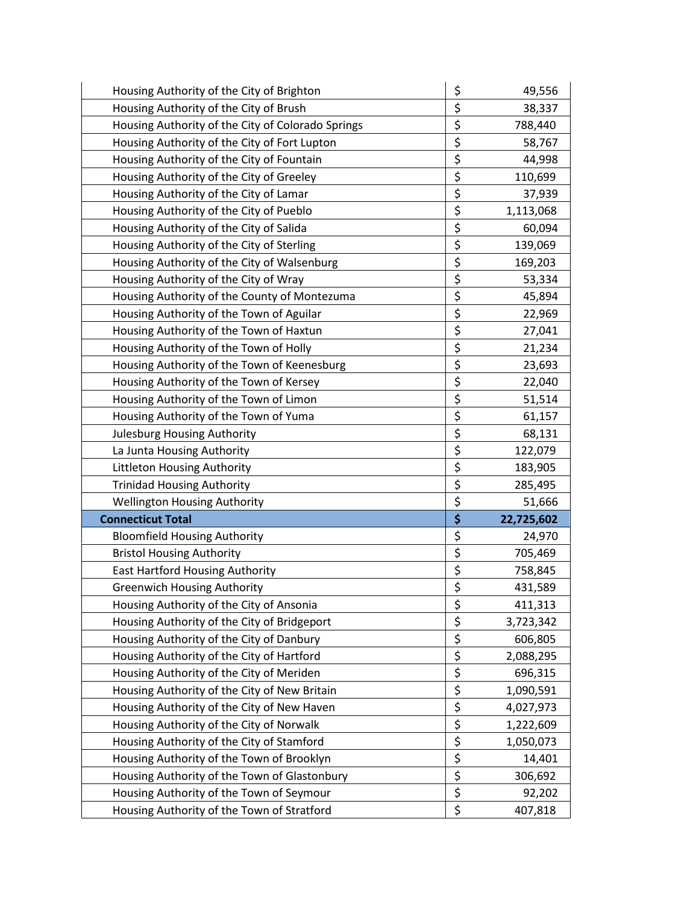| Housing Authority of the City of Brighton         | \$       | 49,556     |
|---------------------------------------------------|----------|------------|
| Housing Authority of the City of Brush            | \$       | 38,337     |
| Housing Authority of the City of Colorado Springs | \$       | 788,440    |
| Housing Authority of the City of Fort Lupton      | \$       | 58,767     |
| Housing Authority of the City of Fountain         | \$       | 44,998     |
| Housing Authority of the City of Greeley          | \$       | 110,699    |
| Housing Authority of the City of Lamar            | \$       | 37,939     |
| Housing Authority of the City of Pueblo           | \$       | 1,113,068  |
| Housing Authority of the City of Salida           | \$       | 60,094     |
| Housing Authority of the City of Sterling         | \$       | 139,069    |
| Housing Authority of the City of Walsenburg       | \$       | 169,203    |
| Housing Authority of the City of Wray             | \$       | 53,334     |
| Housing Authority of the County of Montezuma      | \$       | 45,894     |
| Housing Authority of the Town of Aguilar          | \$       | 22,969     |
| Housing Authority of the Town of Haxtun           | \$       | 27,041     |
| Housing Authority of the Town of Holly            | \$       | 21,234     |
| Housing Authority of the Town of Keenesburg       | \$       | 23,693     |
| Housing Authority of the Town of Kersey           | \$       | 22,040     |
| Housing Authority of the Town of Limon            | \$       | 51,514     |
| Housing Authority of the Town of Yuma             | \$       | 61,157     |
| Julesburg Housing Authority                       | \$       | 68,131     |
| La Junta Housing Authority                        | \$       | 122,079    |
| Littleton Housing Authority                       | \$       | 183,905    |
| <b>Trinidad Housing Authority</b>                 | \$       | 285,495    |
| <b>Wellington Housing Authority</b>               | \$       | 51,666     |
|                                                   |          | 22,725,602 |
| <b>Connecticut Total</b>                          | \$       |            |
| <b>Bloomfield Housing Authority</b>               | \$       | 24,970     |
| <b>Bristol Housing Authority</b>                  | \$       | 705,469    |
| <b>East Hartford Housing Authority</b>            | \$       | 758,845    |
| <b>Greenwich Housing Authority</b>                | \$       | 431,589    |
| Housing Authority of the City of Ansonia          | \$       | 411,313    |
| Housing Authority of the City of Bridgeport       | \$       | 3,723,342  |
| Housing Authority of the City of Danbury          | \$       | 606,805    |
| Housing Authority of the City of Hartford         | \$       | 2,088,295  |
| Housing Authority of the City of Meriden          | \$       | 696,315    |
| Housing Authority of the City of New Britain      | \$       | 1,090,591  |
| Housing Authority of the City of New Haven        | \$       | 4,027,973  |
| Housing Authority of the City of Norwalk          | \$       | 1,222,609  |
| Housing Authority of the City of Stamford         | \$       | 1,050,073  |
| Housing Authority of the Town of Brooklyn         | \$       | 14,401     |
| Housing Authority of the Town of Glastonbury      | \$       | 306,692    |
| Housing Authority of the Town of Seymour          | \$<br>\$ | 92,202     |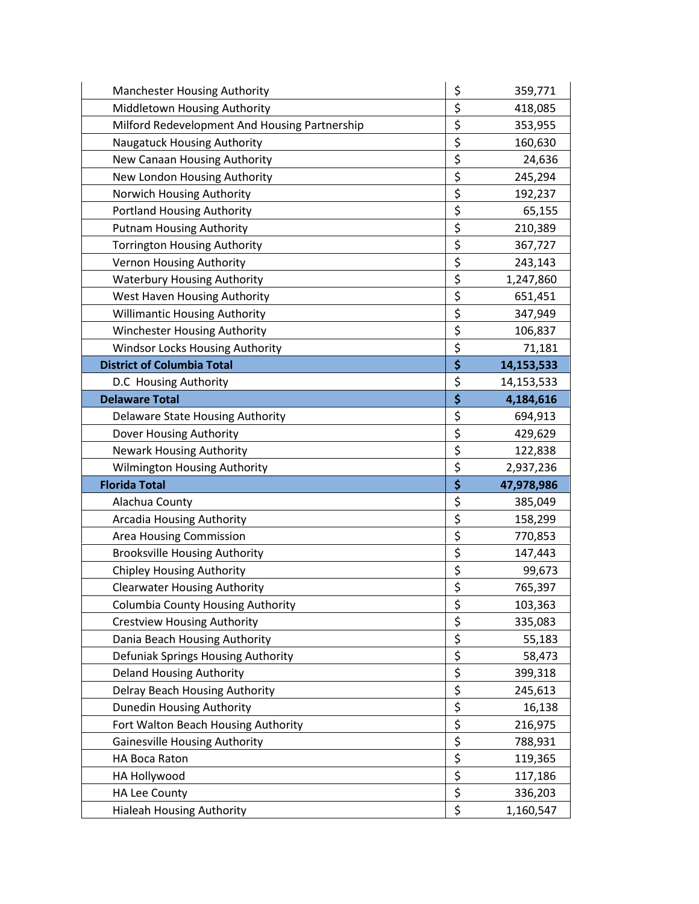| Manchester Housing Authority                  | \$       | 359,771    |
|-----------------------------------------------|----------|------------|
| Middletown Housing Authority                  | \$       | 418,085    |
| Milford Redevelopment And Housing Partnership | \$       | 353,955    |
| Naugatuck Housing Authority                   | \$       | 160,630    |
| New Canaan Housing Authority                  | \$       | 24,636     |
| New London Housing Authority                  | \$       | 245,294    |
| Norwich Housing Authority                     | \$       | 192,237    |
| <b>Portland Housing Authority</b>             | \$       | 65,155     |
| <b>Putnam Housing Authority</b>               | \$       | 210,389    |
| <b>Torrington Housing Authority</b>           | \$       | 367,727    |
| Vernon Housing Authority                      | \$       | 243,143    |
| <b>Waterbury Housing Authority</b>            | \$       | 1,247,860  |
| West Haven Housing Authority                  | \$       | 651,451    |
| <b>Willimantic Housing Authority</b>          | \$       | 347,949    |
| Winchester Housing Authority                  | \$       | 106,837    |
| Windsor Locks Housing Authority               | \$       | 71,181     |
| <b>District of Columbia Total</b>             | \$       | 14,153,533 |
| D.C Housing Authority                         | \$       | 14,153,533 |
| <b>Delaware Total</b>                         | \$       | 4,184,616  |
| Delaware State Housing Authority              | \$       | 694,913    |
| Dover Housing Authority                       | \$       | 429,629    |
|                                               |          |            |
| <b>Newark Housing Authority</b>               | \$       | 122,838    |
| Wilmington Housing Authority                  | \$       | 2,937,236  |
| <b>Florida Total</b>                          | \$       | 47,978,986 |
| Alachua County                                | \$       | 385,049    |
| Arcadia Housing Authority                     | \$       | 158,299    |
| Area Housing Commission                       | \$       | 770,853    |
| <b>Brooksville Housing Authority</b>          | \$       | 147,443    |
| <b>Chipley Housing Authority</b>              | \$       | 99,673     |
| <b>Clearwater Housing Authority</b>           | \$       | 765,397    |
| <b>Columbia County Housing Authority</b>      | \$       | 103,363    |
| <b>Crestview Housing Authority</b>            | \$       | 335,083    |
| Dania Beach Housing Authority                 | \$       | 55,183     |
| Defuniak Springs Housing Authority            | \$       | 58,473     |
| <b>Deland Housing Authority</b>               | \$       | 399,318    |
| Delray Beach Housing Authority                | \$       | 245,613    |
| <b>Dunedin Housing Authority</b>              | \$       | 16,138     |
| Fort Walton Beach Housing Authority           | \$       | 216,975    |
| <b>Gainesville Housing Authority</b>          | \$       | 788,931    |
| HA Boca Raton                                 | \$       | 119,365    |
| HA Hollywood                                  | \$       | 117,186    |
| <b>HA Lee County</b>                          | \$<br>\$ | 336,203    |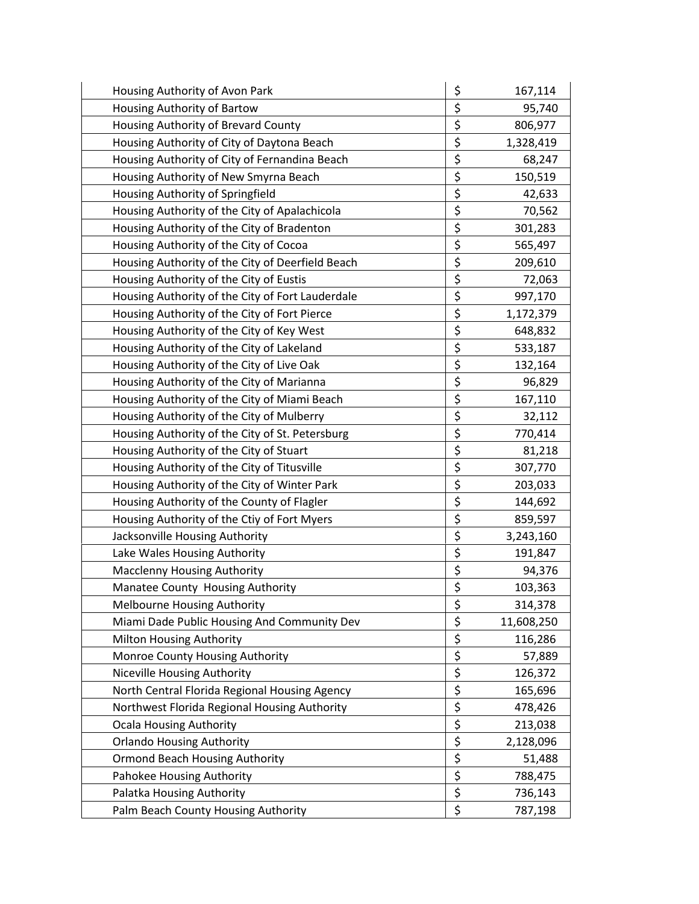| Housing Authority of Avon Park                   | \$<br>167,114    |
|--------------------------------------------------|------------------|
| Housing Authority of Bartow                      | \$<br>95,740     |
| Housing Authority of Brevard County              | \$<br>806,977    |
| Housing Authority of City of Daytona Beach       | \$<br>1,328,419  |
| Housing Authority of City of Fernandina Beach    | \$<br>68,247     |
| Housing Authority of New Smyrna Beach            | \$<br>150,519    |
| Housing Authority of Springfield                 | \$<br>42,633     |
| Housing Authority of the City of Apalachicola    | \$<br>70,562     |
| Housing Authority of the City of Bradenton       | \$<br>301,283    |
| Housing Authority of the City of Cocoa           | \$<br>565,497    |
| Housing Authority of the City of Deerfield Beach | \$<br>209,610    |
| Housing Authority of the City of Eustis          | \$<br>72,063     |
| Housing Authority of the City of Fort Lauderdale | \$<br>997,170    |
| Housing Authority of the City of Fort Pierce     | \$<br>1,172,379  |
| Housing Authority of the City of Key West        | \$<br>648,832    |
| Housing Authority of the City of Lakeland        | \$<br>533,187    |
| Housing Authority of the City of Live Oak        | \$<br>132,164    |
| Housing Authority of the City of Marianna        | \$<br>96,829     |
| Housing Authority of the City of Miami Beach     | \$<br>167,110    |
| Housing Authority of the City of Mulberry        | \$<br>32,112     |
| Housing Authority of the City of St. Petersburg  | \$<br>770,414    |
| Housing Authority of the City of Stuart          | \$<br>81,218     |
| Housing Authority of the City of Titusville      | \$<br>307,770    |
| Housing Authority of the City of Winter Park     | \$<br>203,033    |
| Housing Authority of the County of Flagler       | \$<br>144,692    |
| Housing Authority of the Ctiy of Fort Myers      | \$<br>859,597    |
| Jacksonville Housing Authority                   | \$<br>3,243,160  |
| Lake Wales Housing Authority                     | \$<br>191,847    |
| <b>Macclenny Housing Authority</b>               | \$<br>94,376     |
| Manatee County Housing Authority                 | \$<br>103,363    |
| <b>Melbourne Housing Authority</b>               | \$<br>314,378    |
| Miami Dade Public Housing And Community Dev      | \$<br>11,608,250 |
| Milton Housing Authority                         | \$<br>116,286    |
| Monroe County Housing Authority                  | \$<br>57,889     |
| Niceville Housing Authority                      | \$<br>126,372    |
| North Central Florida Regional Housing Agency    | \$<br>165,696    |
| Northwest Florida Regional Housing Authority     | \$<br>478,426    |
| <b>Ocala Housing Authority</b>                   | \$<br>213,038    |
| <b>Orlando Housing Authority</b>                 | \$<br>2,128,096  |
| <b>Ormond Beach Housing Authority</b>            | \$<br>51,488     |
| Pahokee Housing Authority                        | \$<br>788,475    |
| Palatka Housing Authority                        | \$<br>736,143    |
| Palm Beach County Housing Authority              | \$<br>787,198    |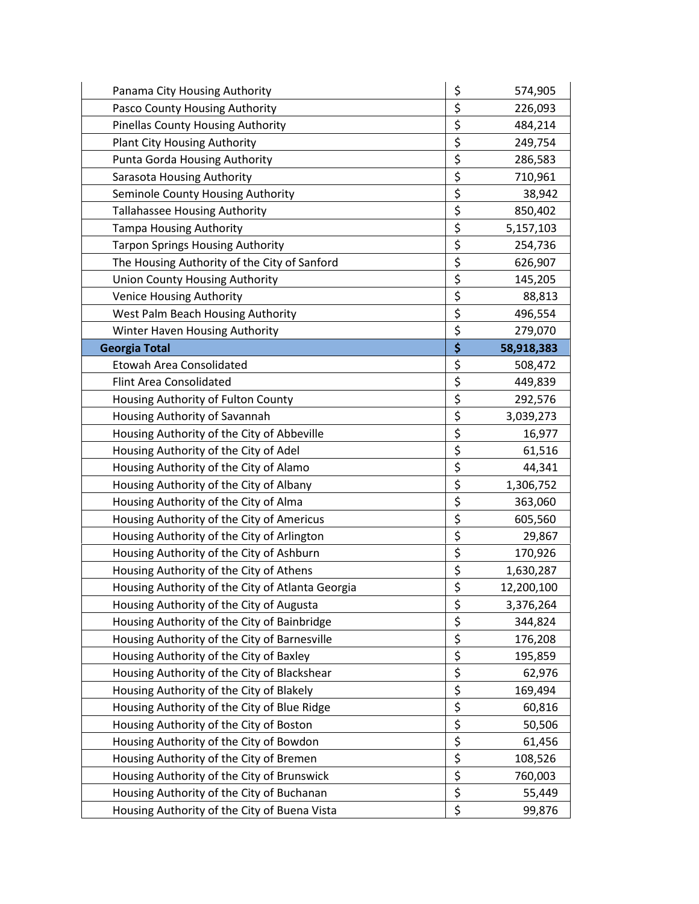| Panama City Housing Authority                    | \$<br>574,905    |
|--------------------------------------------------|------------------|
| Pasco County Housing Authority                   | \$<br>226,093    |
| <b>Pinellas County Housing Authority</b>         | \$<br>484,214    |
| <b>Plant City Housing Authority</b>              | \$<br>249,754    |
| Punta Gorda Housing Authority                    | \$<br>286,583    |
| Sarasota Housing Authority                       | \$<br>710,961    |
| Seminole County Housing Authority                | \$<br>38,942     |
| <b>Tallahassee Housing Authority</b>             | \$<br>850,402    |
| <b>Tampa Housing Authority</b>                   | \$<br>5,157,103  |
| <b>Tarpon Springs Housing Authority</b>          | \$<br>254,736    |
| The Housing Authority of the City of Sanford     | \$<br>626,907    |
| <b>Union County Housing Authority</b>            | \$<br>145,205    |
| <b>Venice Housing Authority</b>                  | \$<br>88,813     |
| West Palm Beach Housing Authority                | \$<br>496,554    |
| Winter Haven Housing Authority                   | \$<br>279,070    |
| <b>Georgia Total</b>                             | \$<br>58,918,383 |
| Etowah Area Consolidated                         | \$<br>508,472    |
| <b>Flint Area Consolidated</b>                   | \$<br>449,839    |
| Housing Authority of Fulton County               | \$<br>292,576    |
| Housing Authority of Savannah                    | \$<br>3,039,273  |
| Housing Authority of the City of Abbeville       | \$<br>16,977     |
| Housing Authority of the City of Adel            | \$<br>61,516     |
| Housing Authority of the City of Alamo           | \$<br>44,341     |
| Housing Authority of the City of Albany          | \$<br>1,306,752  |
| Housing Authority of the City of Alma            | \$<br>363,060    |
| Housing Authority of the City of Americus        | \$<br>605,560    |
| Housing Authority of the City of Arlington       | \$<br>29,867     |
| Housing Authority of the City of Ashburn         | \$<br>170,926    |
| Housing Authority of the City of Athens          | \$<br>1,630,287  |
| Housing Authority of the City of Atlanta Georgia | \$<br>12,200,100 |
| Housing Authority of the City of Augusta         | \$<br>3,376,264  |
| Housing Authority of the City of Bainbridge      | \$<br>344,824    |
| Housing Authority of the City of Barnesville     | \$<br>176,208    |
| Housing Authority of the City of Baxley          | \$<br>195,859    |
| Housing Authority of the City of Blackshear      | \$<br>62,976     |
| Housing Authority of the City of Blakely         | \$<br>169,494    |
| Housing Authority of the City of Blue Ridge      | \$<br>60,816     |
| Housing Authority of the City of Boston          | \$<br>50,506     |
| Housing Authority of the City of Bowdon          | \$<br>61,456     |
| Housing Authority of the City of Bremen          | \$<br>108,526    |
| Housing Authority of the City of Brunswick       | \$<br>760,003    |
| Housing Authority of the City of Buchanan        | \$<br>55,449     |
| Housing Authority of the City of Buena Vista     | \$<br>99,876     |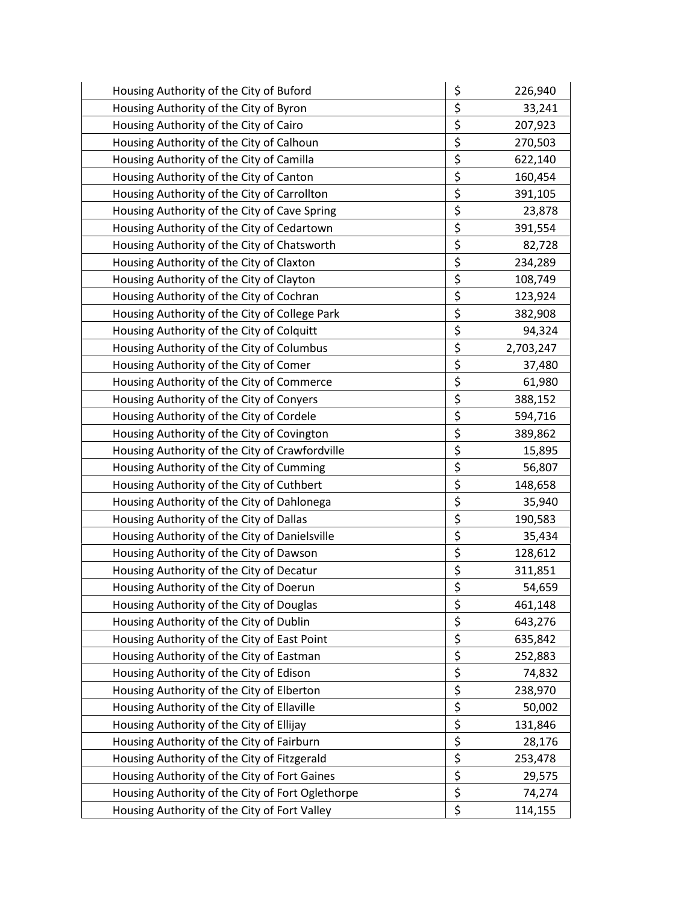| Housing Authority of the City of Buford          | \$<br>226,940   |
|--------------------------------------------------|-----------------|
| Housing Authority of the City of Byron           | \$<br>33,241    |
| Housing Authority of the City of Cairo           | \$<br>207,923   |
| Housing Authority of the City of Calhoun         | \$<br>270,503   |
| Housing Authority of the City of Camilla         | \$<br>622,140   |
| Housing Authority of the City of Canton          | \$<br>160,454   |
| Housing Authority of the City of Carrollton      | \$<br>391,105   |
| Housing Authority of the City of Cave Spring     | \$<br>23,878    |
| Housing Authority of the City of Cedartown       | \$<br>391,554   |
| Housing Authority of the City of Chatsworth      | \$<br>82,728    |
| Housing Authority of the City of Claxton         | \$<br>234,289   |
| Housing Authority of the City of Clayton         | \$<br>108,749   |
| Housing Authority of the City of Cochran         | \$<br>123,924   |
| Housing Authority of the City of College Park    | \$<br>382,908   |
| Housing Authority of the City of Colquitt        | \$<br>94,324    |
| Housing Authority of the City of Columbus        | \$<br>2,703,247 |
| Housing Authority of the City of Comer           | \$<br>37,480    |
| Housing Authority of the City of Commerce        | \$<br>61,980    |
| Housing Authority of the City of Conyers         | \$<br>388,152   |
| Housing Authority of the City of Cordele         | \$<br>594,716   |
| Housing Authority of the City of Covington       | \$<br>389,862   |
| Housing Authority of the City of Crawfordville   | \$<br>15,895    |
| Housing Authority of the City of Cumming         | \$<br>56,807    |
| Housing Authority of the City of Cuthbert        | \$<br>148,658   |
| Housing Authority of the City of Dahlonega       | \$<br>35,940    |
| Housing Authority of the City of Dallas          | \$<br>190,583   |
| Housing Authority of the City of Danielsville    | \$<br>35,434    |
| Housing Authority of the City of Dawson          | \$<br>128,612   |
| Housing Authority of the City of Decatur         | \$<br>311,851   |
| Housing Authority of the City of Doerun          | \$<br>54,659    |
| Housing Authority of the City of Douglas         | \$<br>461,148   |
| Housing Authority of the City of Dublin          | \$<br>643,276   |
| Housing Authority of the City of East Point      | \$<br>635,842   |
| Housing Authority of the City of Eastman         | \$<br>252,883   |
| Housing Authority of the City of Edison          | \$<br>74,832    |
| Housing Authority of the City of Elberton        | \$<br>238,970   |
| Housing Authority of the City of Ellaville       | \$<br>50,002    |
| Housing Authority of the City of Ellijay         | \$<br>131,846   |
| Housing Authority of the City of Fairburn        | \$<br>28,176    |
| Housing Authority of the City of Fitzgerald      | \$<br>253,478   |
| Housing Authority of the City of Fort Gaines     | \$<br>29,575    |
| Housing Authority of the City of Fort Oglethorpe | \$<br>74,274    |
| Housing Authority of the City of Fort Valley     | \$<br>114,155   |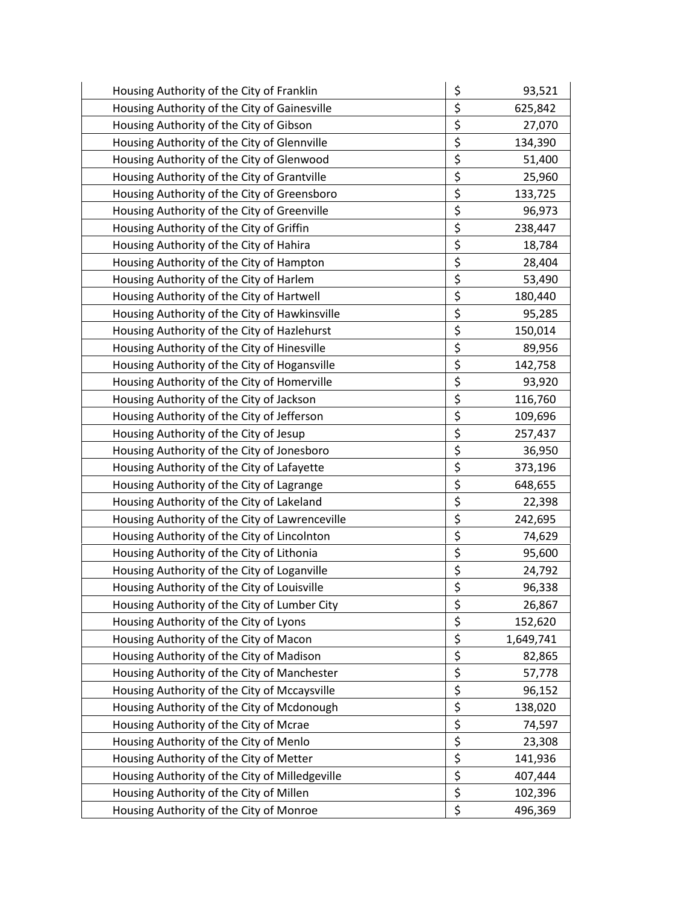| Housing Authority of the City of Franklin      | \$<br>93,521    |
|------------------------------------------------|-----------------|
| Housing Authority of the City of Gainesville   | \$<br>625,842   |
| Housing Authority of the City of Gibson        | \$<br>27,070    |
| Housing Authority of the City of Glennville    | \$<br>134,390   |
| Housing Authority of the City of Glenwood      | \$<br>51,400    |
| Housing Authority of the City of Grantville    | \$<br>25,960    |
| Housing Authority of the City of Greensboro    | \$<br>133,725   |
| Housing Authority of the City of Greenville    | \$<br>96,973    |
| Housing Authority of the City of Griffin       | \$<br>238,447   |
| Housing Authority of the City of Hahira        | \$<br>18,784    |
| Housing Authority of the City of Hampton       | \$<br>28,404    |
| Housing Authority of the City of Harlem        | \$<br>53,490    |
| Housing Authority of the City of Hartwell      | \$<br>180,440   |
| Housing Authority of the City of Hawkinsville  | \$<br>95,285    |
| Housing Authority of the City of Hazlehurst    | \$<br>150,014   |
| Housing Authority of the City of Hinesville    | \$<br>89,956    |
| Housing Authority of the City of Hogansville   | \$<br>142,758   |
| Housing Authority of the City of Homerville    | \$<br>93,920    |
| Housing Authority of the City of Jackson       | \$<br>116,760   |
| Housing Authority of the City of Jefferson     | \$<br>109,696   |
| Housing Authority of the City of Jesup         | \$<br>257,437   |
| Housing Authority of the City of Jonesboro     | \$<br>36,950    |
| Housing Authority of the City of Lafayette     | \$<br>373,196   |
| Housing Authority of the City of Lagrange      | \$<br>648,655   |
| Housing Authority of the City of Lakeland      | \$<br>22,398    |
| Housing Authority of the City of Lawrenceville | \$<br>242,695   |
| Housing Authority of the City of Lincolnton    | \$<br>74,629    |
| Housing Authority of the City of Lithonia      | \$<br>95,600    |
| Housing Authority of the City of Loganville    | \$<br>24,792    |
| Housing Authority of the City of Louisville    | \$<br>96,338    |
| Housing Authority of the City of Lumber City   | \$<br>26,867    |
| Housing Authority of the City of Lyons         | \$<br>152,620   |
| Housing Authority of the City of Macon         | \$<br>1,649,741 |
| Housing Authority of the City of Madison       | \$<br>82,865    |
| Housing Authority of the City of Manchester    | \$<br>57,778    |
| Housing Authority of the City of Mccaysville   | \$<br>96,152    |
| Housing Authority of the City of Mcdonough     | \$<br>138,020   |
| Housing Authority of the City of Mcrae         | \$<br>74,597    |
| Housing Authority of the City of Menlo         | \$<br>23,308    |
| Housing Authority of the City of Metter        | \$<br>141,936   |
| Housing Authority of the City of Milledgeville | \$<br>407,444   |
| Housing Authority of the City of Millen        | \$<br>102,396   |
| Housing Authority of the City of Monroe        | \$<br>496,369   |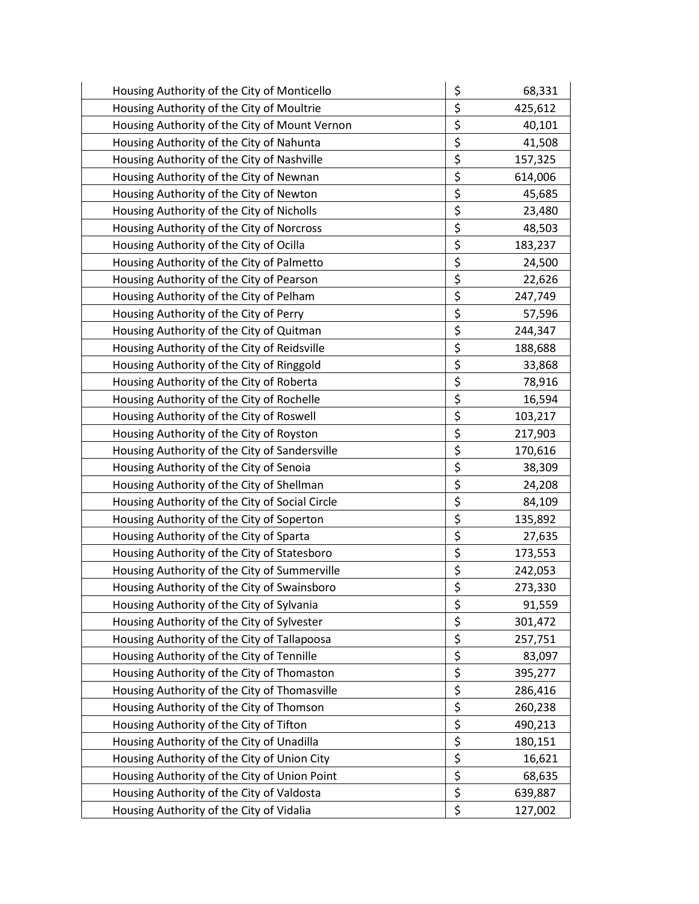| Housing Authority of the City of Monticello    | \$<br>68,331  |
|------------------------------------------------|---------------|
| Housing Authority of the City of Moultrie      | \$<br>425,612 |
| Housing Authority of the City of Mount Vernon  | \$<br>40,101  |
| Housing Authority of the City of Nahunta       | \$<br>41,508  |
| Housing Authority of the City of Nashville     | \$<br>157,325 |
| Housing Authority of the City of Newnan        | \$<br>614,006 |
| Housing Authority of the City of Newton        | \$<br>45,685  |
| Housing Authority of the City of Nicholls      | \$<br>23,480  |
| Housing Authority of the City of Norcross      | \$<br>48,503  |
| Housing Authority of the City of Ocilla        | \$<br>183,237 |
| Housing Authority of the City of Palmetto      | \$<br>24,500  |
| Housing Authority of the City of Pearson       | \$<br>22,626  |
| Housing Authority of the City of Pelham        | \$<br>247,749 |
| Housing Authority of the City of Perry         | \$<br>57,596  |
| Housing Authority of the City of Quitman       | \$<br>244,347 |
| Housing Authority of the City of Reidsville    | \$<br>188,688 |
| Housing Authority of the City of Ringgold      | \$<br>33,868  |
| Housing Authority of the City of Roberta       | \$<br>78,916  |
| Housing Authority of the City of Rochelle      | \$<br>16,594  |
| Housing Authority of the City of Roswell       | \$<br>103,217 |
| Housing Authority of the City of Royston       | \$<br>217,903 |
| Housing Authority of the City of Sandersville  | \$<br>170,616 |
| Housing Authority of the City of Senoia        | \$<br>38,309  |
| Housing Authority of the City of Shellman      | \$<br>24,208  |
| Housing Authority of the City of Social Circle | \$<br>84,109  |
| Housing Authority of the City of Soperton      | \$<br>135,892 |
| Housing Authority of the City of Sparta        | \$<br>27,635  |
| Housing Authority of the City of Statesboro    | \$<br>173,553 |
| Housing Authority of the City of Summerville   | \$<br>242,053 |
| Housing Authority of the City of Swainsboro    | \$<br>273,330 |
| Housing Authority of the City of Sylvania      | \$<br>91,559  |
| Housing Authority of the City of Sylvester     | \$<br>301,472 |
| Housing Authority of the City of Tallapoosa    | \$<br>257,751 |
| Housing Authority of the City of Tennille      | \$<br>83,097  |
| Housing Authority of the City of Thomaston     | \$<br>395,277 |
| Housing Authority of the City of Thomasville   | \$<br>286,416 |
| Housing Authority of the City of Thomson       | \$<br>260,238 |
| Housing Authority of the City of Tifton        | \$<br>490,213 |
| Housing Authority of the City of Unadilla      | \$<br>180,151 |
| Housing Authority of the City of Union City    | \$<br>16,621  |
| Housing Authority of the City of Union Point   | \$<br>68,635  |
| Housing Authority of the City of Valdosta      | \$<br>639,887 |
| Housing Authority of the City of Vidalia       | \$<br>127,002 |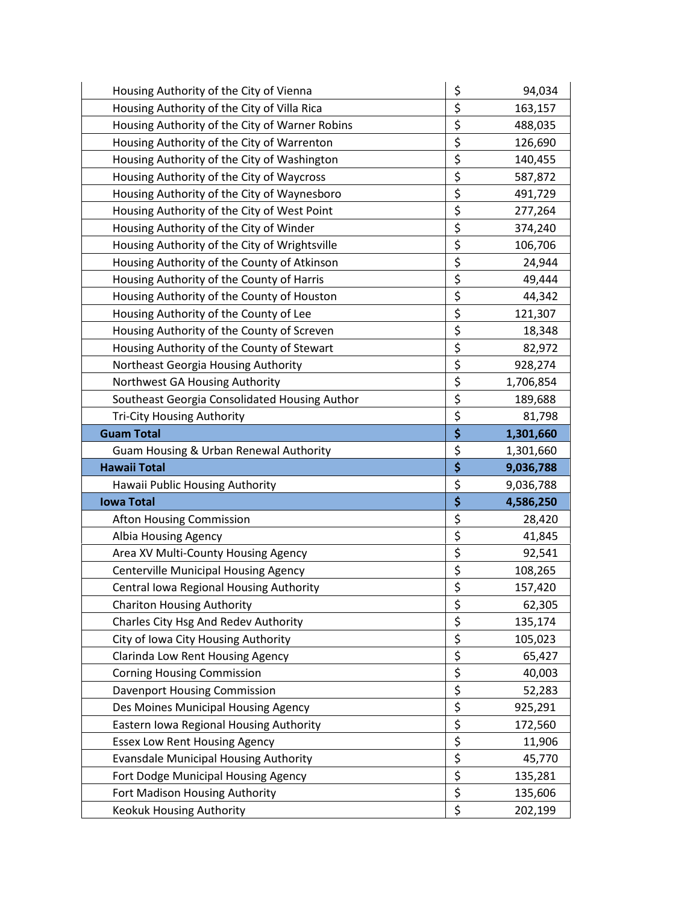| Housing Authority of the City of Vienna        | \$               | 94,034    |
|------------------------------------------------|------------------|-----------|
| Housing Authority of the City of Villa Rica    | \$               | 163,157   |
| Housing Authority of the City of Warner Robins | \$               | 488,035   |
| Housing Authority of the City of Warrenton     | \$               | 126,690   |
| Housing Authority of the City of Washington    | \$               | 140,455   |
| Housing Authority of the City of Waycross      | \$               | 587,872   |
| Housing Authority of the City of Waynesboro    | \$               | 491,729   |
| Housing Authority of the City of West Point    | \$               | 277,264   |
| Housing Authority of the City of Winder        | \$               | 374,240   |
| Housing Authority of the City of Wrightsville  | \$               | 106,706   |
| Housing Authority of the County of Atkinson    | \$               | 24,944    |
| Housing Authority of the County of Harris      | \$               | 49,444    |
| Housing Authority of the County of Houston     | \$               | 44,342    |
| Housing Authority of the County of Lee         | \$               | 121,307   |
| Housing Authority of the County of Screven     | \$               | 18,348    |
| Housing Authority of the County of Stewart     | \$               | 82,972    |
| Northeast Georgia Housing Authority            | \$               | 928,274   |
| Northwest GA Housing Authority                 | \$               | 1,706,854 |
| Southeast Georgia Consolidated Housing Author  | \$               | 189,688   |
| <b>Tri-City Housing Authority</b>              | \$               | 81,798    |
| <b>Guam Total</b>                              | \$               | 1,301,660 |
|                                                |                  |           |
| Guam Housing & Urban Renewal Authority         | \$               | 1,301,660 |
| <b>Hawaii Total</b>                            | \$               | 9,036,788 |
| Hawaii Public Housing Authority                | \$               | 9,036,788 |
| <b>Iowa Total</b>                              | \$               | 4,586,250 |
| <b>Afton Housing Commission</b>                | \$               | 28,420    |
| Albia Housing Agency                           | \$               | 41,845    |
| Area XV Multi-County Housing Agency            | \$               | 92,541    |
| <b>Centerville Municipal Housing Agency</b>    | \$               | 108,265   |
| Central Iowa Regional Housing Authority        | \$               | 157,420   |
| <b>Chariton Housing Authority</b>              | \$               | 62,305    |
| Charles City Hsg And Redev Authority           | \$               | 135,174   |
| City of Iowa City Housing Authority            | \$               | 105,023   |
| <b>Clarinda Low Rent Housing Agency</b>        | \$               | 65,427    |
| <b>Corning Housing Commission</b>              | $\overline{\xi}$ | 40,003    |
| <b>Davenport Housing Commission</b>            | \$               | 52,283    |
| Des Moines Municipal Housing Agency            | $\overline{\xi}$ | 925,291   |
| Eastern Iowa Regional Housing Authority        | \$               | 172,560   |
| <b>Essex Low Rent Housing Agency</b>           | $\overline{\xi}$ | 11,906    |
| <b>Evansdale Municipal Housing Authority</b>   | \$               | 45,770    |
| Fort Dodge Municipal Housing Agency            | $\overline{\xi}$ | 135,281   |
| Fort Madison Housing Authority                 | \$<br>\$         | 135,606   |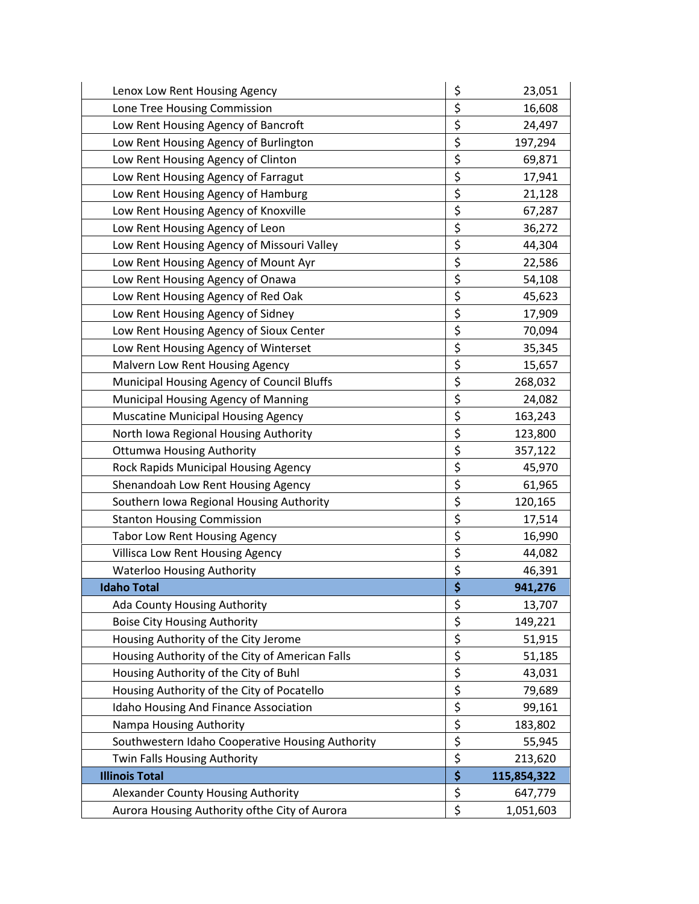| Lenox Low Rent Housing Agency                    | \$<br>23,051      |
|--------------------------------------------------|-------------------|
| Lone Tree Housing Commission                     | \$<br>16,608      |
| Low Rent Housing Agency of Bancroft              | \$<br>24,497      |
| Low Rent Housing Agency of Burlington            | \$<br>197,294     |
| Low Rent Housing Agency of Clinton               | \$<br>69,871      |
| Low Rent Housing Agency of Farragut              | \$<br>17,941      |
| Low Rent Housing Agency of Hamburg               | \$<br>21,128      |
| Low Rent Housing Agency of Knoxville             | \$<br>67,287      |
| Low Rent Housing Agency of Leon                  | \$<br>36,272      |
| Low Rent Housing Agency of Missouri Valley       | \$<br>44,304      |
| Low Rent Housing Agency of Mount Ayr             | \$<br>22,586      |
| Low Rent Housing Agency of Onawa                 | \$<br>54,108      |
| Low Rent Housing Agency of Red Oak               | \$<br>45,623      |
| Low Rent Housing Agency of Sidney                | \$<br>17,909      |
| Low Rent Housing Agency of Sioux Center          | \$<br>70,094      |
| Low Rent Housing Agency of Winterset             | \$<br>35,345      |
| Malvern Low Rent Housing Agency                  | \$<br>15,657      |
| Municipal Housing Agency of Council Bluffs       | \$<br>268,032     |
| Municipal Housing Agency of Manning              | \$<br>24,082      |
| <b>Muscatine Municipal Housing Agency</b>        | \$<br>163,243     |
| North Iowa Regional Housing Authority            | \$<br>123,800     |
| <b>Ottumwa Housing Authority</b>                 | \$<br>357,122     |
| Rock Rapids Municipal Housing Agency             | \$<br>45,970      |
| Shenandoah Low Rent Housing Agency               | \$<br>61,965      |
| Southern Iowa Regional Housing Authority         | \$<br>120,165     |
| <b>Stanton Housing Commission</b>                | \$<br>17,514      |
| Tabor Low Rent Housing Agency                    | \$<br>16,990      |
| Villisca Low Rent Housing Agency                 | \$<br>44,082      |
| <b>Waterloo Housing Authority</b>                | \$<br>46,391      |
| <b>Idaho Total</b>                               | \$<br>941,276     |
| Ada County Housing Authority                     | \$<br>13,707      |
| <b>Boise City Housing Authority</b>              | \$<br>149,221     |
| Housing Authority of the City Jerome             | \$<br>51,915      |
| Housing Authority of the City of American Falls  | \$<br>51,185      |
| Housing Authority of the City of Buhl            | \$<br>43,031      |
| Housing Authority of the City of Pocatello       | \$<br>79,689      |
| Idaho Housing And Finance Association            | \$<br>99,161      |
| Nampa Housing Authority                          | \$<br>183,802     |
| Southwestern Idaho Cooperative Housing Authority | \$<br>55,945      |
| Twin Falls Housing Authority                     | \$<br>213,620     |
| <b>Illinois Total</b>                            | \$<br>115,854,322 |
| Alexander County Housing Authority               | \$<br>647,779     |
| Aurora Housing Authority ofthe City of Aurora    | \$<br>1,051,603   |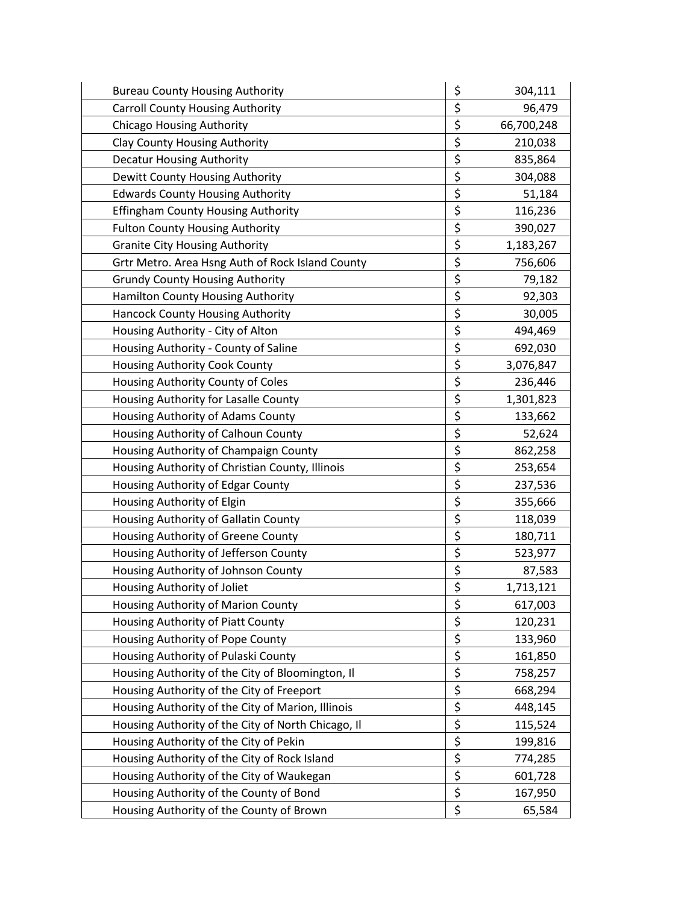| <b>Bureau County Housing Authority</b>             | \$<br>304,111    |
|----------------------------------------------------|------------------|
| <b>Carroll County Housing Authority</b>            | \$<br>96,479     |
| <b>Chicago Housing Authority</b>                   | \$<br>66,700,248 |
| Clay County Housing Authority                      | \$<br>210,038    |
| <b>Decatur Housing Authority</b>                   | \$<br>835,864    |
| Dewitt County Housing Authority                    | \$<br>304,088    |
| <b>Edwards County Housing Authority</b>            | \$<br>51,184     |
| <b>Effingham County Housing Authority</b>          | \$<br>116,236    |
| <b>Fulton County Housing Authority</b>             | \$<br>390,027    |
| <b>Granite City Housing Authority</b>              | \$<br>1,183,267  |
| Grtr Metro. Area Hsng Auth of Rock Island County   | \$<br>756,606    |
| <b>Grundy County Housing Authority</b>             | \$<br>79,182     |
| Hamilton County Housing Authority                  | \$<br>92,303     |
| <b>Hancock County Housing Authority</b>            | \$<br>30,005     |
| Housing Authority - City of Alton                  | \$<br>494,469    |
| Housing Authority - County of Saline               | \$<br>692,030    |
| <b>Housing Authority Cook County</b>               | \$<br>3,076,847  |
| Housing Authority County of Coles                  | \$<br>236,446    |
| Housing Authority for Lasalle County               | \$<br>1,301,823  |
| Housing Authority of Adams County                  | \$<br>133,662    |
| Housing Authority of Calhoun County                | \$<br>52,624     |
| Housing Authority of Champaign County              | \$<br>862,258    |
| Housing Authority of Christian County, Illinois    | \$<br>253,654    |
| Housing Authority of Edgar County                  | \$<br>237,536    |
| Housing Authority of Elgin                         | \$<br>355,666    |
| Housing Authority of Gallatin County               | \$<br>118,039    |
| Housing Authority of Greene County                 | \$<br>180,711    |
| Housing Authority of Jefferson County              | \$<br>523,977    |
| Housing Authority of Johnson County                | \$<br>87,583     |
| Housing Authority of Joliet                        | \$<br>1,713,121  |
| Housing Authority of Marion County                 | \$<br>617,003    |
| Housing Authority of Piatt County                  | \$<br>120,231    |
| Housing Authority of Pope County                   | \$<br>133,960    |
| Housing Authority of Pulaski County                | \$<br>161,850    |
| Housing Authority of the City of Bloomington, Il   | \$<br>758,257    |
| Housing Authority of the City of Freeport          | \$<br>668,294    |
| Housing Authority of the City of Marion, Illinois  | \$<br>448,145    |
| Housing Authority of the City of North Chicago, Il | \$<br>115,524    |
| Housing Authority of the City of Pekin             | \$<br>199,816    |
| Housing Authority of the City of Rock Island       | \$<br>774,285    |
| Housing Authority of the City of Waukegan          | \$<br>601,728    |
| Housing Authority of the County of Bond            | \$<br>167,950    |
| Housing Authority of the County of Brown           | \$<br>65,584     |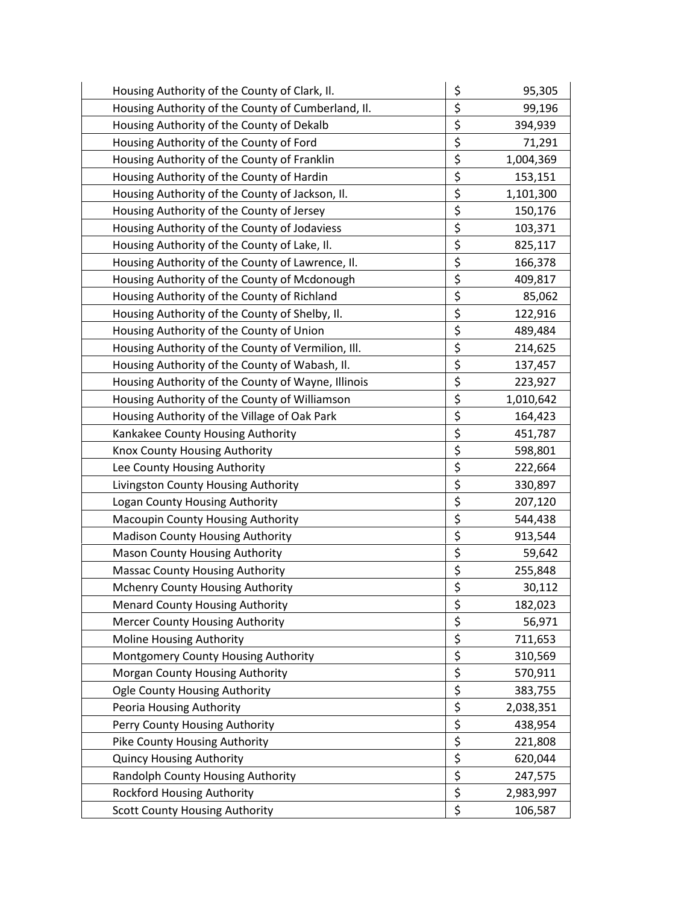| Housing Authority of the County of Clark, II.      | \$                              | 95,305    |
|----------------------------------------------------|---------------------------------|-----------|
| Housing Authority of the County of Cumberland, II. | \$                              | 99,196    |
| Housing Authority of the County of Dekalb          | \$                              | 394,939   |
| Housing Authority of the County of Ford            | \$                              | 71,291    |
| Housing Authority of the County of Franklin        | \$                              | 1,004,369 |
| Housing Authority of the County of Hardin          | \$                              | 153,151   |
| Housing Authority of the County of Jackson, Il.    | $\overline{\boldsymbol{\zeta}}$ | 1,101,300 |
| Housing Authority of the County of Jersey          | \$                              | 150,176   |
| Housing Authority of the County of Jodaviess       | \$                              | 103,371   |
| Housing Authority of the County of Lake, II.       | \$                              | 825,117   |
| Housing Authority of the County of Lawrence, Il.   | $\overline{\xi}$                | 166,378   |
| Housing Authority of the County of Mcdonough       | \$                              | 409,817   |
| Housing Authority of the County of Richland        | \$                              | 85,062    |
| Housing Authority of the County of Shelby, Il.     | \$                              | 122,916   |
| Housing Authority of the County of Union           | $\overline{\xi}$                | 489,484   |
| Housing Authority of the County of Vermilion, Ill. | \$                              | 214,625   |
| Housing Authority of the County of Wabash, Il.     | \$                              | 137,457   |
| Housing Authority of the County of Wayne, Illinois | \$                              | 223,927   |
| Housing Authority of the County of Williamson      | \$                              | 1,010,642 |
| Housing Authority of the Village of Oak Park       | \$                              | 164,423   |
| Kankakee County Housing Authority                  | \$                              | 451,787   |
| Knox County Housing Authority                      | \$                              | 598,801   |
| Lee County Housing Authority                       | $\overline{\xi}$                | 222,664   |
| Livingston County Housing Authority                | \$                              | 330,897   |
| Logan County Housing Authority                     | \$                              | 207,120   |
| Macoupin County Housing Authority                  | \$                              | 544,438   |
| <b>Madison County Housing Authority</b>            | $\overline{\xi}$                | 913,544   |
| <b>Mason County Housing Authority</b>              | \$                              | 59,642    |
| <b>Massac County Housing Authority</b>             | \$                              | 255,848   |
| Mchenry County Housing Authority                   | $\overline{\xi}$                | 30,112    |
| <b>Menard County Housing Authority</b>             | \$                              | 182,023   |
| <b>Mercer County Housing Authority</b>             | \$                              | 56,971    |
| <b>Moline Housing Authority</b>                    | $\overline{\xi}$                | 711,653   |
| Montgomery County Housing Authority                | $\overline{\xi}$                | 310,569   |
| Morgan County Housing Authority                    | $\overline{\xi}$                | 570,911   |
| <b>Ogle County Housing Authority</b>               | \$                              | 383,755   |
| Peoria Housing Authority                           | $\overline{\xi}$                | 2,038,351 |
| Perry County Housing Authority                     | $\overline{\xi}$                | 438,954   |
| Pike County Housing Authority                      | $\overline{\xi}$                | 221,808   |
| <b>Quincy Housing Authority</b>                    | $\overline{\xi}$                | 620,044   |
| Randolph County Housing Authority                  | $\overline{\xi}$                | 247,575   |
| <b>Rockford Housing Authority</b>                  | $\overline{\xi}$                | 2,983,997 |
| <b>Scott County Housing Authority</b>              | \$                              | 106,587   |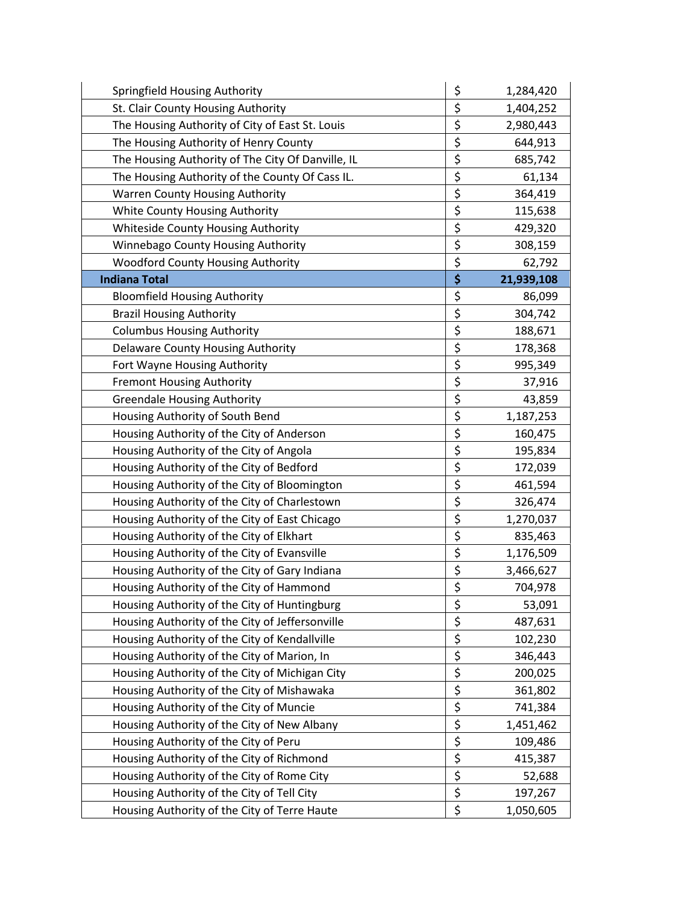| Springfield Housing Authority                     | \$<br>1,284,420  |
|---------------------------------------------------|------------------|
| St. Clair County Housing Authority                | \$<br>1,404,252  |
| The Housing Authority of City of East St. Louis   | \$<br>2,980,443  |
| The Housing Authority of Henry County             | \$<br>644,913    |
| The Housing Authority of The City Of Danville, IL | \$<br>685,742    |
| The Housing Authority of the County Of Cass IL.   | \$<br>61,134     |
| <b>Warren County Housing Authority</b>            | \$<br>364,419    |
| White County Housing Authority                    | \$<br>115,638    |
| Whiteside County Housing Authority                | \$<br>429,320    |
| Winnebago County Housing Authority                | \$<br>308,159    |
| Woodford County Housing Authority                 | \$<br>62,792     |
| <b>Indiana Total</b>                              | \$<br>21,939,108 |
| <b>Bloomfield Housing Authority</b>               | \$<br>86,099     |
| <b>Brazil Housing Authority</b>                   | \$<br>304,742    |
| <b>Columbus Housing Authority</b>                 | \$<br>188,671    |
| <b>Delaware County Housing Authority</b>          | \$<br>178,368    |
| Fort Wayne Housing Authority                      | \$<br>995,349    |
| <b>Fremont Housing Authority</b>                  | \$<br>37,916     |
| <b>Greendale Housing Authority</b>                | \$<br>43,859     |
| Housing Authority of South Bend                   | \$<br>1,187,253  |
| Housing Authority of the City of Anderson         | \$<br>160,475    |
| Housing Authority of the City of Angola           | \$<br>195,834    |
| Housing Authority of the City of Bedford          | \$<br>172,039    |
| Housing Authority of the City of Bloomington      | \$<br>461,594    |
| Housing Authority of the City of Charlestown      | \$<br>326,474    |
| Housing Authority of the City of East Chicago     | \$<br>1,270,037  |
| Housing Authority of the City of Elkhart          | \$<br>835,463    |
| Housing Authority of the City of Evansville       | \$<br>1,176,509  |
| Housing Authority of the City of Gary Indiana     | \$<br>3,466,627  |
| Housing Authority of the City of Hammond          | \$<br>704,978    |
| Housing Authority of the City of Huntingburg      | \$<br>53,091     |
| Housing Authority of the City of Jeffersonville   | \$<br>487,631    |
| Housing Authority of the City of Kendallville     | \$<br>102,230    |
| Housing Authority of the City of Marion, In       | \$<br>346,443    |
| Housing Authority of the City of Michigan City    | \$<br>200,025    |
| Housing Authority of the City of Mishawaka        | \$<br>361,802    |
| Housing Authority of the City of Muncie           | \$<br>741,384    |
| Housing Authority of the City of New Albany       | \$<br>1,451,462  |
| Housing Authority of the City of Peru             | \$<br>109,486    |
| Housing Authority of the City of Richmond         | \$<br>415,387    |
| Housing Authority of the City of Rome City        | \$<br>52,688     |
| Housing Authority of the City of Tell City        | \$<br>197,267    |
| Housing Authority of the City of Terre Haute      | \$<br>1,050,605  |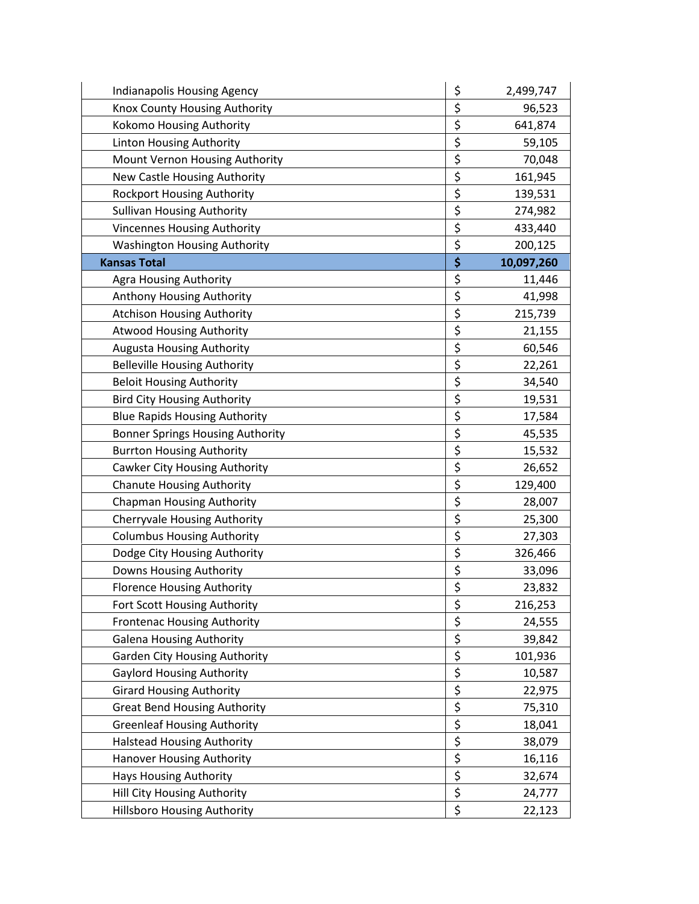| Indianapolis Housing Agency             | \$<br>2,499,747  |
|-----------------------------------------|------------------|
| Knox County Housing Authority           | \$<br>96,523     |
| Kokomo Housing Authority                | \$<br>641,874    |
| Linton Housing Authority                | \$<br>59,105     |
| Mount Vernon Housing Authority          | \$<br>70,048     |
| New Castle Housing Authority            | \$<br>161,945    |
| <b>Rockport Housing Authority</b>       | \$<br>139,531    |
| <b>Sullivan Housing Authority</b>       | \$<br>274,982    |
| <b>Vincennes Housing Authority</b>      | \$<br>433,440    |
| <b>Washington Housing Authority</b>     | \$<br>200,125    |
| <b>Kansas Total</b>                     | \$<br>10,097,260 |
| <b>Agra Housing Authority</b>           | \$<br>11,446     |
| Anthony Housing Authority               | \$<br>41,998     |
| <b>Atchison Housing Authority</b>       | \$<br>215,739    |
| <b>Atwood Housing Authority</b>         | \$<br>21,155     |
| Augusta Housing Authority               | \$<br>60,546     |
| <b>Belleville Housing Authority</b>     | \$<br>22,261     |
| <b>Beloit Housing Authority</b>         | \$<br>34,540     |
| <b>Bird City Housing Authority</b>      | \$<br>19,531     |
| <b>Blue Rapids Housing Authority</b>    | \$<br>17,584     |
| <b>Bonner Springs Housing Authority</b> | \$<br>45,535     |
| <b>Burrton Housing Authority</b>        | \$<br>15,532     |
| Cawker City Housing Authority           | \$<br>26,652     |
| <b>Chanute Housing Authority</b>        | \$<br>129,400    |
| <b>Chapman Housing Authority</b>        | \$<br>28,007     |
| <b>Cherryvale Housing Authority</b>     | \$<br>25,300     |
| <b>Columbus Housing Authority</b>       | \$<br>27,303     |
| Dodge City Housing Authority            | \$<br>326,466    |
| Downs Housing Authority                 | \$<br>33,096     |
| <b>Florence Housing Authority</b>       | \$<br>23,832     |
| Fort Scott Housing Authority            | \$<br>216,253    |
| <b>Frontenac Housing Authority</b>      | \$<br>24,555     |
| <b>Galena Housing Authority</b>         | \$<br>39,842     |
| <b>Garden City Housing Authority</b>    | \$<br>101,936    |
| <b>Gaylord Housing Authority</b>        | \$<br>10,587     |
| <b>Girard Housing Authority</b>         | \$<br>22,975     |
| <b>Great Bend Housing Authority</b>     | \$<br>75,310     |
| <b>Greenleaf Housing Authority</b>      | \$<br>18,041     |
| <b>Halstead Housing Authority</b>       | \$<br>38,079     |
| Hanover Housing Authority               | \$<br>16,116     |
| Hays Housing Authority                  | \$<br>32,674     |
| Hill City Housing Authority             | \$<br>24,777     |
| <b>Hillsboro Housing Authority</b>      | \$<br>22,123     |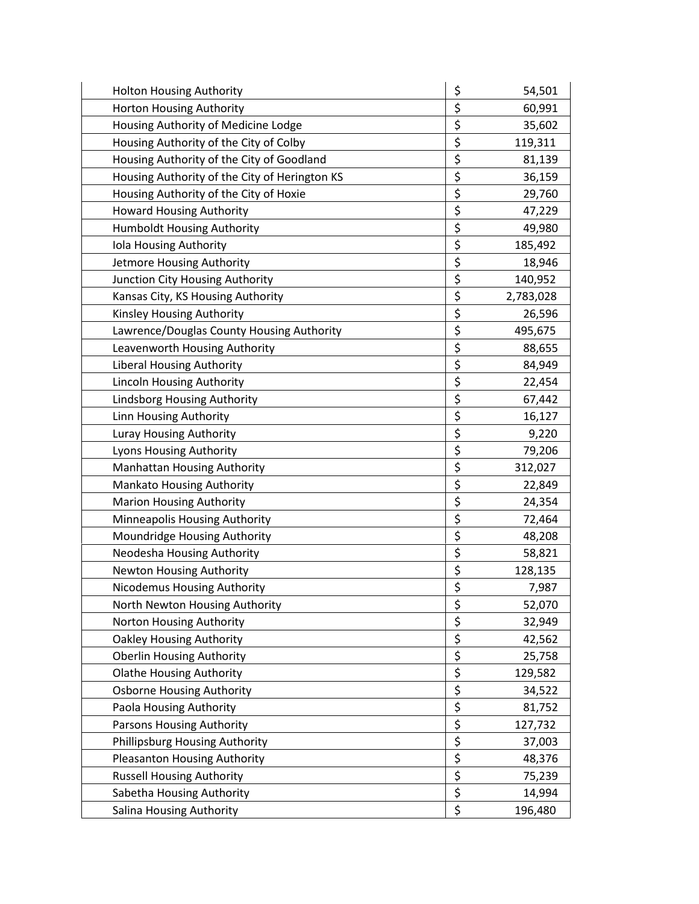| <b>Holton Housing Authority</b>               | \$<br>54,501    |
|-----------------------------------------------|-----------------|
| Horton Housing Authority                      | \$<br>60,991    |
| Housing Authority of Medicine Lodge           | \$<br>35,602    |
| Housing Authority of the City of Colby        | \$<br>119,311   |
| Housing Authority of the City of Goodland     | \$<br>81,139    |
| Housing Authority of the City of Herington KS | \$<br>36,159    |
| Housing Authority of the City of Hoxie        | \$<br>29,760    |
| <b>Howard Housing Authority</b>               | \$<br>47,229    |
| <b>Humboldt Housing Authority</b>             | \$<br>49,980    |
| Iola Housing Authority                        | \$<br>185,492   |
| Jetmore Housing Authority                     | \$<br>18,946    |
| Junction City Housing Authority               | \$<br>140,952   |
| Kansas City, KS Housing Authority             | \$<br>2,783,028 |
| Kinsley Housing Authority                     | \$<br>26,596    |
| Lawrence/Douglas County Housing Authority     | \$<br>495,675   |
| Leavenworth Housing Authority                 | \$<br>88,655    |
| <b>Liberal Housing Authority</b>              | \$<br>84,949    |
| Lincoln Housing Authority                     | \$<br>22,454    |
| Lindsborg Housing Authority                   | \$<br>67,442    |
| Linn Housing Authority                        | \$<br>16,127    |
| Luray Housing Authority                       | \$<br>9,220     |
| Lyons Housing Authority                       | \$<br>79,206    |
| Manhattan Housing Authority                   | \$<br>312,027   |
| <b>Mankato Housing Authority</b>              | \$<br>22,849    |
| <b>Marion Housing Authority</b>               | \$<br>24,354    |
| Minneapolis Housing Authority                 | \$<br>72,464    |
| Moundridge Housing Authority                  | \$<br>48,208    |
| Neodesha Housing Authority                    | \$<br>58,821    |
| Newton Housing Authority                      | \$<br>128,135   |
| Nicodemus Housing Authority                   | \$<br>7,987     |
| North Newton Housing Authority                | \$<br>52,070    |
| Norton Housing Authority                      | \$<br>32,949    |
| <b>Oakley Housing Authority</b>               | \$<br>42,562    |
| <b>Oberlin Housing Authority</b>              | \$<br>25,758    |
| <b>Olathe Housing Authority</b>               | \$<br>129,582   |
| <b>Osborne Housing Authority</b>              | \$<br>34,522    |
| Paola Housing Authority                       | \$<br>81,752    |
| Parsons Housing Authority                     | \$<br>127,732   |
| Phillipsburg Housing Authority                | \$<br>37,003    |
| Pleasanton Housing Authority                  | \$<br>48,376    |
| <b>Russell Housing Authority</b>              | \$<br>75,239    |
| Sabetha Housing Authority                     | \$<br>14,994    |
| Salina Housing Authority                      | \$<br>196,480   |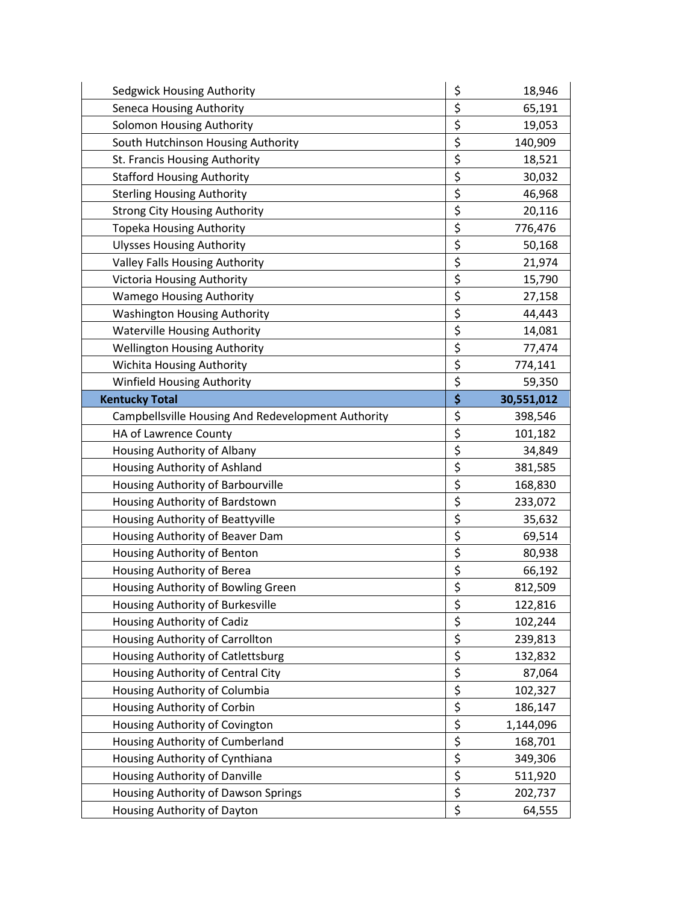| Sedgwick Housing Authority                         | \$       | 18,946     |
|----------------------------------------------------|----------|------------|
| <b>Seneca Housing Authority</b>                    | \$       | 65,191     |
| <b>Solomon Housing Authority</b>                   | \$       | 19,053     |
| South Hutchinson Housing Authority                 | \$       | 140,909    |
| St. Francis Housing Authority                      | \$       | 18,521     |
| <b>Stafford Housing Authority</b>                  | \$       | 30,032     |
| <b>Sterling Housing Authority</b>                  | \$       | 46,968     |
| <b>Strong City Housing Authority</b>               | \$       | 20,116     |
| <b>Topeka Housing Authority</b>                    | \$       | 776,476    |
| <b>Ulysses Housing Authority</b>                   | \$       | 50,168     |
| Valley Falls Housing Authority                     | \$       | 21,974     |
| <b>Victoria Housing Authority</b>                  | \$       | 15,790     |
| <b>Wamego Housing Authority</b>                    | \$       | 27,158     |
| <b>Washington Housing Authority</b>                | \$       | 44,443     |
| <b>Waterville Housing Authority</b>                | \$       | 14,081     |
| <b>Wellington Housing Authority</b>                | \$       | 77,474     |
| Wichita Housing Authority                          | \$       | 774,141    |
| Winfield Housing Authority                         | \$       | 59,350     |
| <b>Kentucky Total</b>                              | \$       | 30,551,012 |
| Campbellsville Housing And Redevelopment Authority | \$       | 398,546    |
| HA of Lawrence County                              | \$       | 101,182    |
| Housing Authority of Albany                        | \$       | 34,849     |
| Housing Authority of Ashland                       | \$       | 381,585    |
| Housing Authority of Barbourville                  | \$       | 168,830    |
| Housing Authority of Bardstown                     | \$       | 233,072    |
| Housing Authority of Beattyville                   | \$       | 35,632     |
| Housing Authority of Beaver Dam                    |          |            |
|                                                    | \$       | 69,514     |
| Housing Authority of Benton                        | \$       | 80,938     |
| Housing Authority of Berea                         | \$       | 66,192     |
| Housing Authority of Bowling Green                 | \$       | 812,509    |
| Housing Authority of Burkesville                   | \$       | 122,816    |
| Housing Authority of Cadiz                         | \$       | 102,244    |
| Housing Authority of Carrollton                    | \$       | 239,813    |
| Housing Authority of Catlettsburg                  | \$       | 132,832    |
| Housing Authority of Central City                  | \$       | 87,064     |
| Housing Authority of Columbia                      | \$       | 102,327    |
| Housing Authority of Corbin                        | \$       | 186,147    |
| Housing Authority of Covington                     | \$       | 1,144,096  |
| Housing Authority of Cumberland                    | \$       | 168,701    |
| Housing Authority of Cynthiana                     | \$       | 349,306    |
| Housing Authority of Danville                      | \$       | 511,920    |
| Housing Authority of Dawson Springs                | \$<br>\$ | 202,737    |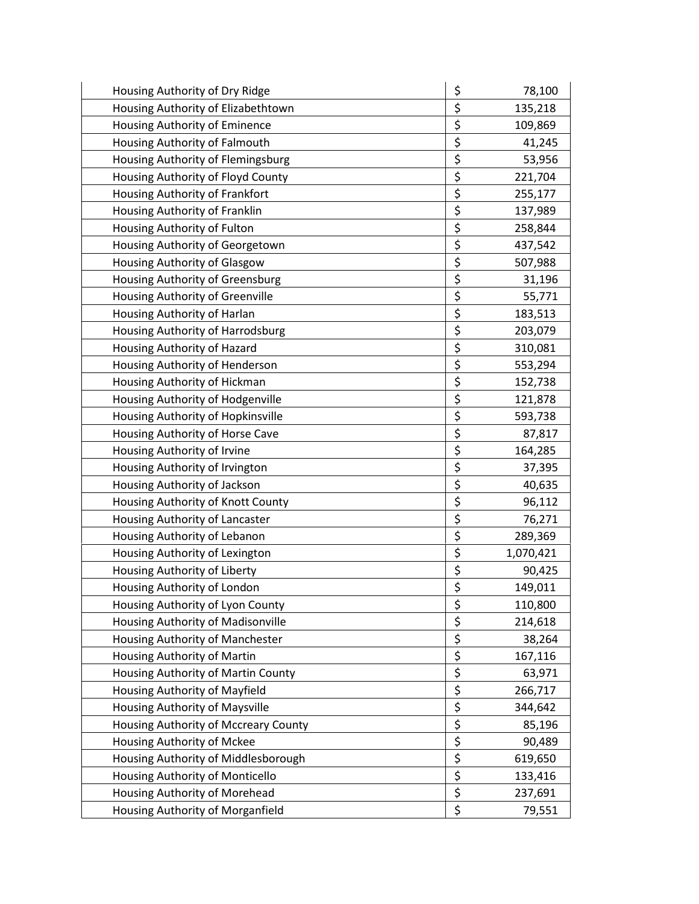| Housing Authority of Dry Ridge       | \$<br>78,100    |
|--------------------------------------|-----------------|
| Housing Authority of Elizabethtown   | \$<br>135,218   |
| Housing Authority of Eminence        | \$<br>109,869   |
| Housing Authority of Falmouth        | \$<br>41,245    |
| Housing Authority of Flemingsburg    | \$<br>53,956    |
| Housing Authority of Floyd County    | \$<br>221,704   |
| Housing Authority of Frankfort       | \$<br>255,177   |
| Housing Authority of Franklin        | \$<br>137,989   |
| Housing Authority of Fulton          | \$<br>258,844   |
| Housing Authority of Georgetown      | \$<br>437,542   |
| Housing Authority of Glasgow         | \$<br>507,988   |
| Housing Authority of Greensburg      | \$<br>31,196    |
| Housing Authority of Greenville      | \$<br>55,771    |
| Housing Authority of Harlan          | \$<br>183,513   |
| Housing Authority of Harrodsburg     | \$<br>203,079   |
| Housing Authority of Hazard          | \$<br>310,081   |
| Housing Authority of Henderson       | \$<br>553,294   |
| Housing Authority of Hickman         | \$<br>152,738   |
| Housing Authority of Hodgenville     | \$<br>121,878   |
| Housing Authority of Hopkinsville    | \$<br>593,738   |
| Housing Authority of Horse Cave      | \$<br>87,817    |
| Housing Authority of Irvine          | \$<br>164,285   |
| Housing Authority of Irvington       | \$<br>37,395    |
| Housing Authority of Jackson         | \$<br>40,635    |
| Housing Authority of Knott County    | \$<br>96,112    |
| Housing Authority of Lancaster       | \$<br>76,271    |
| Housing Authority of Lebanon         | \$<br>289,369   |
| Housing Authority of Lexington       | \$<br>1,070,421 |
| Housing Authority of Liberty         | \$<br>90,425    |
| Housing Authority of London          | \$<br>149,011   |
| Housing Authority of Lyon County     | \$<br>110,800   |
| Housing Authority of Madisonville    | \$<br>214,618   |
| Housing Authority of Manchester      | \$<br>38,264    |
| Housing Authority of Martin          | \$<br>167,116   |
| Housing Authority of Martin County   | \$<br>63,971    |
| Housing Authority of Mayfield        | \$<br>266,717   |
| Housing Authority of Maysville       | \$<br>344,642   |
| Housing Authority of Mccreary County | \$<br>85,196    |
| Housing Authority of Mckee           | \$<br>90,489    |
| Housing Authority of Middlesborough  | \$<br>619,650   |
| Housing Authority of Monticello      | \$<br>133,416   |
| Housing Authority of Morehead        | \$<br>237,691   |
| Housing Authority of Morganfield     | \$<br>79,551    |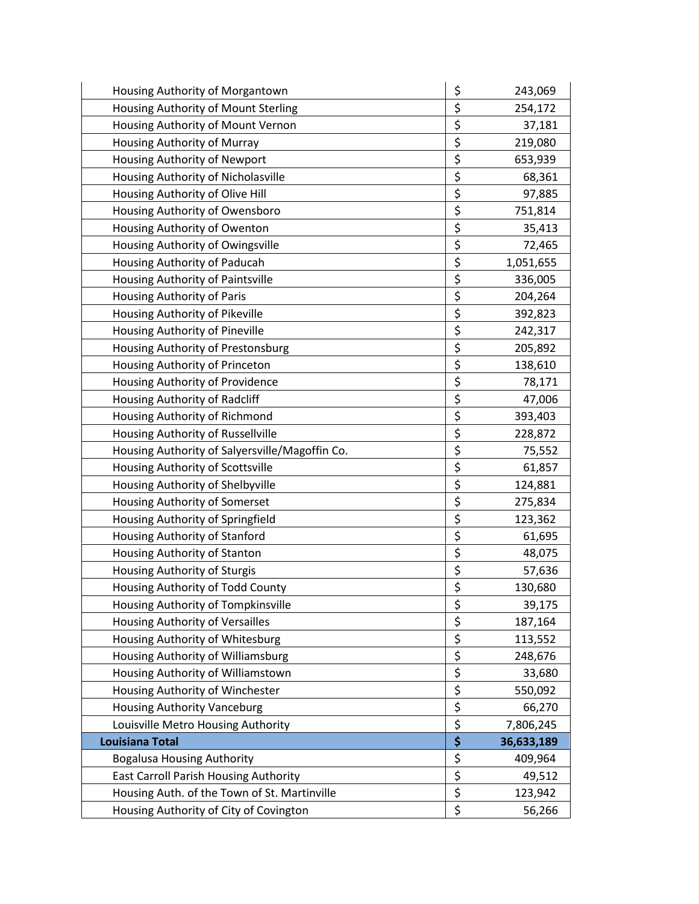| Housing Authority of Morgantown                | \$<br>243,069    |
|------------------------------------------------|------------------|
| Housing Authority of Mount Sterling            | \$<br>254,172    |
| Housing Authority of Mount Vernon              | \$<br>37,181     |
| Housing Authority of Murray                    | \$<br>219,080    |
| Housing Authority of Newport                   | \$<br>653,939    |
| Housing Authority of Nicholasville             | \$<br>68,361     |
| Housing Authority of Olive Hill                | \$<br>97,885     |
| Housing Authority of Owensboro                 | \$<br>751,814    |
| Housing Authority of Owenton                   | \$<br>35,413     |
| Housing Authority of Owingsville               | \$<br>72,465     |
| Housing Authority of Paducah                   | \$<br>1,051,655  |
| Housing Authority of Paintsville               | \$<br>336,005    |
| Housing Authority of Paris                     | \$<br>204,264    |
| Housing Authority of Pikeville                 | \$<br>392,823    |
| Housing Authority of Pineville                 | \$<br>242,317    |
| Housing Authority of Prestonsburg              | \$<br>205,892    |
| Housing Authority of Princeton                 | \$<br>138,610    |
| Housing Authority of Providence                | \$<br>78,171     |
| Housing Authority of Radcliff                  | \$<br>47,006     |
| Housing Authority of Richmond                  | \$<br>393,403    |
| Housing Authority of Russellville              | \$<br>228,872    |
| Housing Authority of Salyersville/Magoffin Co. | \$<br>75,552     |
| Housing Authority of Scottsville               | \$<br>61,857     |
| Housing Authority of Shelbyville               | \$<br>124,881    |
| Housing Authority of Somerset                  | \$<br>275,834    |
| Housing Authority of Springfield               | \$<br>123,362    |
| Housing Authority of Stanford                  | \$<br>61,695     |
| Housing Authority of Stanton                   | \$<br>48,075     |
| Housing Authority of Sturgis                   | \$<br>57,636     |
| Housing Authority of Todd County               | \$<br>130,680    |
| Housing Authority of Tompkinsville             | \$<br>39,175     |
| Housing Authority of Versailles                | \$<br>187,164    |
| Housing Authority of Whitesburg                | \$<br>113,552    |
| Housing Authority of Williamsburg              | \$<br>248,676    |
| Housing Authority of Williamstown              | \$<br>33,680     |
| Housing Authority of Winchester                | \$<br>550,092    |
| <b>Housing Authority Vanceburg</b>             | \$<br>66,270     |
| Louisville Metro Housing Authority             | \$<br>7,806,245  |
| Louisiana Total                                | \$<br>36,633,189 |
| <b>Bogalusa Housing Authority</b>              | \$<br>409,964    |
| East Carroll Parish Housing Authority          | \$<br>49,512     |
| Housing Auth. of the Town of St. Martinville   | \$<br>123,942    |
| Housing Authority of City of Covington         | \$<br>56,266     |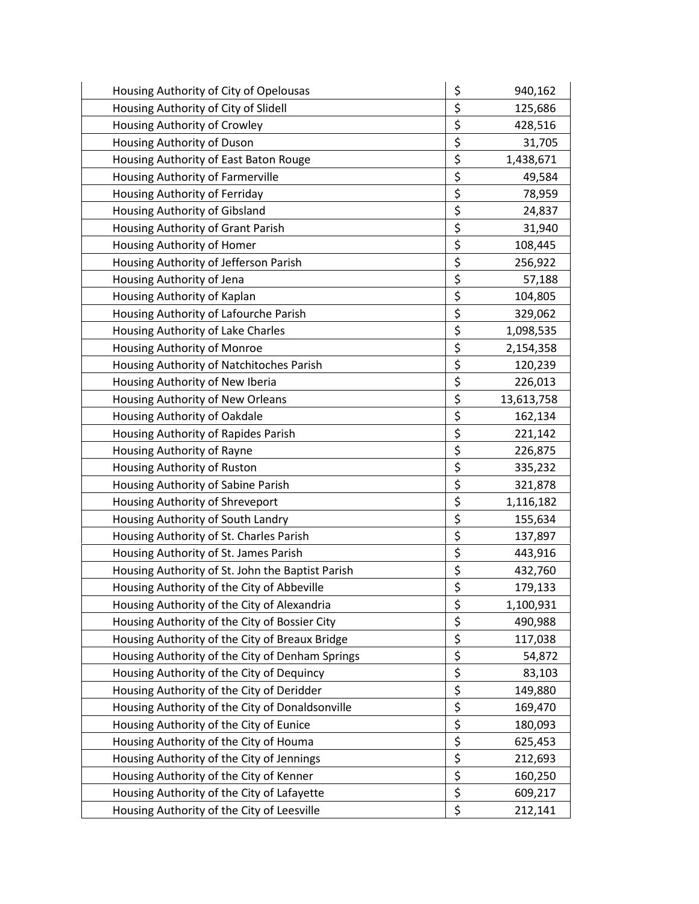| Housing Authority of City of Opelousas           | \$<br>940,162    |
|--------------------------------------------------|------------------|
| Housing Authority of City of Slidell             | \$<br>125,686    |
| Housing Authority of Crowley                     | \$<br>428,516    |
| Housing Authority of Duson                       | \$<br>31,705     |
| Housing Authority of East Baton Rouge            | \$<br>1,438,671  |
| Housing Authority of Farmerville                 | \$<br>49,584     |
| Housing Authority of Ferriday                    | \$<br>78,959     |
| Housing Authority of Gibsland                    | \$<br>24,837     |
| Housing Authority of Grant Parish                | \$<br>31,940     |
| Housing Authority of Homer                       | \$<br>108,445    |
| Housing Authority of Jefferson Parish            | \$<br>256,922    |
| Housing Authority of Jena                        | \$<br>57,188     |
| Housing Authority of Kaplan                      | \$<br>104,805    |
| Housing Authority of Lafourche Parish            | \$<br>329,062    |
| Housing Authority of Lake Charles                | \$<br>1,098,535  |
| Housing Authority of Monroe                      | \$<br>2,154,358  |
| Housing Authority of Natchitoches Parish         | \$<br>120,239    |
| Housing Authority of New Iberia                  | \$<br>226,013    |
| Housing Authority of New Orleans                 | \$<br>13,613,758 |
| Housing Authority of Oakdale                     | \$<br>162,134    |
| Housing Authority of Rapides Parish              | \$<br>221,142    |
| Housing Authority of Rayne                       | \$<br>226,875    |
| Housing Authority of Ruston                      | \$<br>335,232    |
| Housing Authority of Sabine Parish               | \$<br>321,878    |
| Housing Authority of Shreveport                  | \$<br>1,116,182  |
| Housing Authority of South Landry                | \$<br>155,634    |
| Housing Authority of St. Charles Parish          | \$<br>137,897    |
| Housing Authority of St. James Parish            | \$<br>443,916    |
| Housing Authority of St. John the Baptist Parish | \$<br>432,760    |
| Housing Authority of the City of Abbeville       | \$<br>179,133    |
| Housing Authority of the City of Alexandria      | \$<br>1,100,931  |
| Housing Authority of the City of Bossier City    | \$<br>490,988    |
| Housing Authority of the City of Breaux Bridge   | \$<br>117,038    |
| Housing Authority of the City of Denham Springs  | \$<br>54,872     |
| Housing Authority of the City of Dequincy        | \$<br>83,103     |
| Housing Authority of the City of Deridder        | \$<br>149,880    |
| Housing Authority of the City of Donaldsonville  | \$<br>169,470    |
| Housing Authority of the City of Eunice          | \$<br>180,093    |
| Housing Authority of the City of Houma           | \$<br>625,453    |
| Housing Authority of the City of Jennings        | \$<br>212,693    |
| Housing Authority of the City of Kenner          | \$<br>160,250    |
| Housing Authority of the City of Lafayette       | \$<br>609,217    |
| Housing Authority of the City of Leesville       | \$<br>212,141    |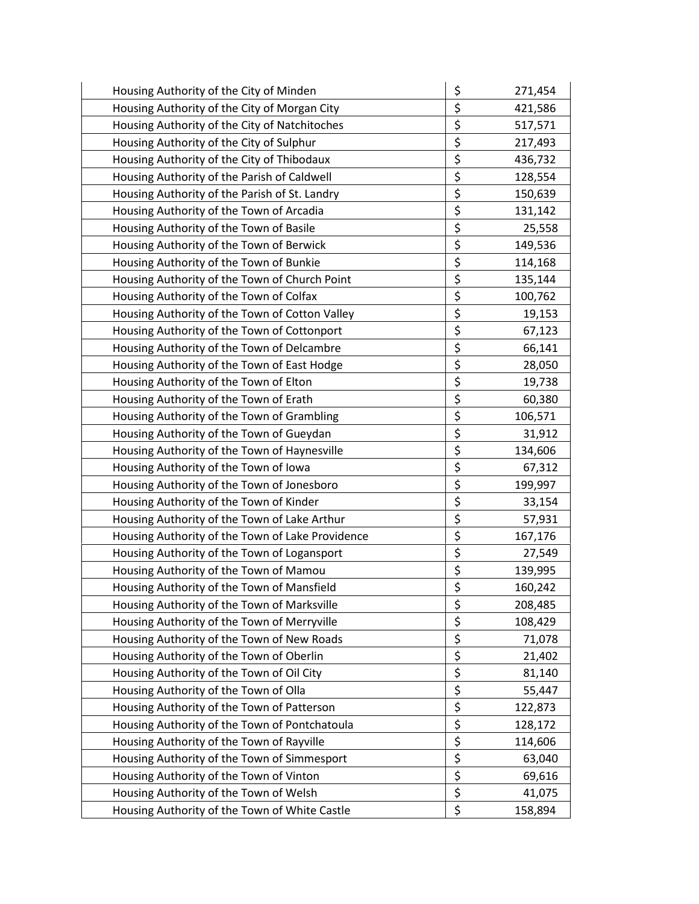| Housing Authority of the City of Minden          | \$                      | 271,454 |
|--------------------------------------------------|-------------------------|---------|
| Housing Authority of the City of Morgan City     | \$                      | 421,586 |
| Housing Authority of the City of Natchitoches    | \$                      | 517,571 |
| Housing Authority of the City of Sulphur         | \$                      | 217,493 |
| Housing Authority of the City of Thibodaux       | \$                      | 436,732 |
| Housing Authority of the Parish of Caldwell      | \$                      | 128,554 |
| Housing Authority of the Parish of St. Landry    | \$                      | 150,639 |
| Housing Authority of the Town of Arcadia         | \$                      | 131,142 |
| Housing Authority of the Town of Basile          | \$                      | 25,558  |
| Housing Authority of the Town of Berwick         | \$                      | 149,536 |
| Housing Authority of the Town of Bunkie          | \$                      | 114,168 |
| Housing Authority of the Town of Church Point    | \$                      | 135,144 |
| Housing Authority of the Town of Colfax          | \$                      | 100,762 |
| Housing Authority of the Town of Cotton Valley   | \$                      | 19,153  |
| Housing Authority of the Town of Cottonport      | \$                      | 67,123  |
| Housing Authority of the Town of Delcambre       | \$                      | 66,141  |
| Housing Authority of the Town of East Hodge      | \$                      | 28,050  |
| Housing Authority of the Town of Elton           | \$                      | 19,738  |
| Housing Authority of the Town of Erath           | \$                      | 60,380  |
| Housing Authority of the Town of Grambling       | \$                      | 106,571 |
| Housing Authority of the Town of Gueydan         | \$                      | 31,912  |
| Housing Authority of the Town of Haynesville     | \$                      | 134,606 |
| Housing Authority of the Town of Iowa            | $\overline{\xi}$        | 67,312  |
| Housing Authority of the Town of Jonesboro       | \$                      | 199,997 |
| Housing Authority of the Town of Kinder          | \$                      | 33,154  |
| Housing Authority of the Town of Lake Arthur     | \$                      | 57,931  |
| Housing Authority of the Town of Lake Providence | $\overline{\xi}$        | 167,176 |
| Housing Authority of the Town of Logansport      | \$                      | 27,549  |
| Housing Authority of the Town of Mamou           | \$                      | 139,995 |
| Housing Authority of the Town of Mansfield       | $\overline{\mathsf{S}}$ | 160,242 |
| Housing Authority of the Town of Marksville      | \$                      | 208,485 |
| Housing Authority of the Town of Merryville      | \$                      | 108,429 |
| Housing Authority of the Town of New Roads       | $\overline{\xi}$        | 71,078  |
| Housing Authority of the Town of Oberlin         | $\overline{\xi}$        | 21,402  |
| Housing Authority of the Town of Oil City        | \$                      | 81,140  |
| Housing Authority of the Town of Olla            | \$                      | 55,447  |
| Housing Authority of the Town of Patterson       | $\overline{\xi}$        | 122,873 |
| Housing Authority of the Town of Pontchatoula    | \$                      | 128,172 |
| Housing Authority of the Town of Rayville        | \$                      | 114,606 |
| Housing Authority of the Town of Simmesport      | \$                      | 63,040  |
| Housing Authority of the Town of Vinton          | $\overline{\xi}$        | 69,616  |
| Housing Authority of the Town of Welsh           | $\overline{\xi}$        | 41,075  |
| Housing Authority of the Town of White Castle    | \$                      | 158,894 |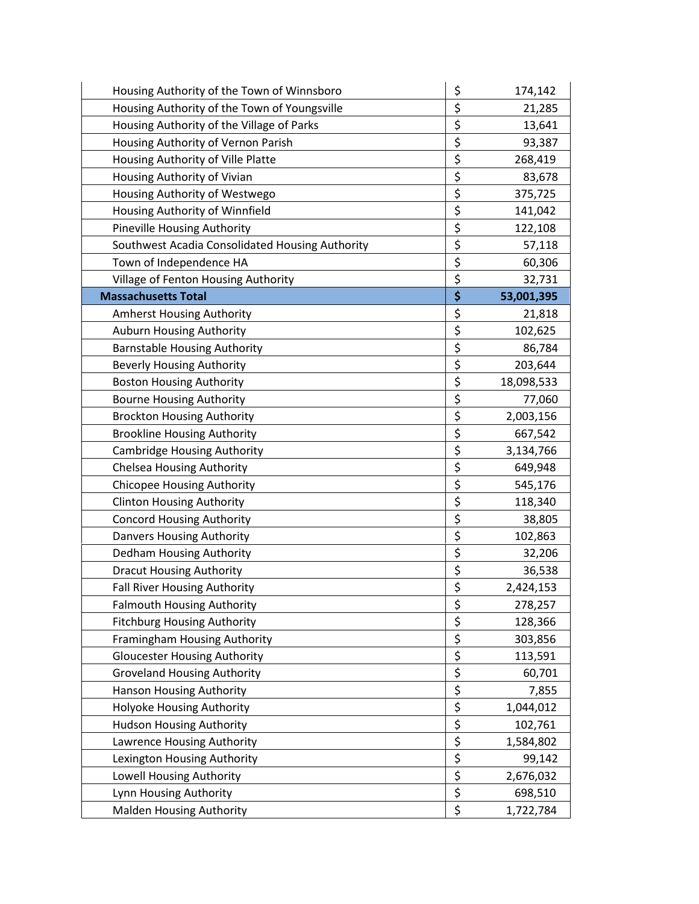| Housing Authority of the Town of Winnsboro      | \$<br>174,142    |
|-------------------------------------------------|------------------|
| Housing Authority of the Town of Youngsville    | \$<br>21,285     |
| Housing Authority of the Village of Parks       | \$<br>13,641     |
| Housing Authority of Vernon Parish              | \$<br>93,387     |
| Housing Authority of Ville Platte               | \$<br>268,419    |
| Housing Authority of Vivian                     | \$<br>83,678     |
| Housing Authority of Westwego                   | \$<br>375,725    |
| Housing Authority of Winnfield                  | \$<br>141,042    |
| <b>Pineville Housing Authority</b>              | \$<br>122,108    |
| Southwest Acadia Consolidated Housing Authority | \$<br>57,118     |
| Town of Independence HA                         | \$<br>60,306     |
| Village of Fenton Housing Authority             | \$<br>32,731     |
| <b>Massachusetts Total</b>                      | \$<br>53,001,395 |
| Amherst Housing Authority                       | \$<br>21,818     |
| <b>Auburn Housing Authority</b>                 | \$<br>102,625    |
| <b>Barnstable Housing Authority</b>             | \$<br>86,784     |
| <b>Beverly Housing Authority</b>                | \$<br>203,644    |
| <b>Boston Housing Authority</b>                 | \$<br>18,098,533 |
| <b>Bourne Housing Authority</b>                 | \$<br>77,060     |
| <b>Brockton Housing Authority</b>               | \$<br>2,003,156  |
| <b>Brookline Housing Authority</b>              | \$<br>667,542    |
| <b>Cambridge Housing Authority</b>              | \$<br>3,134,766  |
| <b>Chelsea Housing Authority</b>                | \$<br>649,948    |
| <b>Chicopee Housing Authority</b>               | \$<br>545,176    |
| <b>Clinton Housing Authority</b>                | \$<br>118,340    |
| <b>Concord Housing Authority</b>                | \$<br>38,805     |
| Danvers Housing Authority                       | \$<br>102,863    |
| Dedham Housing Authority                        | \$<br>32,206     |
| <b>Dracut Housing Authority</b>                 | \$<br>36,538     |
| <b>Fall River Housing Authority</b>             | \$<br>2,424,153  |
| <b>Falmouth Housing Authority</b>               | \$<br>278,257    |
| <b>Fitchburg Housing Authority</b>              | \$<br>128,366    |
| Framingham Housing Authority                    | \$<br>303,856    |
| <b>Gloucester Housing Authority</b>             | \$<br>113,591    |
| <b>Groveland Housing Authority</b>              | \$<br>60,701     |
| <b>Hanson Housing Authority</b>                 | \$<br>7,855      |
| Holyoke Housing Authority                       | \$<br>1,044,012  |
| <b>Hudson Housing Authority</b>                 | \$<br>102,761    |
| Lawrence Housing Authority                      | \$<br>1,584,802  |
| Lexington Housing Authority                     | \$<br>99,142     |
| Lowell Housing Authority                        | \$<br>2,676,032  |
| Lynn Housing Authority                          | \$<br>698,510    |
| <b>Malden Housing Authority</b>                 | \$<br>1,722,784  |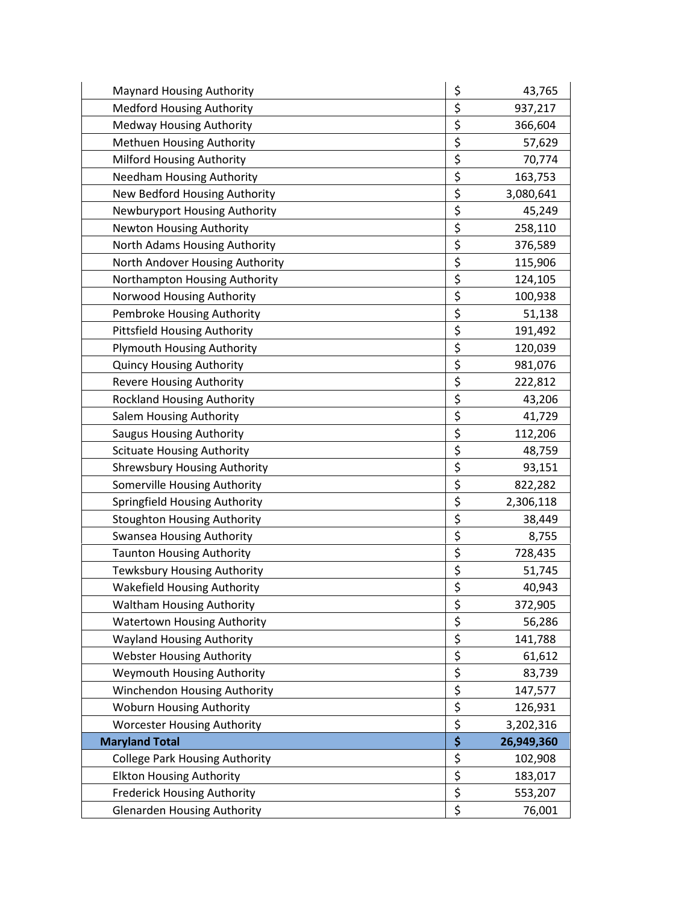| <b>Maynard Housing Authority</b>      | \$               | 43,765     |
|---------------------------------------|------------------|------------|
| <b>Medford Housing Authority</b>      | \$               | 937,217    |
| Medway Housing Authority              | \$               | 366,604    |
| Methuen Housing Authority             | \$               | 57,629     |
| Milford Housing Authority             | \$               | 70,774     |
| Needham Housing Authority             | \$               | 163,753    |
| New Bedford Housing Authority         | \$               | 3,080,641  |
| Newburyport Housing Authority         | \$               | 45,249     |
| <b>Newton Housing Authority</b>       | \$               | 258,110    |
| North Adams Housing Authority         | \$               | 376,589    |
| North Andover Housing Authority       | \$               | 115,906    |
| Northampton Housing Authority         | \$               | 124,105    |
| Norwood Housing Authority             | \$               | 100,938    |
| Pembroke Housing Authority            | \$               | 51,138     |
| <b>Pittsfield Housing Authority</b>   | \$               | 191,492    |
| Plymouth Housing Authority            | \$               | 120,039    |
| <b>Quincy Housing Authority</b>       | \$               | 981,076    |
| <b>Revere Housing Authority</b>       | \$               | 222,812    |
| <b>Rockland Housing Authority</b>     | \$               | 43,206     |
| Salem Housing Authority               | \$               | 41,729     |
| <b>Saugus Housing Authority</b>       | \$               | 112,206    |
| <b>Scituate Housing Authority</b>     | \$               | 48,759     |
| <b>Shrewsbury Housing Authority</b>   | \$               | 93,151     |
| Somerville Housing Authority          | \$               | 822,282    |
| Springfield Housing Authority         | \$               | 2,306,118  |
| <b>Stoughton Housing Authority</b>    | \$               | 38,449     |
| <b>Swansea Housing Authority</b>      | \$               | 8,755      |
| <b>Taunton Housing Authority</b>      | \$               | 728,435    |
| Tewksbury Housing Authority           | \$               | 51,745     |
| <b>Wakefield Housing Authority</b>    | \$               | 40,943     |
| <b>Waltham Housing Authority</b>      | \$               | 372,905    |
| <b>Watertown Housing Authority</b>    | \$               | 56,286     |
| <b>Wayland Housing Authority</b>      | \$               | 141,788    |
| <b>Webster Housing Authority</b>      | \$               | 61,612     |
| <b>Weymouth Housing Authority</b>     | \$               | 83,739     |
| Winchendon Housing Authority          | \$               | 147,577    |
| Woburn Housing Authority              | \$               | 126,931    |
| <b>Worcester Housing Authority</b>    | \$               | 3,202,316  |
| <b>Maryland Total</b>                 | \$               | 26,949,360 |
| <b>College Park Housing Authority</b> | \$               | 102,908    |
| <b>Elkton Housing Authority</b>       | $\overline{\xi}$ | 183,017    |
| <b>Frederick Housing Authority</b>    | \$               | 553,207    |
| <b>Glenarden Housing Authority</b>    | \$               | 76,001     |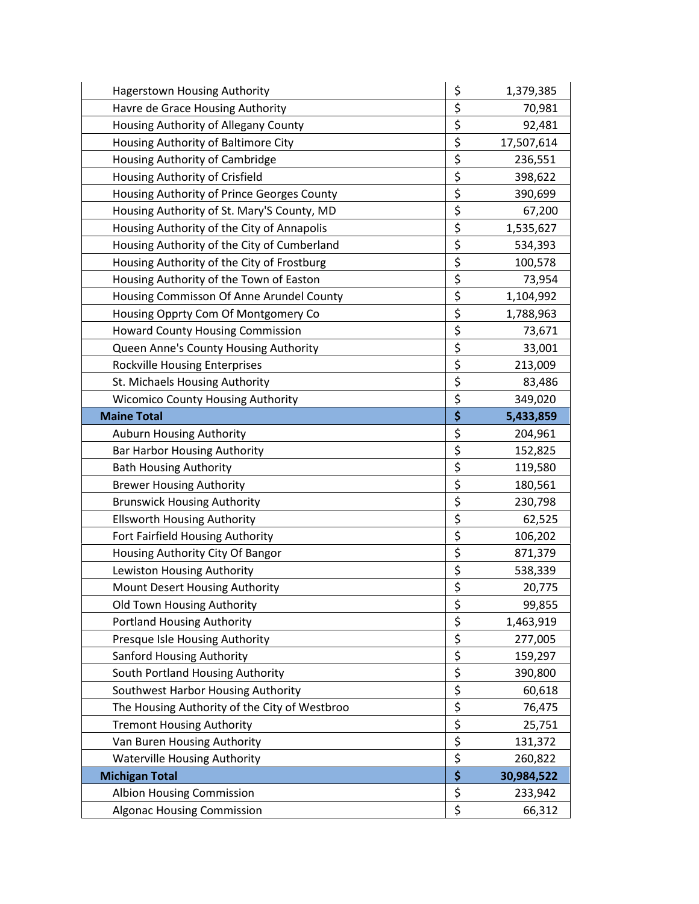| <b>Hagerstown Housing Authority</b>           | \$<br>1,379,385  |
|-----------------------------------------------|------------------|
| Havre de Grace Housing Authority              | \$<br>70,981     |
| Housing Authority of Allegany County          | \$<br>92,481     |
| Housing Authority of Baltimore City           | \$<br>17,507,614 |
| Housing Authority of Cambridge                | \$<br>236,551    |
| Housing Authority of Crisfield                | \$<br>398,622    |
| Housing Authority of Prince Georges County    | \$<br>390,699    |
| Housing Authority of St. Mary'S County, MD    | \$<br>67,200     |
| Housing Authority of the City of Annapolis    | \$<br>1,535,627  |
| Housing Authority of the City of Cumberland   | \$<br>534,393    |
| Housing Authority of the City of Frostburg    | \$<br>100,578    |
| Housing Authority of the Town of Easton       | \$<br>73,954     |
| Housing Commisson Of Anne Arundel County      | \$<br>1,104,992  |
| Housing Opprty Com Of Montgomery Co           | \$<br>1,788,963  |
| <b>Howard County Housing Commission</b>       | \$<br>73,671     |
| Queen Anne's County Housing Authority         | \$<br>33,001     |
| <b>Rockville Housing Enterprises</b>          | \$<br>213,009    |
| St. Michaels Housing Authority                | \$<br>83,486     |
| <b>Wicomico County Housing Authority</b>      | \$<br>349,020    |
| <b>Maine Total</b>                            | \$<br>5,433,859  |
| Auburn Housing Authority                      | \$<br>204,961    |
| <b>Bar Harbor Housing Authority</b>           | \$<br>152,825    |
| <b>Bath Housing Authority</b>                 | \$<br>119,580    |
| <b>Brewer Housing Authority</b>               | \$<br>180,561    |
| <b>Brunswick Housing Authority</b>            | \$<br>230,798    |
| <b>Ellsworth Housing Authority</b>            | \$<br>62,525     |
| Fort Fairfield Housing Authority              | \$<br>106,202    |
| Housing Authority City Of Bangor              | \$<br>871,379    |
| Lewiston Housing Authority                    | \$<br>538,339    |
| Mount Desert Housing Authority                | \$<br>20,775     |
| Old Town Housing Authority                    | \$<br>99,855     |
| <b>Portland Housing Authority</b>             | \$<br>1,463,919  |
| Presque Isle Housing Authority                | \$<br>277,005    |
| Sanford Housing Authority                     | \$<br>159,297    |
| South Portland Housing Authority              | \$<br>390,800    |
| Southwest Harbor Housing Authority            | \$<br>60,618     |
| The Housing Authority of the City of Westbroo | \$<br>76,475     |
| <b>Tremont Housing Authority</b>              | \$<br>25,751     |
| Van Buren Housing Authority                   | \$<br>131,372    |
| <b>Waterville Housing Authority</b>           | \$<br>260,822    |
| <b>Michigan Total</b>                         | \$<br>30,984,522 |
| Albion Housing Commission                     | \$<br>233,942    |
| <b>Algonac Housing Commission</b>             | \$<br>66,312     |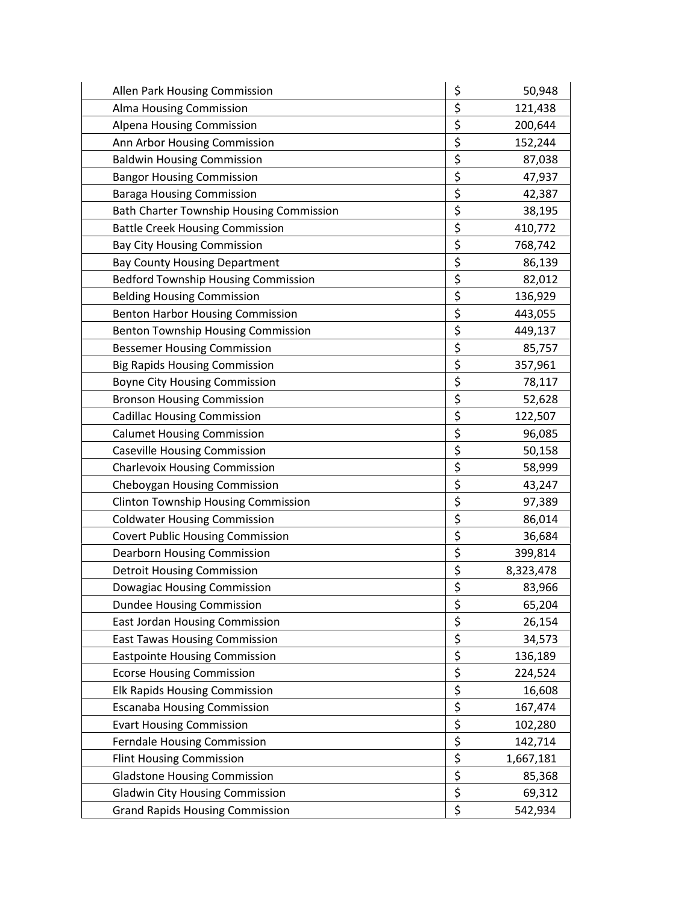| Allen Park Housing Commission                   | \$<br>50,948    |
|-------------------------------------------------|-----------------|
| Alma Housing Commission                         | \$<br>121,438   |
| Alpena Housing Commission                       | \$<br>200,644   |
| Ann Arbor Housing Commission                    | \$<br>152,244   |
| <b>Baldwin Housing Commission</b>               | \$<br>87,038    |
| <b>Bangor Housing Commission</b>                | \$<br>47,937    |
| <b>Baraga Housing Commission</b>                | \$<br>42,387    |
| <b>Bath Charter Township Housing Commission</b> | \$<br>38,195    |
| <b>Battle Creek Housing Commission</b>          | \$<br>410,772   |
| <b>Bay City Housing Commission</b>              | \$<br>768,742   |
| <b>Bay County Housing Department</b>            | \$<br>86,139    |
| <b>Bedford Township Housing Commission</b>      | \$<br>82,012    |
| <b>Belding Housing Commission</b>               | \$<br>136,929   |
| Benton Harbor Housing Commission                | \$<br>443,055   |
| <b>Benton Township Housing Commission</b>       | \$<br>449,137   |
| <b>Bessemer Housing Commission</b>              | \$<br>85,757    |
| <b>Big Rapids Housing Commission</b>            | \$<br>357,961   |
| <b>Boyne City Housing Commission</b>            | \$<br>78,117    |
| <b>Bronson Housing Commission</b>               | \$<br>52,628    |
| <b>Cadillac Housing Commission</b>              | \$<br>122,507   |
| <b>Calumet Housing Commission</b>               | \$<br>96,085    |
| <b>Caseville Housing Commission</b>             | \$<br>50,158    |
| <b>Charlevoix Housing Commission</b>            | \$<br>58,999    |
| Cheboygan Housing Commission                    | \$<br>43,247    |
| <b>Clinton Township Housing Commission</b>      | \$<br>97,389    |
| <b>Coldwater Housing Commission</b>             | \$<br>86,014    |
| <b>Covert Public Housing Commission</b>         | \$<br>36,684    |
| Dearborn Housing Commission                     | \$<br>399,814   |
| <b>Detroit Housing Commission</b>               | \$<br>8,323,478 |
| <b>Dowagiac Housing Commission</b>              | \$<br>83,966    |
| <b>Dundee Housing Commission</b>                | \$<br>65,204    |
| East Jordan Housing Commission                  | \$<br>26,154    |
| <b>East Tawas Housing Commission</b>            | \$<br>34,573    |
| <b>Eastpointe Housing Commission</b>            | \$<br>136,189   |
| <b>Ecorse Housing Commission</b>                | \$<br>224,524   |
| <b>Elk Rapids Housing Commission</b>            | \$<br>16,608    |
| <b>Escanaba Housing Commission</b>              | \$<br>167,474   |
| <b>Evart Housing Commission</b>                 | \$<br>102,280   |
| Ferndale Housing Commission                     | \$<br>142,714   |
| <b>Flint Housing Commission</b>                 | \$<br>1,667,181 |
| <b>Gladstone Housing Commission</b>             | \$<br>85,368    |
| <b>Gladwin City Housing Commission</b>          | \$<br>69,312    |
| <b>Grand Rapids Housing Commission</b>          | \$<br>542,934   |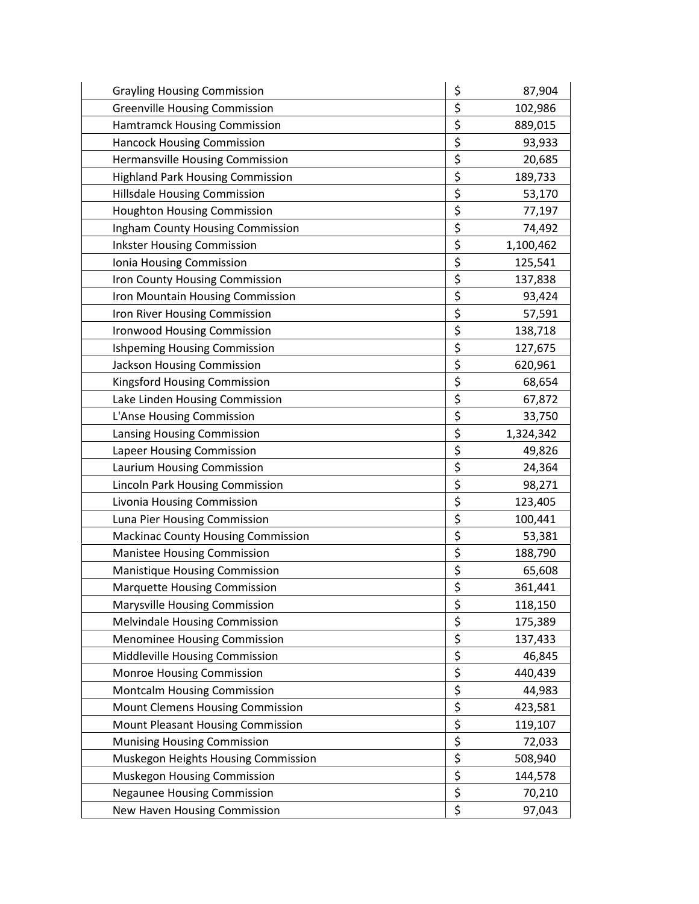| <b>Grayling Housing Commission</b>        | \$<br>87,904    |
|-------------------------------------------|-----------------|
| <b>Greenville Housing Commission</b>      | \$<br>102,986   |
| <b>Hamtramck Housing Commission</b>       | \$<br>889,015   |
| <b>Hancock Housing Commission</b>         | \$<br>93,933    |
| Hermansville Housing Commission           | \$<br>20,685    |
| <b>Highland Park Housing Commission</b>   | \$<br>189,733   |
| Hillsdale Housing Commission              | \$<br>53,170    |
| <b>Houghton Housing Commission</b>        | \$<br>77,197    |
| <b>Ingham County Housing Commission</b>   | \$<br>74,492    |
| <b>Inkster Housing Commission</b>         | \$<br>1,100,462 |
| Ionia Housing Commission                  | \$<br>125,541   |
| Iron County Housing Commission            | \$<br>137,838   |
| Iron Mountain Housing Commission          | \$<br>93,424    |
| Iron River Housing Commission             | \$<br>57,591    |
| <b>Ironwood Housing Commission</b>        | \$<br>138,718   |
| <b>Ishpeming Housing Commission</b>       | \$<br>127,675   |
| Jackson Housing Commission                | \$<br>620,961   |
| Kingsford Housing Commission              | \$<br>68,654    |
| Lake Linden Housing Commission            | \$<br>67,872    |
| L'Anse Housing Commission                 | \$<br>33,750    |
| Lansing Housing Commission                | \$<br>1,324,342 |
| Lapeer Housing Commission                 | \$<br>49,826    |
| Laurium Housing Commission                | \$<br>24,364    |
| Lincoln Park Housing Commission           | \$<br>98,271    |
| Livonia Housing Commission                | \$<br>123,405   |
| Luna Pier Housing Commission              | \$<br>100,441   |
| <b>Mackinac County Housing Commission</b> | \$<br>53,381    |
| <b>Manistee Housing Commission</b>        | \$<br>188,790   |
| <b>Manistique Housing Commission</b>      | \$<br>65,608    |
| <b>Marquette Housing Commission</b>       | \$<br>361,441   |
| <b>Marysville Housing Commission</b>      | \$<br>118,150   |
| Melvindale Housing Commission             | \$<br>175,389   |
| <b>Menominee Housing Commission</b>       | \$<br>137,433   |
| Middleville Housing Commission            | \$<br>46,845    |
| Monroe Housing Commission                 | \$<br>440,439   |
| Montcalm Housing Commission               | \$<br>44,983    |
| Mount Clemens Housing Commission          | \$<br>423,581   |
| Mount Pleasant Housing Commission         | \$<br>119,107   |
| <b>Munising Housing Commission</b>        | \$<br>72,033    |
| Muskegon Heights Housing Commission       | \$<br>508,940   |
| Muskegon Housing Commission               | \$<br>144,578   |
| <b>Negaunee Housing Commission</b>        | \$<br>70,210    |
| New Haven Housing Commission              | \$<br>97,043    |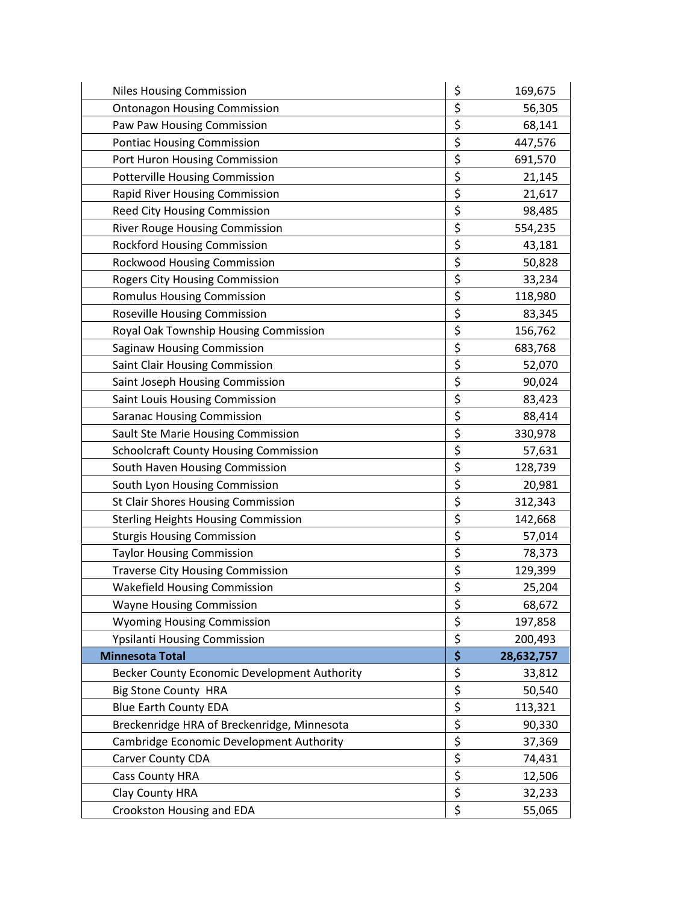| <b>Niles Housing Commission</b>              | \$<br>169,675    |
|----------------------------------------------|------------------|
| <b>Ontonagon Housing Commission</b>          | \$<br>56,305     |
| Paw Paw Housing Commission                   | \$<br>68,141     |
| <b>Pontiac Housing Commission</b>            | \$<br>447,576    |
| Port Huron Housing Commission                | \$<br>691,570    |
| Potterville Housing Commission               | \$<br>21,145     |
| <b>Rapid River Housing Commission</b>        | \$<br>21,617     |
| Reed City Housing Commission                 | \$<br>98,485     |
| River Rouge Housing Commission               | \$<br>554,235    |
| <b>Rockford Housing Commission</b>           | \$<br>43,181     |
| Rockwood Housing Commission                  | \$<br>50,828     |
| <b>Rogers City Housing Commission</b>        | \$<br>33,234     |
| <b>Romulus Housing Commission</b>            | \$<br>118,980    |
| Roseville Housing Commission                 | \$<br>83,345     |
| Royal Oak Township Housing Commission        | \$<br>156,762    |
| <b>Saginaw Housing Commission</b>            | \$<br>683,768    |
| Saint Clair Housing Commission               | \$<br>52,070     |
| Saint Joseph Housing Commission              | \$<br>90,024     |
| Saint Louis Housing Commission               | \$<br>83,423     |
| <b>Saranac Housing Commission</b>            | \$<br>88,414     |
| Sault Ste Marie Housing Commission           | \$<br>330,978    |
| <b>Schoolcraft County Housing Commission</b> | \$<br>57,631     |
| South Haven Housing Commission               | \$<br>128,739    |
| South Lyon Housing Commission                | \$<br>20,981     |
| St Clair Shores Housing Commission           | \$<br>312,343    |
| <b>Sterling Heights Housing Commission</b>   | \$<br>142,668    |
| <b>Sturgis Housing Commission</b>            | \$<br>57,014     |
| <b>Taylor Housing Commission</b>             | \$<br>78,373     |
| <b>Traverse City Housing Commission</b>      | \$<br>129,399    |
| <b>Wakefield Housing Commission</b>          | \$<br>25,204     |
| <b>Wayne Housing Commission</b>              | \$<br>68,672     |
| <b>Wyoming Housing Commission</b>            | \$<br>197,858    |
| Ypsilanti Housing Commission                 | \$<br>200,493    |
| <b>Minnesota Total</b>                       | \$<br>28,632,757 |
| Becker County Economic Development Authority | \$<br>33,812     |
| <b>Big Stone County HRA</b>                  | \$<br>50,540     |
| <b>Blue Earth County EDA</b>                 | \$<br>113,321    |
| Breckenridge HRA of Breckenridge, Minnesota  | \$<br>90,330     |
| Cambridge Economic Development Authority     | \$<br>37,369     |
| Carver County CDA                            | \$<br>74,431     |
| <b>Cass County HRA</b>                       | \$<br>12,506     |
| Clay County HRA                              | \$<br>32,233     |
| Crookston Housing and EDA                    | \$<br>55,065     |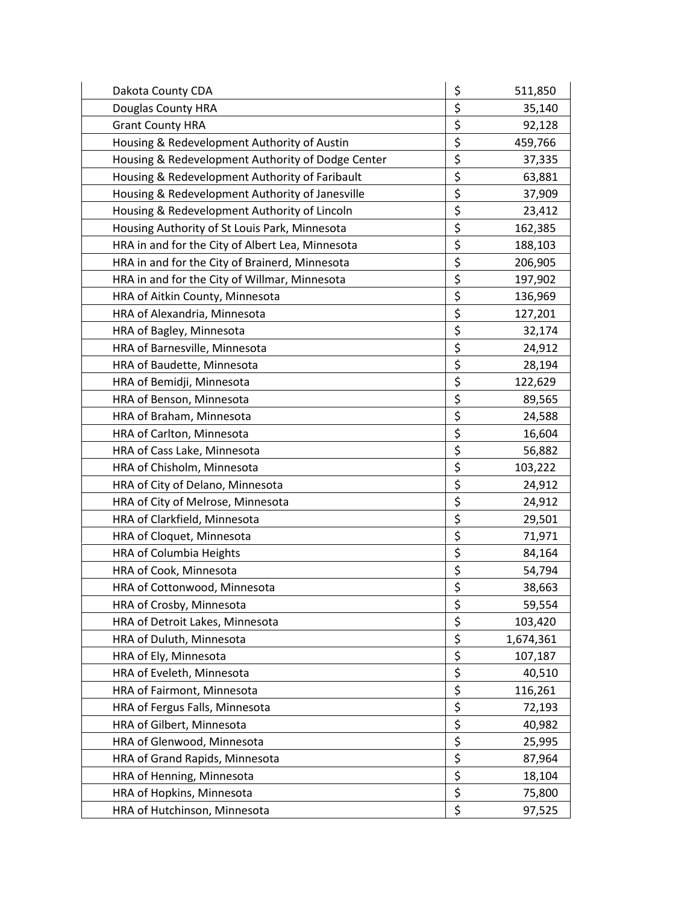| Dakota County CDA                                 | \$<br>511,850   |
|---------------------------------------------------|-----------------|
| Douglas County HRA                                | \$<br>35,140    |
| <b>Grant County HRA</b>                           | \$<br>92,128    |
| Housing & Redevelopment Authority of Austin       | \$<br>459,766   |
| Housing & Redevelopment Authority of Dodge Center | \$<br>37,335    |
| Housing & Redevelopment Authority of Faribault    | \$<br>63,881    |
| Housing & Redevelopment Authority of Janesville   | \$<br>37,909    |
| Housing & Redevelopment Authority of Lincoln      | \$<br>23,412    |
| Housing Authority of St Louis Park, Minnesota     | \$<br>162,385   |
| HRA in and for the City of Albert Lea, Minnesota  | \$<br>188,103   |
| HRA in and for the City of Brainerd, Minnesota    | \$<br>206,905   |
| HRA in and for the City of Willmar, Minnesota     | \$<br>197,902   |
| HRA of Aitkin County, Minnesota                   | \$<br>136,969   |
| HRA of Alexandria, Minnesota                      | \$<br>127,201   |
| HRA of Bagley, Minnesota                          | \$<br>32,174    |
| HRA of Barnesville, Minnesota                     | \$<br>24,912    |
| HRA of Baudette, Minnesota                        | \$<br>28,194    |
| HRA of Bemidji, Minnesota                         | \$<br>122,629   |
| HRA of Benson, Minnesota                          | \$<br>89,565    |
| HRA of Braham, Minnesota                          | \$<br>24,588    |
| HRA of Carlton, Minnesota                         | \$<br>16,604    |
| HRA of Cass Lake, Minnesota                       | \$<br>56,882    |
| HRA of Chisholm, Minnesota                        | \$<br>103,222   |
| HRA of City of Delano, Minnesota                  | \$<br>24,912    |
| HRA of City of Melrose, Minnesota                 | \$<br>24,912    |
| HRA of Clarkfield, Minnesota                      | \$<br>29,501    |
| HRA of Cloquet, Minnesota                         | \$<br>71,971    |
| HRA of Columbia Heights                           | \$<br>84,164    |
| HRA of Cook, Minnesota                            | \$<br>54,794    |
| HRA of Cottonwood, Minnesota                      | \$<br>38,663    |
| HRA of Crosby, Minnesota                          | \$<br>59,554    |
| HRA of Detroit Lakes, Minnesota                   | \$<br>103,420   |
| HRA of Duluth, Minnesota                          | \$<br>1,674,361 |
| HRA of Ely, Minnesota                             | \$<br>107,187   |
| HRA of Eveleth, Minnesota                         | \$<br>40,510    |
| HRA of Fairmont, Minnesota                        | \$<br>116,261   |
| HRA of Fergus Falls, Minnesota                    | \$<br>72,193    |
| HRA of Gilbert, Minnesota                         | \$<br>40,982    |
| HRA of Glenwood, Minnesota                        | \$<br>25,995    |
| HRA of Grand Rapids, Minnesota                    | \$<br>87,964    |
| HRA of Henning, Minnesota                         | \$<br>18,104    |
| HRA of Hopkins, Minnesota                         | \$<br>75,800    |
| HRA of Hutchinson, Minnesota                      | \$<br>97,525    |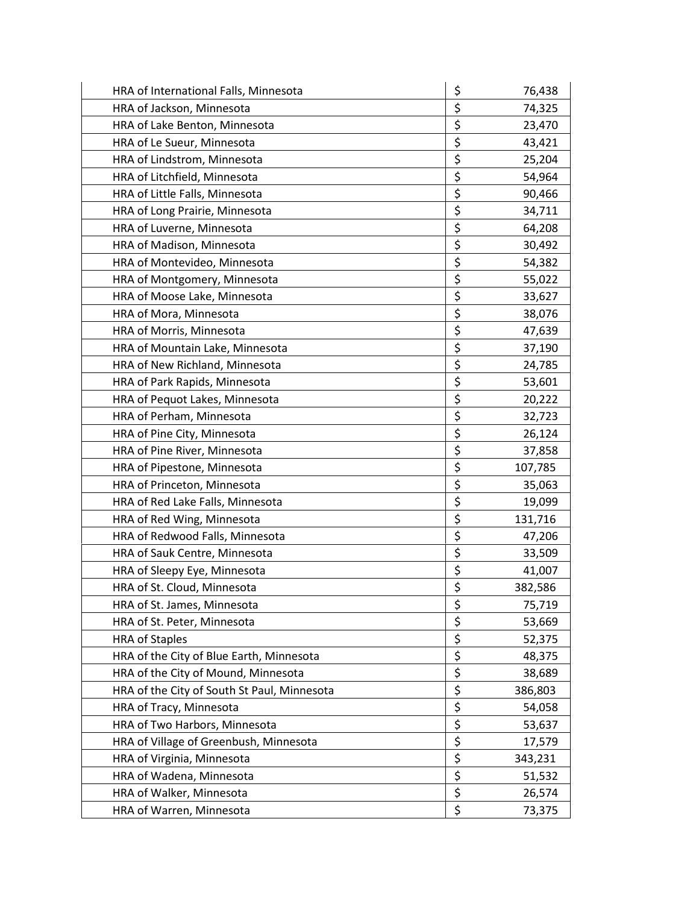| HRA of International Falls, Minnesota       | \$<br>76,438  |
|---------------------------------------------|---------------|
| HRA of Jackson, Minnesota                   | \$<br>74,325  |
| HRA of Lake Benton, Minnesota               | \$<br>23,470  |
| HRA of Le Sueur, Minnesota                  | \$<br>43,421  |
| HRA of Lindstrom, Minnesota                 | \$<br>25,204  |
| HRA of Litchfield, Minnesota                | \$<br>54,964  |
| HRA of Little Falls, Minnesota              | \$<br>90,466  |
| HRA of Long Prairie, Minnesota              | \$<br>34,711  |
| HRA of Luverne, Minnesota                   | \$<br>64,208  |
| HRA of Madison, Minnesota                   | \$<br>30,492  |
| HRA of Montevideo, Minnesota                | \$<br>54,382  |
| HRA of Montgomery, Minnesota                | \$<br>55,022  |
| HRA of Moose Lake, Minnesota                | \$<br>33,627  |
| HRA of Mora, Minnesota                      | \$<br>38,076  |
| HRA of Morris, Minnesota                    | \$<br>47,639  |
| HRA of Mountain Lake, Minnesota             | \$<br>37,190  |
| HRA of New Richland, Minnesota              | \$<br>24,785  |
| HRA of Park Rapids, Minnesota               | \$<br>53,601  |
| HRA of Pequot Lakes, Minnesota              | \$<br>20,222  |
| HRA of Perham, Minnesota                    | \$<br>32,723  |
| HRA of Pine City, Minnesota                 | \$<br>26,124  |
| HRA of Pine River, Minnesota                | \$<br>37,858  |
| HRA of Pipestone, Minnesota                 | \$<br>107,785 |
| HRA of Princeton, Minnesota                 | \$<br>35,063  |
| HRA of Red Lake Falls, Minnesota            | \$<br>19,099  |
| HRA of Red Wing, Minnesota                  | \$<br>131,716 |
| HRA of Redwood Falls, Minnesota             | \$<br>47,206  |
| HRA of Sauk Centre, Minnesota               | \$<br>33,509  |
| HRA of Sleepy Eye, Minnesota                | \$<br>41,007  |
| HRA of St. Cloud, Minnesota                 | \$<br>382,586 |
| HRA of St. James, Minnesota                 | \$<br>75,719  |
| HRA of St. Peter, Minnesota                 | \$<br>53,669  |
| <b>HRA of Staples</b>                       | \$<br>52,375  |
| HRA of the City of Blue Earth, Minnesota    | \$<br>48,375  |
| HRA of the City of Mound, Minnesota         | \$<br>38,689  |
| HRA of the City of South St Paul, Minnesota | \$<br>386,803 |
| HRA of Tracy, Minnesota                     | \$<br>54,058  |
| HRA of Two Harbors, Minnesota               | \$<br>53,637  |
| HRA of Village of Greenbush, Minnesota      | \$<br>17,579  |
| HRA of Virginia, Minnesota                  | \$<br>343,231 |
| HRA of Wadena, Minnesota                    | \$<br>51,532  |
| HRA of Walker, Minnesota                    | \$<br>26,574  |
| HRA of Warren, Minnesota                    | \$<br>73,375  |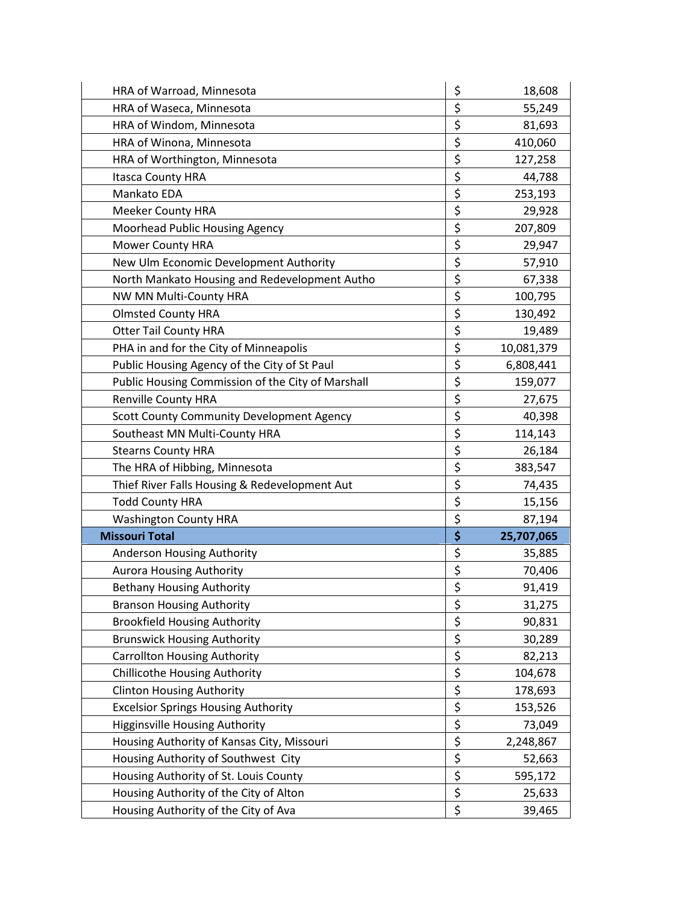| HRA of Warroad, Minnesota                         | \$<br>18,608     |
|---------------------------------------------------|------------------|
| HRA of Waseca, Minnesota                          | \$<br>55,249     |
| HRA of Windom, Minnesota                          | \$<br>81,693     |
| HRA of Winona, Minnesota                          | \$<br>410,060    |
| HRA of Worthington, Minnesota                     | \$<br>127,258    |
| <b>Itasca County HRA</b>                          | \$<br>44,788     |
| Mankato EDA                                       | \$<br>253,193    |
| <b>Meeker County HRA</b>                          | \$<br>29,928     |
| Moorhead Public Housing Agency                    | \$<br>207,809    |
| Mower County HRA                                  | \$<br>29,947     |
| New Ulm Economic Development Authority            | \$<br>57,910     |
| North Mankato Housing and Redevelopment Autho     | \$<br>67,338     |
| NW MN Multi-County HRA                            | \$<br>100,795    |
| <b>Olmsted County HRA</b>                         | \$<br>130,492    |
| <b>Otter Tail County HRA</b>                      | \$<br>19,489     |
| PHA in and for the City of Minneapolis            | \$<br>10,081,379 |
| Public Housing Agency of the City of St Paul      | \$<br>6,808,441  |
| Public Housing Commission of the City of Marshall | \$<br>159,077    |
| <b>Renville County HRA</b>                        | \$<br>27,675     |
| Scott County Community Development Agency         | \$<br>40,398     |
| Southeast MN Multi-County HRA                     | \$<br>114,143    |
| <b>Stearns County HRA</b>                         | \$<br>26,184     |
| The HRA of Hibbing, Minnesota                     | \$<br>383,547    |
| Thief River Falls Housing & Redevelopment Aut     | \$<br>74,435     |
| <b>Todd County HRA</b>                            | \$<br>15,156     |
| <b>Washington County HRA</b>                      | \$<br>87,194     |
| <b>Missouri Total</b>                             | \$<br>25,707,065 |
| Anderson Housing Authority                        | \$<br>35,885     |
| <b>Aurora Housing Authority</b>                   | \$<br>70,406     |
| <b>Bethany Housing Authority</b>                  | \$<br>91,419     |
| <b>Branson Housing Authority</b>                  | \$<br>31,275     |
| <b>Brookfield Housing Authority</b>               | \$<br>90,831     |
| <b>Brunswick Housing Authority</b>                | \$<br>30,289     |
| <b>Carrollton Housing Authority</b>               | \$<br>82,213     |
| <b>Chillicothe Housing Authority</b>              | \$<br>104,678    |
| <b>Clinton Housing Authority</b>                  | \$<br>178,693    |
| <b>Excelsior Springs Housing Authority</b>        | \$<br>153,526    |
| <b>Higginsville Housing Authority</b>             | \$<br>73,049     |
| Housing Authority of Kansas City, Missouri        | \$<br>2,248,867  |
| Housing Authority of Southwest City               | \$<br>52,663     |
| Housing Authority of St. Louis County             | \$<br>595,172    |
| Housing Authority of the City of Alton            | \$<br>25,633     |
| Housing Authority of the City of Ava              | \$<br>39,465     |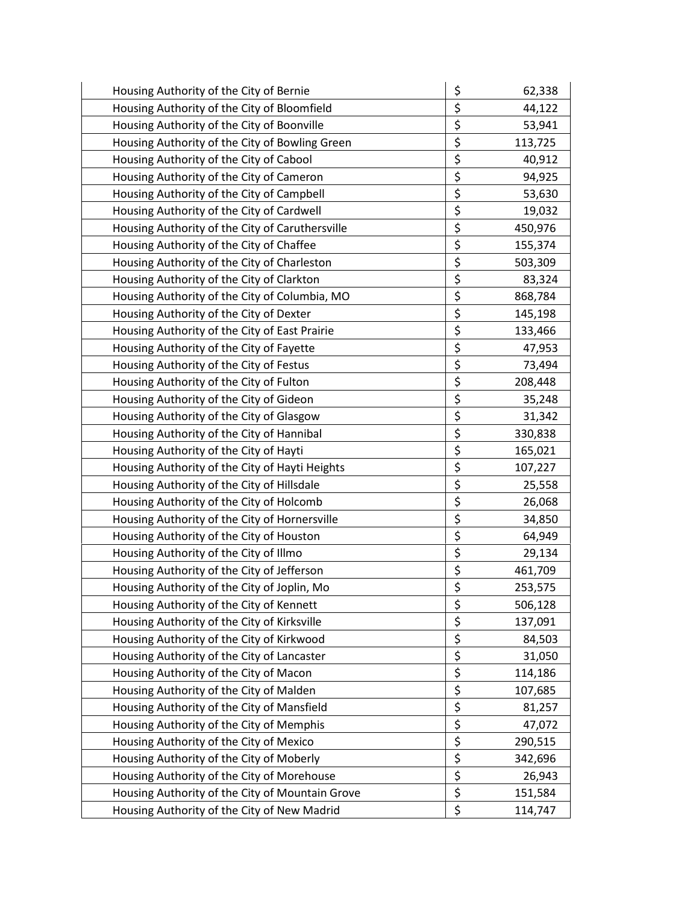| Housing Authority of the City of Bernie         | \$<br>62,338  |
|-------------------------------------------------|---------------|
| Housing Authority of the City of Bloomfield     | \$<br>44,122  |
| Housing Authority of the City of Boonville      | \$<br>53,941  |
| Housing Authority of the City of Bowling Green  | \$<br>113,725 |
| Housing Authority of the City of Cabool         | \$<br>40,912  |
| Housing Authority of the City of Cameron        | \$<br>94,925  |
| Housing Authority of the City of Campbell       | \$<br>53,630  |
| Housing Authority of the City of Cardwell       | \$<br>19,032  |
| Housing Authority of the City of Caruthersville | \$<br>450,976 |
| Housing Authority of the City of Chaffee        | \$<br>155,374 |
| Housing Authority of the City of Charleston     | \$<br>503,309 |
| Housing Authority of the City of Clarkton       | \$<br>83,324  |
| Housing Authority of the City of Columbia, MO   | \$<br>868,784 |
| Housing Authority of the City of Dexter         | \$<br>145,198 |
| Housing Authority of the City of East Prairie   | \$<br>133,466 |
| Housing Authority of the City of Fayette        | \$<br>47,953  |
| Housing Authority of the City of Festus         | \$<br>73,494  |
| Housing Authority of the City of Fulton         | \$<br>208,448 |
| Housing Authority of the City of Gideon         | \$<br>35,248  |
| Housing Authority of the City of Glasgow        | \$<br>31,342  |
| Housing Authority of the City of Hannibal       | \$<br>330,838 |
| Housing Authority of the City of Hayti          | \$<br>165,021 |
| Housing Authority of the City of Hayti Heights  | \$<br>107,227 |
| Housing Authority of the City of Hillsdale      | \$<br>25,558  |
| Housing Authority of the City of Holcomb        | \$<br>26,068  |
| Housing Authority of the City of Hornersville   | \$<br>34,850  |
| Housing Authority of the City of Houston        | \$<br>64,949  |
| Housing Authority of the City of Illmo          | \$<br>29,134  |
| Housing Authority of the City of Jefferson      | \$<br>461,709 |
| Housing Authority of the City of Joplin, Mo     | \$<br>253,575 |
| Housing Authority of the City of Kennett        | \$<br>506,128 |
| Housing Authority of the City of Kirksville     | \$<br>137,091 |
| Housing Authority of the City of Kirkwood       | \$<br>84,503  |
| Housing Authority of the City of Lancaster      | \$<br>31,050  |
| Housing Authority of the City of Macon          | \$<br>114,186 |
| Housing Authority of the City of Malden         | \$<br>107,685 |
| Housing Authority of the City of Mansfield      | \$<br>81,257  |
| Housing Authority of the City of Memphis        | \$<br>47,072  |
| Housing Authority of the City of Mexico         | \$<br>290,515 |
| Housing Authority of the City of Moberly        | \$<br>342,696 |
| Housing Authority of the City of Morehouse      | \$<br>26,943  |
| Housing Authority of the City of Mountain Grove | \$<br>151,584 |
| Housing Authority of the City of New Madrid     | \$<br>114,747 |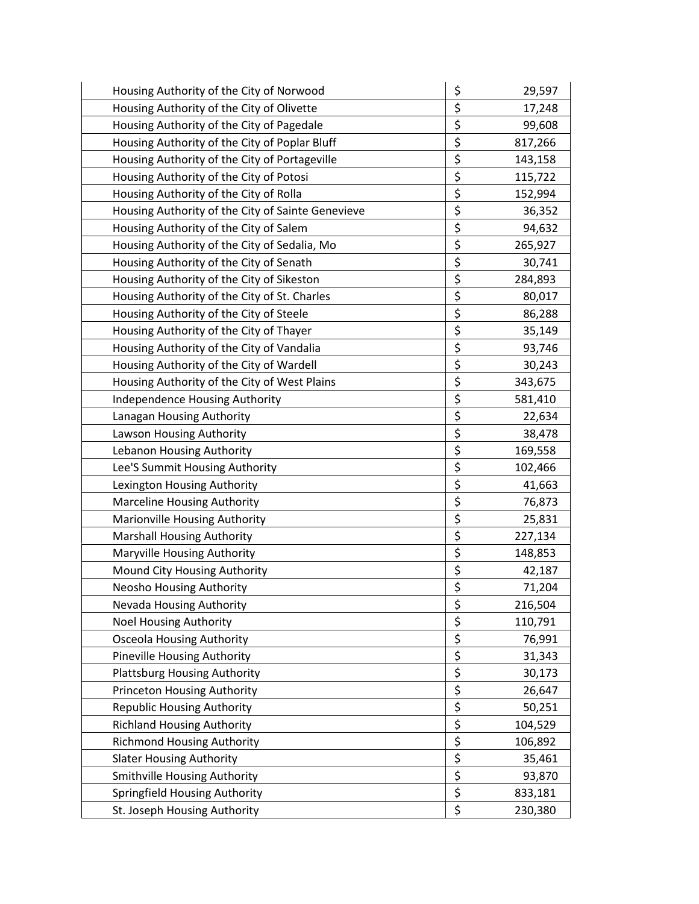| Housing Authority of the City of Norwood          | \$               | 29,597  |
|---------------------------------------------------|------------------|---------|
| Housing Authority of the City of Olivette         | \$               | 17,248  |
| Housing Authority of the City of Pagedale         | \$               | 99,608  |
| Housing Authority of the City of Poplar Bluff     | \$               | 817,266 |
| Housing Authority of the City of Portageville     | \$               | 143,158 |
| Housing Authority of the City of Potosi           | \$               | 115,722 |
| Housing Authority of the City of Rolla            | \$               | 152,994 |
| Housing Authority of the City of Sainte Genevieve | \$               | 36,352  |
| Housing Authority of the City of Salem            | \$               | 94,632  |
| Housing Authority of the City of Sedalia, Mo      | \$               | 265,927 |
| Housing Authority of the City of Senath           | \$               | 30,741  |
| Housing Authority of the City of Sikeston         | \$               | 284,893 |
| Housing Authority of the City of St. Charles      | \$               | 80,017  |
| Housing Authority of the City of Steele           | \$               | 86,288  |
| Housing Authority of the City of Thayer           | \$               | 35,149  |
| Housing Authority of the City of Vandalia         | \$               | 93,746  |
| Housing Authority of the City of Wardell          | \$               | 30,243  |
| Housing Authority of the City of West Plains      | \$               | 343,675 |
| Independence Housing Authority                    | \$               | 581,410 |
| Lanagan Housing Authority                         | \$               | 22,634  |
| Lawson Housing Authority                          | \$               | 38,478  |
| Lebanon Housing Authority                         | \$               | 169,558 |
| Lee'S Summit Housing Authority                    | \$               | 102,466 |
| Lexington Housing Authority                       | \$               | 41,663  |
| <b>Marceline Housing Authority</b>                | \$               | 76,873  |
| Marionville Housing Authority                     | \$               | 25,831  |
| <b>Marshall Housing Authority</b>                 | \$               | 227,134 |
| Maryville Housing Authority                       | \$               | 148,853 |
| Mound City Housing Authority                      | \$               | 42,187  |
| <b>Neosho Housing Authority</b>                   | \$               | 71,204  |
| Nevada Housing Authority                          | \$               | 216,504 |
| <b>Noel Housing Authority</b>                     | \$               | 110,791 |
| <b>Osceola Housing Authority</b>                  | \$               | 76,991  |
| Pineville Housing Authority                       | \$               | 31,343  |
| <b>Plattsburg Housing Authority</b>               | \$               | 30,173  |
| Princeton Housing Authority                       | \$               | 26,647  |
| <b>Republic Housing Authority</b>                 | \$               | 50,251  |
| <b>Richland Housing Authority</b>                 | \$               | 104,529 |
| <b>Richmond Housing Authority</b>                 | \$               | 106,892 |
| <b>Slater Housing Authority</b>                   | \$               | 35,461  |
| Smithville Housing Authority                      | $\overline{\xi}$ | 93,870  |
| Springfield Housing Authority                     | \$               | 833,181 |
| St. Joseph Housing Authority                      | \$               | 230,380 |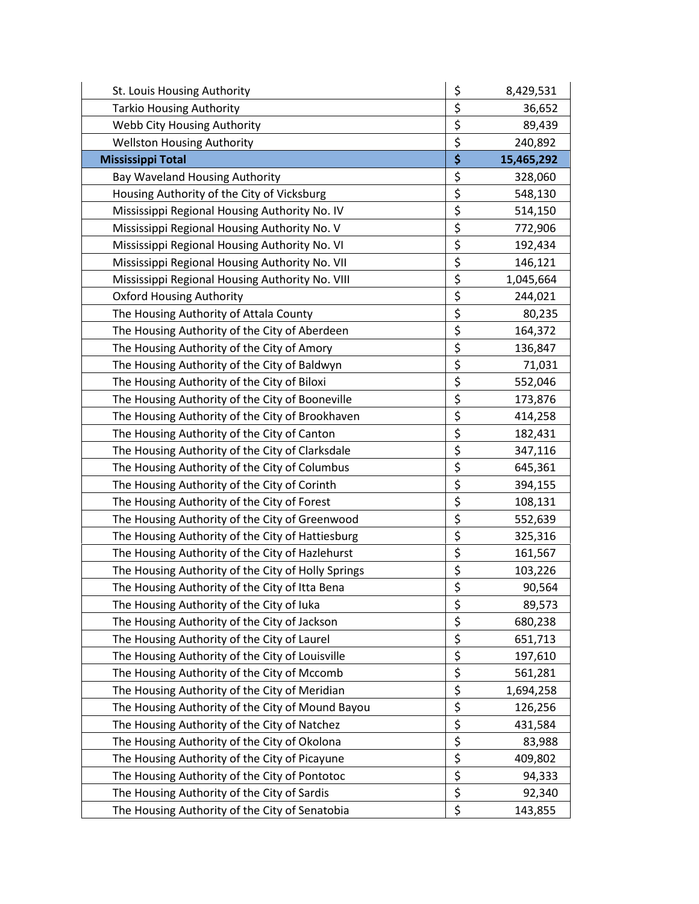| St. Louis Housing Authority                        | \$<br>8,429,531  |
|----------------------------------------------------|------------------|
| <b>Tarkio Housing Authority</b>                    | \$<br>36,652     |
| Webb City Housing Authority                        | \$<br>89,439     |
| <b>Wellston Housing Authority</b>                  | \$<br>240,892    |
| <b>Mississippi Total</b>                           | \$<br>15,465,292 |
| Bay Waveland Housing Authority                     | \$<br>328,060    |
| Housing Authority of the City of Vicksburg         | \$<br>548,130    |
| Mississippi Regional Housing Authority No. IV      | \$<br>514,150    |
| Mississippi Regional Housing Authority No. V       | \$<br>772,906    |
| Mississippi Regional Housing Authority No. VI      | \$<br>192,434    |
| Mississippi Regional Housing Authority No. VII     | \$<br>146,121    |
| Mississippi Regional Housing Authority No. VIII    | \$<br>1,045,664  |
| <b>Oxford Housing Authority</b>                    | \$<br>244,021    |
| The Housing Authority of Attala County             | \$<br>80,235     |
| The Housing Authority of the City of Aberdeen      | \$<br>164,372    |
| The Housing Authority of the City of Amory         | \$<br>136,847    |
| The Housing Authority of the City of Baldwyn       | \$<br>71,031     |
| The Housing Authority of the City of Biloxi        | \$<br>552,046    |
| The Housing Authority of the City of Booneville    | \$<br>173,876    |
| The Housing Authority of the City of Brookhaven    | \$<br>414,258    |
| The Housing Authority of the City of Canton        | \$<br>182,431    |
| The Housing Authority of the City of Clarksdale    | \$<br>347,116    |
| The Housing Authority of the City of Columbus      | \$<br>645,361    |
| The Housing Authority of the City of Corinth       | \$<br>394,155    |
| The Housing Authority of the City of Forest        | \$<br>108,131    |
| The Housing Authority of the City of Greenwood     | \$<br>552,639    |
| The Housing Authority of the City of Hattiesburg   | \$<br>325,316    |
| The Housing Authority of the City of Hazlehurst    | \$<br>161,567    |
| The Housing Authority of the City of Holly Springs | \$<br>103,226    |
| The Housing Authority of the City of Itta Bena     | \$<br>90,564     |
| The Housing Authority of the City of luka          | \$<br>89,573     |
| The Housing Authority of the City of Jackson       | \$<br>680,238    |
| The Housing Authority of the City of Laurel        | \$<br>651,713    |
| The Housing Authority of the City of Louisville    | \$<br>197,610    |
| The Housing Authority of the City of Mccomb        | \$<br>561,281    |
| The Housing Authority of the City of Meridian      | \$<br>1,694,258  |
| The Housing Authority of the City of Mound Bayou   | \$<br>126,256    |
| The Housing Authority of the City of Natchez       | \$<br>431,584    |
| The Housing Authority of the City of Okolona       | \$<br>83,988     |
| The Housing Authority of the City of Picayune      | \$<br>409,802    |
| The Housing Authority of the City of Pontotoc      | \$<br>94,333     |
| The Housing Authority of the City of Sardis        | \$<br>92,340     |
| The Housing Authority of the City of Senatobia     | \$<br>143,855    |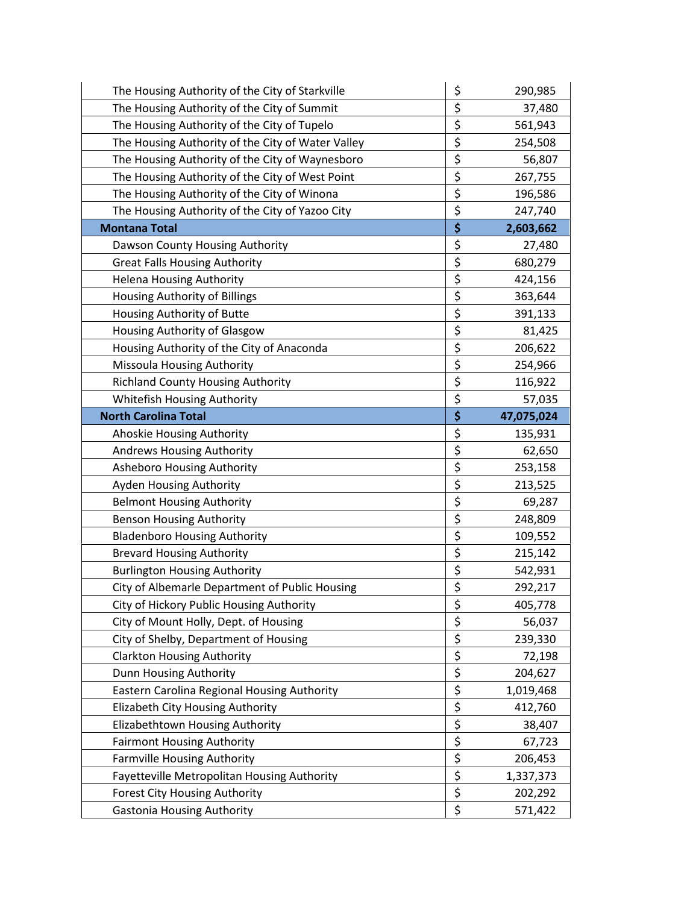| The Housing Authority of the City of Starkville   | \$<br>290,985    |
|---------------------------------------------------|------------------|
| The Housing Authority of the City of Summit       | \$<br>37,480     |
| The Housing Authority of the City of Tupelo       | \$<br>561,943    |
| The Housing Authority of the City of Water Valley | \$<br>254,508    |
| The Housing Authority of the City of Waynesboro   | \$<br>56,807     |
| The Housing Authority of the City of West Point   | \$<br>267,755    |
| The Housing Authority of the City of Winona       | \$<br>196,586    |
| The Housing Authority of the City of Yazoo City   | \$<br>247,740    |
| <b>Montana Total</b>                              | \$<br>2,603,662  |
| Dawson County Housing Authority                   | \$<br>27,480     |
| <b>Great Falls Housing Authority</b>              | \$<br>680,279    |
| <b>Helena Housing Authority</b>                   | \$<br>424,156    |
| Housing Authority of Billings                     | \$<br>363,644    |
| Housing Authority of Butte                        | \$<br>391,133    |
| Housing Authority of Glasgow                      | \$<br>81,425     |
| Housing Authority of the City of Anaconda         | \$<br>206,622    |
| Missoula Housing Authority                        | \$<br>254,966    |
| <b>Richland County Housing Authority</b>          | \$<br>116,922    |
| Whitefish Housing Authority                       | \$<br>57,035     |
| <b>North Carolina Total</b>                       | \$<br>47,075,024 |
| Ahoskie Housing Authority                         | \$<br>135,931    |
| <b>Andrews Housing Authority</b>                  | \$<br>62,650     |
| <b>Asheboro Housing Authority</b>                 | \$<br>253,158    |
| Ayden Housing Authority                           | \$<br>213,525    |
| <b>Belmont Housing Authority</b>                  | \$<br>69,287     |
| <b>Benson Housing Authority</b>                   | \$<br>248,809    |
| <b>Bladenboro Housing Authority</b>               | \$<br>109,552    |
| <b>Brevard Housing Authority</b>                  | \$<br>215,142    |
| <b>Burlington Housing Authority</b>               | \$<br>542,931    |
| City of Albemarle Department of Public Housing    | \$<br>292,217    |
| City of Hickory Public Housing Authority          | \$<br>405,778    |
| City of Mount Holly, Dept. of Housing             | \$<br>56,037     |
| City of Shelby, Department of Housing             | \$<br>239,330    |
| <b>Clarkton Housing Authority</b>                 | \$<br>72,198     |
| Dunn Housing Authority                            | \$<br>204,627    |
| Eastern Carolina Regional Housing Authority       | \$<br>1,019,468  |
| Elizabeth City Housing Authority                  | \$<br>412,760    |
| Elizabethtown Housing Authority                   | \$<br>38,407     |
| <b>Fairmont Housing Authority</b>                 | \$<br>67,723     |
| <b>Farmville Housing Authority</b>                | \$<br>206,453    |
| Fayetteville Metropolitan Housing Authority       | \$<br>1,337,373  |
| <b>Forest City Housing Authority</b>              | \$<br>202,292    |
| <b>Gastonia Housing Authority</b>                 | \$<br>571,422    |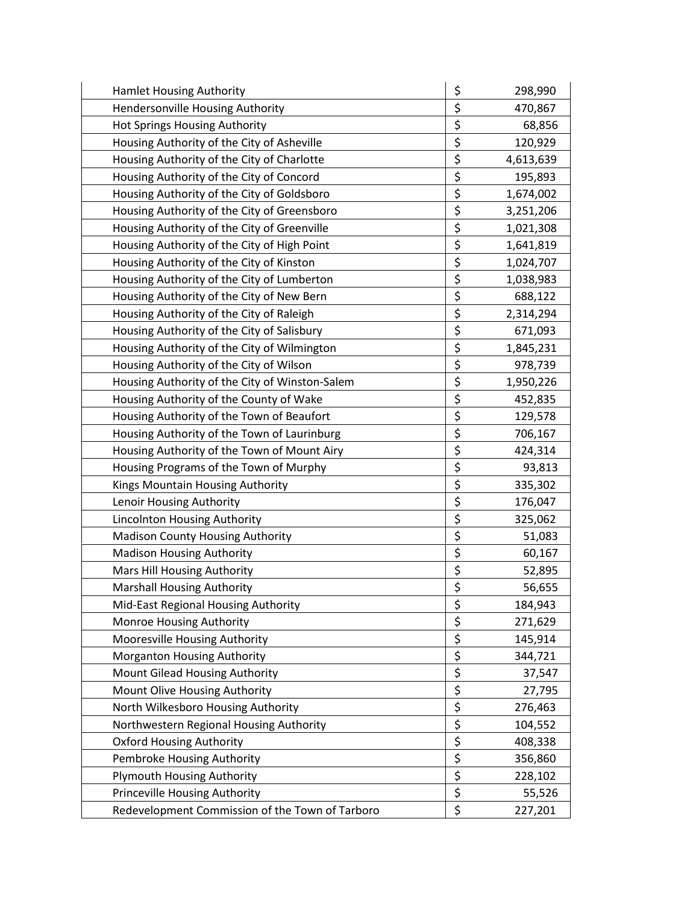| <b>Hamlet Housing Authority</b>                 | \$<br>298,990   |
|-------------------------------------------------|-----------------|
| Hendersonville Housing Authority                | \$<br>470,867   |
| Hot Springs Housing Authority                   | \$<br>68,856    |
| Housing Authority of the City of Asheville      | \$<br>120,929   |
| Housing Authority of the City of Charlotte      | \$<br>4,613,639 |
| Housing Authority of the City of Concord        | \$<br>195,893   |
| Housing Authority of the City of Goldsboro      | \$<br>1,674,002 |
| Housing Authority of the City of Greensboro     | \$<br>3,251,206 |
| Housing Authority of the City of Greenville     | \$<br>1,021,308 |
| Housing Authority of the City of High Point     | \$<br>1,641,819 |
| Housing Authority of the City of Kinston        | \$<br>1,024,707 |
| Housing Authority of the City of Lumberton      | \$<br>1,038,983 |
| Housing Authority of the City of New Bern       | \$<br>688,122   |
| Housing Authority of the City of Raleigh        | \$<br>2,314,294 |
| Housing Authority of the City of Salisbury      | \$<br>671,093   |
| Housing Authority of the City of Wilmington     | \$<br>1,845,231 |
| Housing Authority of the City of Wilson         | \$<br>978,739   |
| Housing Authority of the City of Winston-Salem  | \$<br>1,950,226 |
| Housing Authority of the County of Wake         | \$<br>452,835   |
| Housing Authority of the Town of Beaufort       | \$<br>129,578   |
| Housing Authority of the Town of Laurinburg     | \$<br>706,167   |
| Housing Authority of the Town of Mount Airy     | \$<br>424,314   |
| Housing Programs of the Town of Murphy          | \$<br>93,813    |
| Kings Mountain Housing Authority                | \$<br>335,302   |
| Lenoir Housing Authority                        | \$<br>176,047   |
| Lincolnton Housing Authority                    | \$<br>325,062   |
| <b>Madison County Housing Authority</b>         | \$<br>51,083    |
| <b>Madison Housing Authority</b>                | \$<br>60,167    |
| Mars Hill Housing Authority                     | \$<br>52,895    |
| <b>Marshall Housing Authority</b>               | \$<br>56,655    |
| Mid-East Regional Housing Authority             | \$<br>184,943   |
| Monroe Housing Authority                        | \$<br>271,629   |
| Mooresville Housing Authority                   | \$<br>145,914   |
| Morganton Housing Authority                     | \$<br>344,721   |
| Mount Gilead Housing Authority                  | \$<br>37,547    |
| Mount Olive Housing Authority                   | \$<br>27,795    |
| North Wilkesboro Housing Authority              | \$<br>276,463   |
| Northwestern Regional Housing Authority         | \$<br>104,552   |
| <b>Oxford Housing Authority</b>                 | \$<br>408,338   |
| Pembroke Housing Authority                      | \$<br>356,860   |
| <b>Plymouth Housing Authority</b>               | \$<br>228,102   |
| Princeville Housing Authority                   | \$<br>55,526    |
| Redevelopment Commission of the Town of Tarboro | \$<br>227,201   |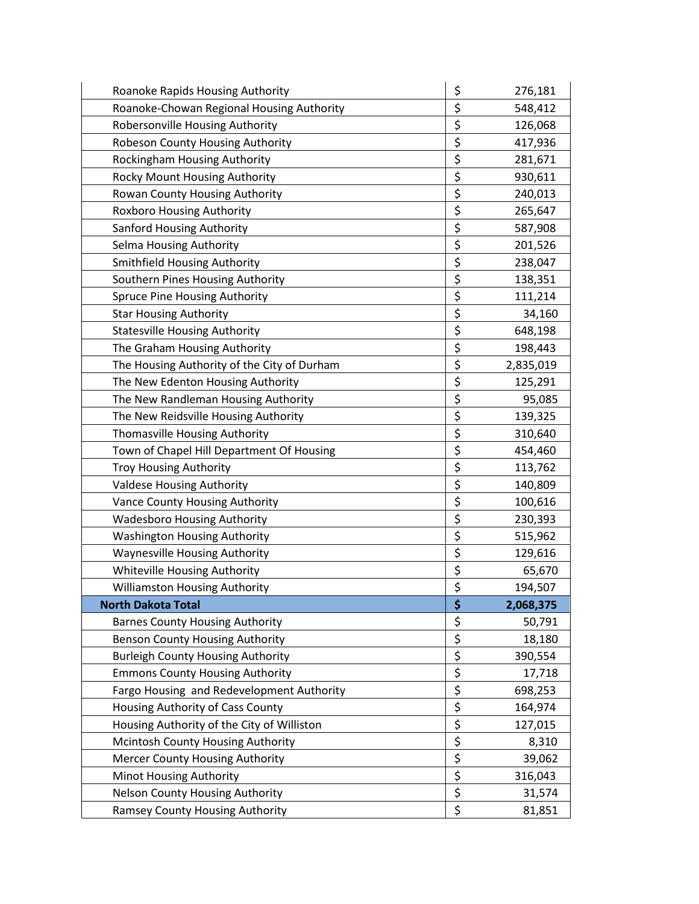| Roanoke Rapids Housing Authority            | \$<br>276,181   |
|---------------------------------------------|-----------------|
| Roanoke-Chowan Regional Housing Authority   | \$<br>548,412   |
| Robersonville Housing Authority             | \$<br>126,068   |
| Robeson County Housing Authority            | \$<br>417,936   |
| Rockingham Housing Authority                | \$<br>281,671   |
| Rocky Mount Housing Authority               | \$<br>930,611   |
| Rowan County Housing Authority              | \$<br>240,013   |
| <b>Roxboro Housing Authority</b>            | \$<br>265,647   |
| Sanford Housing Authority                   | \$<br>587,908   |
| Selma Housing Authority                     | \$<br>201,526   |
| <b>Smithfield Housing Authority</b>         | \$<br>238,047   |
| Southern Pines Housing Authority            | \$<br>138,351   |
| Spruce Pine Housing Authority               | \$<br>111,214   |
| <b>Star Housing Authority</b>               | \$<br>34,160    |
| <b>Statesville Housing Authority</b>        | \$<br>648,198   |
| The Graham Housing Authority                | \$<br>198,443   |
| The Housing Authority of the City of Durham | \$<br>2,835,019 |
| The New Edenton Housing Authority           | \$<br>125,291   |
| The New Randleman Housing Authority         | \$<br>95,085    |
| The New Reidsville Housing Authority        | \$<br>139,325   |
| Thomasville Housing Authority               | \$<br>310,640   |
| Town of Chapel Hill Department Of Housing   | \$<br>454,460   |
| <b>Troy Housing Authority</b>               | \$<br>113,762   |
| <b>Valdese Housing Authority</b>            | \$<br>140,809   |
| Vance County Housing Authority              | \$<br>100,616   |
| <b>Wadesboro Housing Authority</b>          | \$<br>230,393   |
| <b>Washington Housing Authority</b>         | \$<br>515,962   |
| <b>Waynesville Housing Authority</b>        | \$<br>129,616   |
| Whiteville Housing Authority                | \$<br>65,670    |
| <b>Williamston Housing Authority</b>        | \$<br>194,507   |
| <b>North Dakota Total</b>                   | \$<br>2,068,375 |
| <b>Barnes County Housing Authority</b>      | \$<br>50,791    |
| <b>Benson County Housing Authority</b>      | \$<br>18,180    |
| <b>Burleigh County Housing Authority</b>    | \$<br>390,554   |
| <b>Emmons County Housing Authority</b>      | \$<br>17,718    |
| Fargo Housing and Redevelopment Authority   | \$<br>698,253   |
| Housing Authority of Cass County            | \$<br>164,974   |
| Housing Authority of the City of Williston  | \$<br>127,015   |
| Mcintosh County Housing Authority           | \$<br>8,310     |
| <b>Mercer County Housing Authority</b>      | \$<br>39,062    |
| Minot Housing Authority                     | \$<br>316,043   |
| Nelson County Housing Authority             | \$<br>31,574    |
| Ramsey County Housing Authority             | \$<br>81,851    |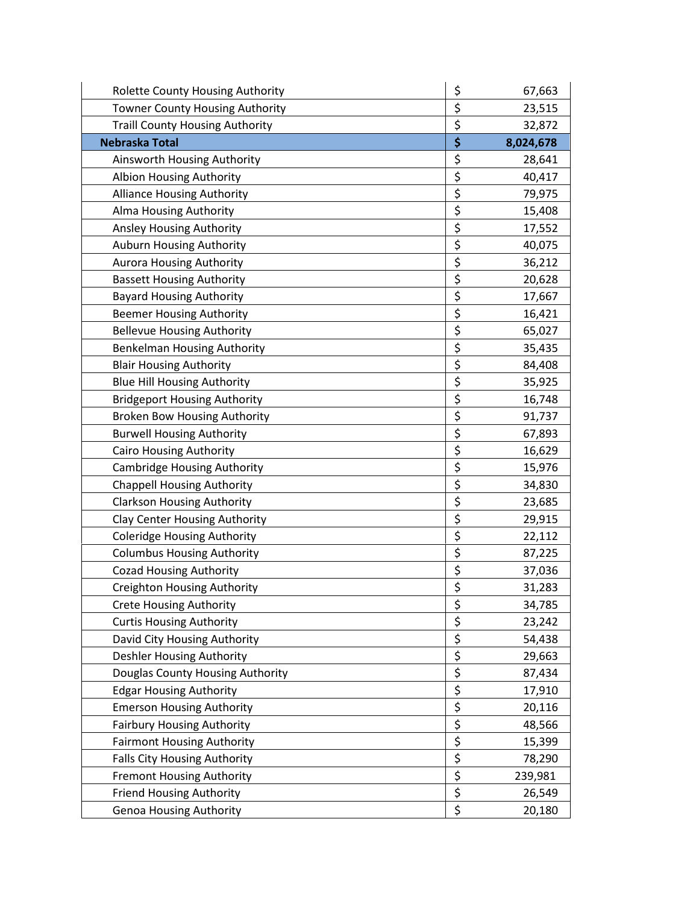| Rolette County Housing Authority       | \$<br>67,663    |
|----------------------------------------|-----------------|
| Towner County Housing Authority        | \$<br>23,515    |
| <b>Traill County Housing Authority</b> | \$<br>32,872    |
| <b>Nebraska Total</b>                  | \$<br>8,024,678 |
| Ainsworth Housing Authority            | \$<br>28,641    |
| Albion Housing Authority               | \$<br>40,417    |
| <b>Alliance Housing Authority</b>      | \$<br>79,975    |
| Alma Housing Authority                 | \$<br>15,408    |
| Ansley Housing Authority               | \$<br>17,552    |
| Auburn Housing Authority               | \$<br>40,075    |
| <b>Aurora Housing Authority</b>        | \$<br>36,212    |
| <b>Bassett Housing Authority</b>       | \$<br>20,628    |
| <b>Bayard Housing Authority</b>        | \$<br>17,667    |
| <b>Beemer Housing Authority</b>        | \$<br>16,421    |
| <b>Bellevue Housing Authority</b>      | \$<br>65,027    |
| <b>Benkelman Housing Authority</b>     | \$<br>35,435    |
| <b>Blair Housing Authority</b>         | \$<br>84,408    |
| <b>Blue Hill Housing Authority</b>     | \$<br>35,925    |
| <b>Bridgeport Housing Authority</b>    | \$<br>16,748    |
| <b>Broken Bow Housing Authority</b>    | \$<br>91,737    |
| <b>Burwell Housing Authority</b>       | \$<br>67,893    |
| <b>Cairo Housing Authority</b>         | \$<br>16,629    |
| <b>Cambridge Housing Authority</b>     | \$<br>15,976    |
| <b>Chappell Housing Authority</b>      | \$<br>34,830    |
| <b>Clarkson Housing Authority</b>      | \$<br>23,685    |
| <b>Clay Center Housing Authority</b>   | \$<br>29,915    |
| <b>Coleridge Housing Authority</b>     | \$<br>22,112    |
| <b>Columbus Housing Authority</b>      | \$<br>87,225    |
| <b>Cozad Housing Authority</b>         | \$<br>37,036    |
| <b>Creighton Housing Authority</b>     | \$<br>31,283    |
| <b>Crete Housing Authority</b>         | \$<br>34,785    |
| <b>Curtis Housing Authority</b>        | \$<br>23,242    |
| David City Housing Authority           | \$<br>54,438    |
| <b>Deshler Housing Authority</b>       | \$<br>29,663    |
| Douglas County Housing Authority       | \$<br>87,434    |
| <b>Edgar Housing Authority</b>         | \$<br>17,910    |
| <b>Emerson Housing Authority</b>       | \$<br>20,116    |
| <b>Fairbury Housing Authority</b>      | \$<br>48,566    |
| <b>Fairmont Housing Authority</b>      | \$<br>15,399    |
| Falls City Housing Authority           | \$<br>78,290    |
| <b>Fremont Housing Authority</b>       | \$<br>239,981   |
| <b>Friend Housing Authority</b>        | \$<br>26,549    |
| <b>Genoa Housing Authority</b>         | \$<br>20,180    |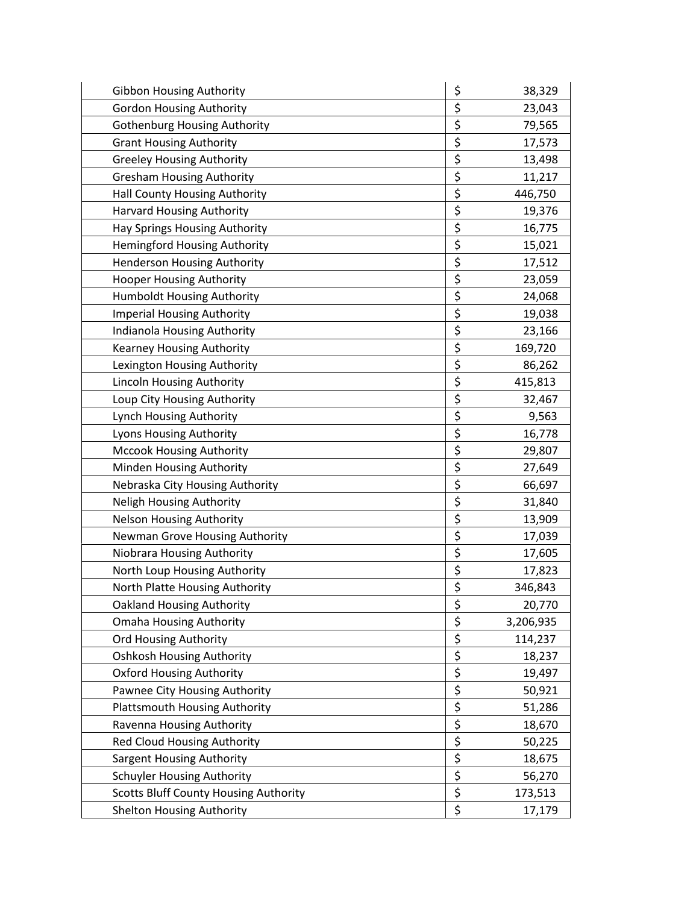| <b>Gibbon Housing Authority</b>              | \$<br>38,329    |
|----------------------------------------------|-----------------|
| <b>Gordon Housing Authority</b>              | \$<br>23,043    |
| <b>Gothenburg Housing Authority</b>          | \$<br>79,565    |
| <b>Grant Housing Authority</b>               | \$<br>17,573    |
| <b>Greeley Housing Authority</b>             | \$<br>13,498    |
| <b>Gresham Housing Authority</b>             | \$<br>11,217    |
| Hall County Housing Authority                | \$<br>446,750   |
| Harvard Housing Authority                    | \$<br>19,376    |
| Hay Springs Housing Authority                | \$<br>16,775    |
| Hemingford Housing Authority                 | \$<br>15,021    |
| <b>Henderson Housing Authority</b>           | \$<br>17,512    |
| <b>Hooper Housing Authority</b>              | \$<br>23,059    |
| Humboldt Housing Authority                   | \$<br>24,068    |
| <b>Imperial Housing Authority</b>            | \$<br>19,038    |
| Indianola Housing Authority                  | \$<br>23,166    |
| Kearney Housing Authority                    | \$<br>169,720   |
| Lexington Housing Authority                  | \$<br>86,262    |
| <b>Lincoln Housing Authority</b>             | \$<br>415,813   |
| Loup City Housing Authority                  | \$<br>32,467    |
| Lynch Housing Authority                      | \$<br>9,563     |
| Lyons Housing Authority                      | \$<br>16,778    |
| <b>Mccook Housing Authority</b>              | \$<br>29,807    |
| Minden Housing Authority                     | \$<br>27,649    |
| Nebraska City Housing Authority              | \$<br>66,697    |
| Neligh Housing Authority                     | \$<br>31,840    |
| <b>Nelson Housing Authority</b>              | \$<br>13,909    |
| Newman Grove Housing Authority               | \$<br>17,039    |
| Niobrara Housing Authority                   | \$<br>17,605    |
| North Loup Housing Authority                 | \$<br>17,823    |
| North Platte Housing Authority               | \$<br>346,843   |
| <b>Oakland Housing Authority</b>             | \$<br>20,770    |
| <b>Omaha Housing Authority</b>               | \$<br>3,206,935 |
| <b>Ord Housing Authority</b>                 | \$<br>114,237   |
| <b>Oshkosh Housing Authority</b>             | \$<br>18,237    |
| <b>Oxford Housing Authority</b>              | \$<br>19,497    |
| Pawnee City Housing Authority                | \$<br>50,921    |
| <b>Plattsmouth Housing Authority</b>         | \$<br>51,286    |
| Ravenna Housing Authority                    | \$<br>18,670    |
| <b>Red Cloud Housing Authority</b>           | \$<br>50,225    |
| <b>Sargent Housing Authority</b>             | \$<br>18,675    |
| Schuyler Housing Authority                   | \$<br>56,270    |
| <b>Scotts Bluff County Housing Authority</b> | \$<br>173,513   |
| <b>Shelton Housing Authority</b>             | \$<br>17,179    |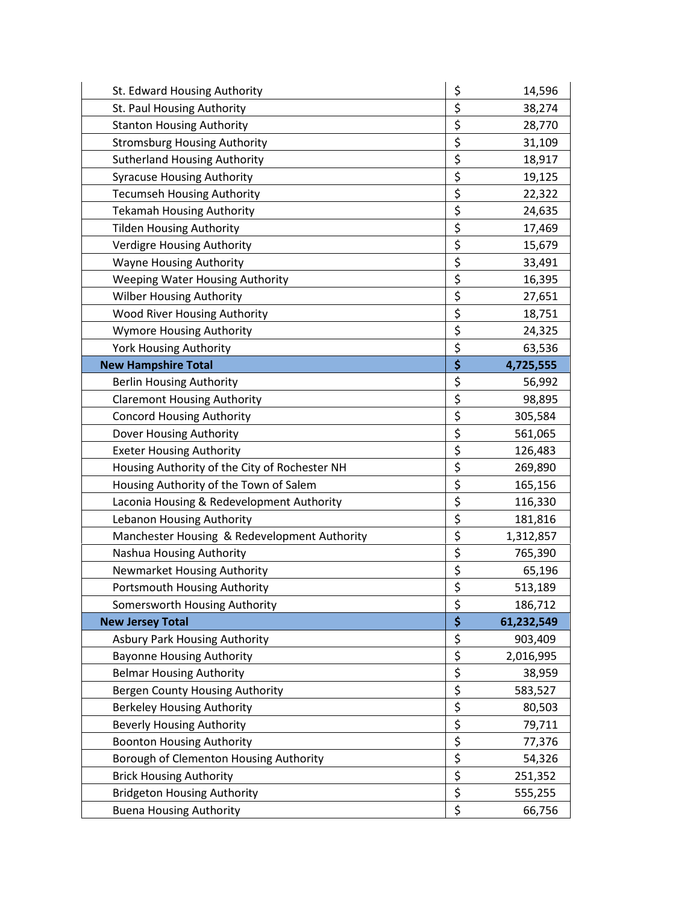| St. Edward Housing Authority                  | \$               | 14,596     |
|-----------------------------------------------|------------------|------------|
| St. Paul Housing Authority                    | \$               | 38,274     |
| <b>Stanton Housing Authority</b>              | \$               | 28,770     |
| <b>Stromsburg Housing Authority</b>           | \$               | 31,109     |
| <b>Sutherland Housing Authority</b>           | \$               | 18,917     |
| <b>Syracuse Housing Authority</b>             | \$               | 19,125     |
| <b>Tecumseh Housing Authority</b>             | \$               | 22,322     |
| <b>Tekamah Housing Authority</b>              | \$               | 24,635     |
| <b>Tilden Housing Authority</b>               | \$               | 17,469     |
| Verdigre Housing Authority                    | \$               | 15,679     |
| <b>Wayne Housing Authority</b>                | \$               | 33,491     |
| <b>Weeping Water Housing Authority</b>        | \$               | 16,395     |
| <b>Wilber Housing Authority</b>               | \$               | 27,651     |
| <b>Wood River Housing Authority</b>           | \$               | 18,751     |
| <b>Wymore Housing Authority</b>               | \$               | 24,325     |
| <b>York Housing Authority</b>                 | \$               | 63,536     |
| <b>New Hampshire Total</b>                    | \$               | 4,725,555  |
| <b>Berlin Housing Authority</b>               | \$               | 56,992     |
| <b>Claremont Housing Authority</b>            | \$               | 98,895     |
| <b>Concord Housing Authority</b>              | \$               | 305,584    |
| Dover Housing Authority                       | \$               | 561,065    |
| <b>Exeter Housing Authority</b>               | \$               | 126,483    |
| Housing Authority of the City of Rochester NH | \$               | 269,890    |
| Housing Authority of the Town of Salem        | \$               | 165,156    |
| Laconia Housing & Redevelopment Authority     | \$               | 116,330    |
| Lebanon Housing Authority                     | \$               | 181,816    |
| Manchester Housing & Redevelopment Authority  | \$               | 1,312,857  |
| Nashua Housing Authority                      | \$               | 765,390    |
| Newmarket Housing Authority                   | \$               | 65,196     |
| Portsmouth Housing Authority                  | \$               | 513,189    |
| Somersworth Housing Authority                 | \$               | 186,712    |
| <b>New Jersey Total</b>                       | \$               | 61,232,549 |
| <b>Asbury Park Housing Authority</b>          | \$               | 903,409    |
| <b>Bayonne Housing Authority</b>              | \$               | 2,016,995  |
| <b>Belmar Housing Authority</b>               | \$               | 38,959     |
| Bergen County Housing Authority               | \$               | 583,527    |
| <b>Berkeley Housing Authority</b>             | \$               | 80,503     |
| <b>Beverly Housing Authority</b>              | \$               | 79,711     |
| <b>Boonton Housing Authority</b>              | $\overline{\xi}$ | 77,376     |
| Borough of Clementon Housing Authority        | \$               | 54,326     |
| <b>Brick Housing Authority</b>                | \$               | 251,352    |
| <b>Bridgeton Housing Authority</b>            | \$               | 555,255    |
| <b>Buena Housing Authority</b>                | \$               | 66,756     |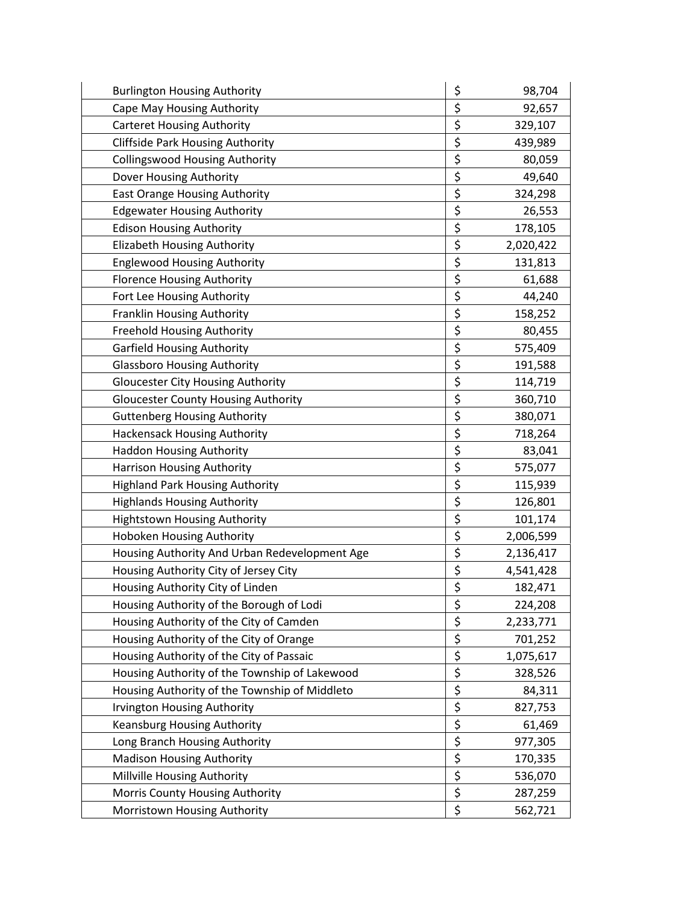| <b>Burlington Housing Authority</b>           | \$<br>98,704    |
|-----------------------------------------------|-----------------|
| Cape May Housing Authority                    | \$<br>92,657    |
| <b>Carteret Housing Authority</b>             | \$<br>329,107   |
| <b>Cliffside Park Housing Authority</b>       | \$<br>439,989   |
| <b>Collingswood Housing Authority</b>         | \$<br>80,059    |
| Dover Housing Authority                       | \$<br>49,640    |
| East Orange Housing Authority                 | \$<br>324,298   |
| <b>Edgewater Housing Authority</b>            | \$<br>26,553    |
| <b>Edison Housing Authority</b>               | \$<br>178,105   |
| <b>Elizabeth Housing Authority</b>            | \$<br>2,020,422 |
| <b>Englewood Housing Authority</b>            | \$<br>131,813   |
| <b>Florence Housing Authority</b>             | \$<br>61,688    |
| Fort Lee Housing Authority                    | \$<br>44,240    |
| Franklin Housing Authority                    | \$<br>158,252   |
| <b>Freehold Housing Authority</b>             | \$<br>80,455    |
| <b>Garfield Housing Authority</b>             | \$<br>575,409   |
| <b>Glassboro Housing Authority</b>            | \$<br>191,588   |
| <b>Gloucester City Housing Authority</b>      | \$<br>114,719   |
| <b>Gloucester County Housing Authority</b>    | \$<br>360,710   |
| <b>Guttenberg Housing Authority</b>           | \$<br>380,071   |
| <b>Hackensack Housing Authority</b>           | \$<br>718,264   |
| <b>Haddon Housing Authority</b>               | \$<br>83,041    |
| Harrison Housing Authority                    | \$<br>575,077   |
| <b>Highland Park Housing Authority</b>        | \$<br>115,939   |
| <b>Highlands Housing Authority</b>            | \$<br>126,801   |
| <b>Hightstown Housing Authority</b>           | \$<br>101,174   |
| Hoboken Housing Authority                     | \$<br>2,006,599 |
| Housing Authority And Urban Redevelopment Age | \$<br>2,136,417 |
| Housing Authority City of Jersey City         | \$<br>4,541,428 |
| Housing Authority City of Linden              | \$<br>182,471   |
| Housing Authority of the Borough of Lodi      | \$<br>224,208   |
| Housing Authority of the City of Camden       | \$<br>2,233,771 |
| Housing Authority of the City of Orange       | \$<br>701,252   |
| Housing Authority of the City of Passaic      | \$<br>1,075,617 |
| Housing Authority of the Township of Lakewood | \$<br>328,526   |
| Housing Authority of the Township of Middleto | \$<br>84,311    |
| <b>Irvington Housing Authority</b>            | \$<br>827,753   |
| <b>Keansburg Housing Authority</b>            | \$<br>61,469    |
| Long Branch Housing Authority                 | \$<br>977,305   |
| <b>Madison Housing Authority</b>              | \$<br>170,335   |
| Millville Housing Authority                   | \$<br>536,070   |
| Morris County Housing Authority               | \$<br>287,259   |
| Morristown Housing Authority                  | \$<br>562,721   |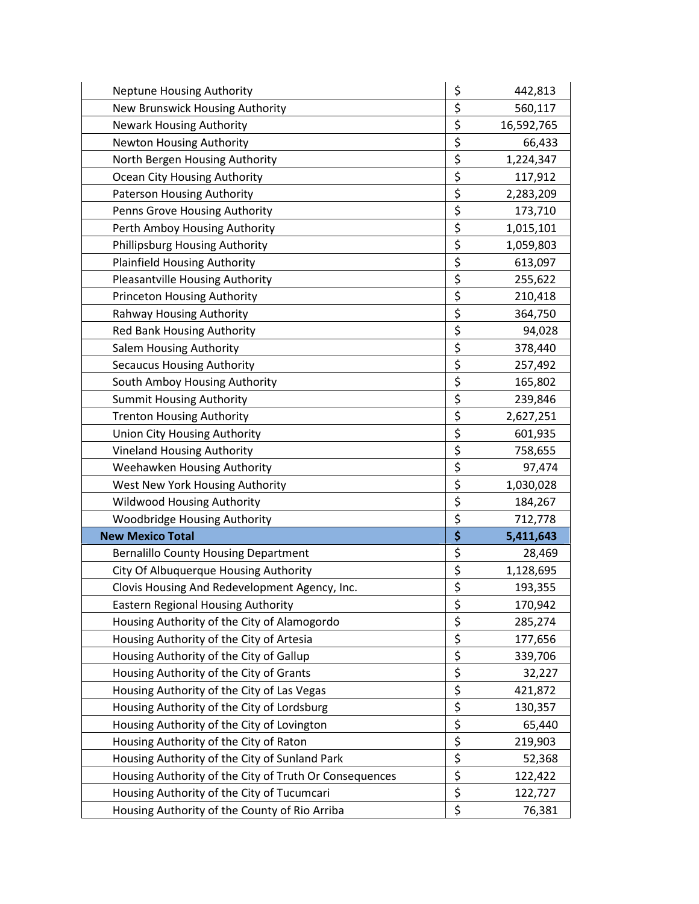| <b>Neptune Housing Authority</b>                       | \$<br>442,813    |
|--------------------------------------------------------|------------------|
| New Brunswick Housing Authority                        | \$<br>560,117    |
| <b>Newark Housing Authority</b>                        | \$<br>16,592,765 |
| <b>Newton Housing Authority</b>                        | \$<br>66,433     |
| North Bergen Housing Authority                         | \$<br>1,224,347  |
| Ocean City Housing Authority                           | \$<br>117,912    |
| Paterson Housing Authority                             | \$<br>2,283,209  |
| Penns Grove Housing Authority                          | \$<br>173,710    |
| Perth Amboy Housing Authority                          | \$<br>1,015,101  |
| Phillipsburg Housing Authority                         | \$<br>1,059,803  |
| <b>Plainfield Housing Authority</b>                    | \$<br>613,097    |
| Pleasantville Housing Authority                        | \$<br>255,622    |
| <b>Princeton Housing Authority</b>                     | \$<br>210,418    |
| <b>Rahway Housing Authority</b>                        | \$<br>364,750    |
| Red Bank Housing Authority                             | \$<br>94,028     |
| Salem Housing Authority                                | \$<br>378,440    |
| <b>Secaucus Housing Authority</b>                      | \$<br>257,492    |
| South Amboy Housing Authority                          | \$<br>165,802    |
| <b>Summit Housing Authority</b>                        | \$<br>239,846    |
| <b>Trenton Housing Authority</b>                       | \$<br>2,627,251  |
| Union City Housing Authority                           | \$<br>601,935    |
| <b>Vineland Housing Authority</b>                      | \$<br>758,655    |
| Weehawken Housing Authority                            | \$<br>97,474     |
| West New York Housing Authority                        | \$<br>1,030,028  |
| Wildwood Housing Authority                             | \$<br>184,267    |
| Woodbridge Housing Authority                           | \$<br>712,778    |
| <b>New Mexico Total</b>                                | \$<br>5,411,643  |
| <b>Bernalillo County Housing Department</b>            | \$<br>28,469     |
| City Of Albuquerque Housing Authority                  | \$<br>1,128,695  |
| Clovis Housing And Redevelopment Agency, Inc.          | \$<br>193,355    |
| <b>Eastern Regional Housing Authority</b>              | \$<br>170,942    |
| Housing Authority of the City of Alamogordo            | \$<br>285,274    |
| Housing Authority of the City of Artesia               | \$<br>177,656    |
| Housing Authority of the City of Gallup                | \$<br>339,706    |
| Housing Authority of the City of Grants                | \$<br>32,227     |
| Housing Authority of the City of Las Vegas             | \$<br>421,872    |
| Housing Authority of the City of Lordsburg             | \$<br>130,357    |
| Housing Authority of the City of Lovington             | \$<br>65,440     |
| Housing Authority of the City of Raton                 | \$<br>219,903    |
| Housing Authority of the City of Sunland Park          | \$<br>52,368     |
| Housing Authority of the City of Truth Or Consequences | \$<br>122,422    |
| Housing Authority of the City of Tucumcari             | \$<br>122,727    |
| Housing Authority of the County of Rio Arriba          | \$<br>76,381     |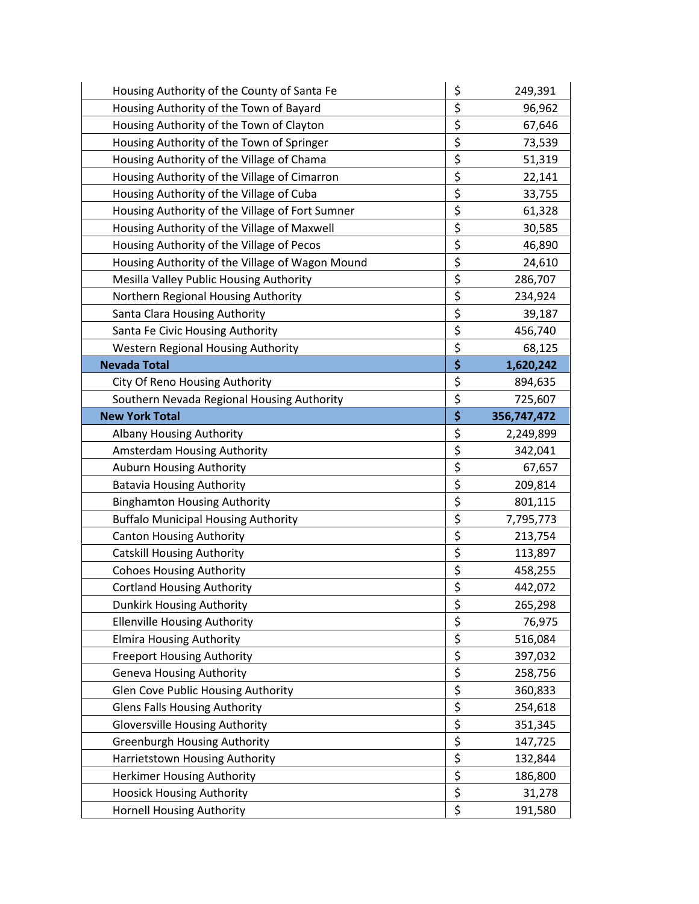| Housing Authority of the County of Santa Fe     | \$       | 249,391     |
|-------------------------------------------------|----------|-------------|
| Housing Authority of the Town of Bayard         | \$       | 96,962      |
| Housing Authority of the Town of Clayton        | \$       | 67,646      |
| Housing Authority of the Town of Springer       | \$       | 73,539      |
| Housing Authority of the Village of Chama       | \$       | 51,319      |
| Housing Authority of the Village of Cimarron    | \$       | 22,141      |
| Housing Authority of the Village of Cuba        | \$       | 33,755      |
| Housing Authority of the Village of Fort Sumner | \$       | 61,328      |
| Housing Authority of the Village of Maxwell     | \$       | 30,585      |
| Housing Authority of the Village of Pecos       | \$       | 46,890      |
| Housing Authority of the Village of Wagon Mound | \$       | 24,610      |
| Mesilla Valley Public Housing Authority         | \$       | 286,707     |
| Northern Regional Housing Authority             | \$       | 234,924     |
| Santa Clara Housing Authority                   | \$       | 39,187      |
| Santa Fe Civic Housing Authority                | \$       | 456,740     |
| <b>Western Regional Housing Authority</b>       | \$       | 68,125      |
| <b>Nevada Total</b>                             | \$       | 1,620,242   |
| City Of Reno Housing Authority                  | \$       | 894,635     |
| Southern Nevada Regional Housing Authority      | \$       | 725,607     |
| <b>New York Total</b>                           | \$       | 356,747,472 |
| <b>Albany Housing Authority</b>                 | \$       | 2,249,899   |
| Amsterdam Housing Authority                     | \$       | 342,041     |
| Auburn Housing Authority                        | \$       | 67,657      |
| <b>Batavia Housing Authority</b>                | \$       | 209,814     |
| <b>Binghamton Housing Authority</b>             | \$       | 801,115     |
| <b>Buffalo Municipal Housing Authority</b>      | \$       | 7,795,773   |
| <b>Canton Housing Authority</b>                 | \$       | 213,754     |
| <b>Catskill Housing Authority</b>               | \$       | 113,897     |
| <b>Cohoes Housing Authority</b>                 | \$       | 458,255     |
| <b>Cortland Housing Authority</b>               | \$       | 442,072     |
| Dunkirk Housing Authority                       | \$       | 265,298     |
| <b>Ellenville Housing Authority</b>             | \$       | 76,975      |
| <b>Elmira Housing Authority</b>                 | \$       | 516,084     |
| <b>Freeport Housing Authority</b>               | \$       | 397,032     |
| <b>Geneva Housing Authority</b>                 | \$       | 258,756     |
| Glen Cove Public Housing Authority              | \$       | 360,833     |
| <b>Glens Falls Housing Authority</b>            | \$       | 254,618     |
| <b>Gloversville Housing Authority</b>           | \$       | 351,345     |
| <b>Greenburgh Housing Authority</b>             |          |             |
|                                                 | \$       | 147,725     |
| Harrietstown Housing Authority                  | \$       | 132,844     |
| Herkimer Housing Authority                      | \$       | 186,800     |
| <b>Hoosick Housing Authority</b>                | \$<br>\$ | 31,278      |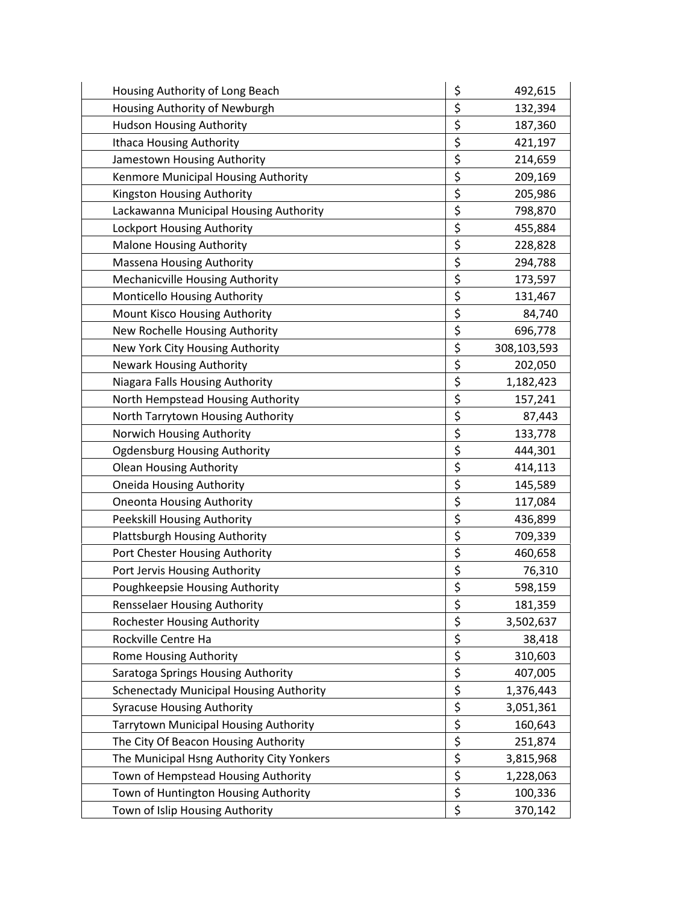| Housing Authority of Long Beach                | \$                              | 492,615     |
|------------------------------------------------|---------------------------------|-------------|
| Housing Authority of Newburgh                  | \$                              | 132,394     |
| <b>Hudson Housing Authority</b>                | \$                              | 187,360     |
| <b>Ithaca Housing Authority</b>                | \$                              | 421,197     |
| Jamestown Housing Authority                    | \$                              | 214,659     |
| Kenmore Municipal Housing Authority            | \$                              | 209,169     |
| Kingston Housing Authority                     | \$                              | 205,986     |
| Lackawanna Municipal Housing Authority         | \$                              | 798,870     |
| Lockport Housing Authority                     | \$                              | 455,884     |
| <b>Malone Housing Authority</b>                | \$                              | 228,828     |
| <b>Massena Housing Authority</b>               | \$                              | 294,788     |
| Mechanicville Housing Authority                | \$                              | 173,597     |
| Monticello Housing Authority                   | \$                              | 131,467     |
| Mount Kisco Housing Authority                  | \$                              | 84,740      |
| New Rochelle Housing Authority                 | \$                              | 696,778     |
| New York City Housing Authority                | \$                              | 308,103,593 |
| <b>Newark Housing Authority</b>                | \$                              | 202,050     |
| Niagara Falls Housing Authority                | \$                              | 1,182,423   |
| North Hempstead Housing Authority              | \$                              | 157,241     |
| North Tarrytown Housing Authority              | \$                              | 87,443      |
| Norwich Housing Authority                      | \$                              | 133,778     |
| <b>Ogdensburg Housing Authority</b>            | \$                              | 444,301     |
| <b>Olean Housing Authority</b>                 | \$                              | 414,113     |
| <b>Oneida Housing Authority</b>                | \$                              | 145,589     |
| <b>Oneonta Housing Authority</b>               | \$                              | 117,084     |
| Peekskill Housing Authority                    | \$                              | 436,899     |
| Plattsburgh Housing Authority                  | \$                              | 709,339     |
| Port Chester Housing Authority                 | \$                              | 460,658     |
| Port Jervis Housing Authority                  | \$                              | 76,310      |
| Poughkeepsie Housing Authority                 | \$                              | 598,159     |
| <b>Rensselaer Housing Authority</b>            | \$                              | 181,359     |
| <b>Rochester Housing Authority</b>             | \$                              | 3,502,637   |
| Rockville Centre Ha                            | \$                              | 38,418      |
| Rome Housing Authority                         | \$                              | 310,603     |
| Saratoga Springs Housing Authority             | $\overline{\boldsymbol{\zeta}}$ | 407,005     |
| <b>Schenectady Municipal Housing Authority</b> | \$                              | 1,376,443   |
| <b>Syracuse Housing Authority</b>              | \$                              | 3,051,361   |
| Tarrytown Municipal Housing Authority          | \$                              | 160,643     |
| The City Of Beacon Housing Authority           | $\overline{\boldsymbol{\zeta}}$ | 251,874     |
| The Municipal Hsng Authority City Yonkers      | \$                              | 3,815,968   |
| Town of Hempstead Housing Authority            | \$                              | 1,228,063   |
| Town of Huntington Housing Authority           | \$                              | 100,336     |
| Town of Islip Housing Authority                | \$                              | 370,142     |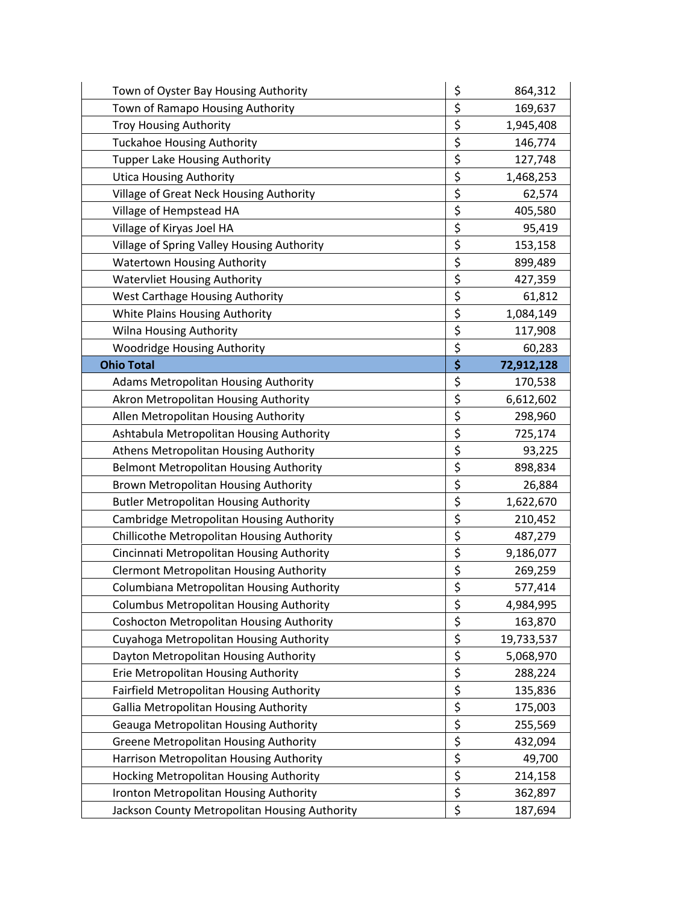| Town of Oyster Bay Housing Authority            | \$<br>864,312    |
|-------------------------------------------------|------------------|
| Town of Ramapo Housing Authority                | \$<br>169,637    |
| <b>Troy Housing Authority</b>                   | \$<br>1,945,408  |
| <b>Tuckahoe Housing Authority</b>               | \$<br>146,774    |
| <b>Tupper Lake Housing Authority</b>            | \$<br>127,748    |
| <b>Utica Housing Authority</b>                  | \$<br>1,468,253  |
| Village of Great Neck Housing Authority         | \$<br>62,574     |
| Village of Hempstead HA                         | \$<br>405,580    |
| Village of Kiryas Joel HA                       | \$<br>95,419     |
| Village of Spring Valley Housing Authority      | \$<br>153,158    |
| <b>Watertown Housing Authority</b>              | \$<br>899,489    |
| <b>Watervliet Housing Authority</b>             | \$<br>427,359    |
| West Carthage Housing Authority                 | \$<br>61,812     |
| White Plains Housing Authority                  | \$<br>1,084,149  |
| Wilna Housing Authority                         | \$<br>117,908    |
| Woodridge Housing Authority                     | \$<br>60,283     |
| <b>Ohio Total</b>                               | \$<br>72,912,128 |
| Adams Metropolitan Housing Authority            | \$<br>170,538    |
| Akron Metropolitan Housing Authority            | \$<br>6,612,602  |
| Allen Metropolitan Housing Authority            | \$<br>298,960    |
| Ashtabula Metropolitan Housing Authority        | \$<br>725,174    |
| Athens Metropolitan Housing Authority           | \$<br>93,225     |
| <b>Belmont Metropolitan Housing Authority</b>   | \$<br>898,834    |
| Brown Metropolitan Housing Authority            | \$<br>26,884     |
| <b>Butler Metropolitan Housing Authority</b>    | \$<br>1,622,670  |
| Cambridge Metropolitan Housing Authority        | \$<br>210,452    |
| Chillicothe Metropolitan Housing Authority      | \$<br>487,279    |
| Cincinnati Metropolitan Housing Authority       | \$<br>9,186,077  |
| <b>Clermont Metropolitan Housing Authority</b>  | \$<br>269,259    |
| Columbiana Metropolitan Housing Authority       | \$<br>577,414    |
| <b>Columbus Metropolitan Housing Authority</b>  | \$<br>4,984,995  |
| <b>Coshocton Metropolitan Housing Authority</b> | \$<br>163,870    |
| Cuyahoga Metropolitan Housing Authority         | \$<br>19,733,537 |
| Dayton Metropolitan Housing Authority           | \$<br>5,068,970  |
| Erie Metropolitan Housing Authority             | \$<br>288,224    |
| Fairfield Metropolitan Housing Authority        | \$<br>135,836    |
| <b>Gallia Metropolitan Housing Authority</b>    | \$<br>175,003    |
| Geauga Metropolitan Housing Authority           | \$<br>255,569    |
| <b>Greene Metropolitan Housing Authority</b>    | \$<br>432,094    |
| Harrison Metropolitan Housing Authority         | \$<br>49,700     |
| Hocking Metropolitan Housing Authority          | \$<br>214,158    |
| Ironton Metropolitan Housing Authority          | \$<br>362,897    |
| Jackson County Metropolitan Housing Authority   | \$<br>187,694    |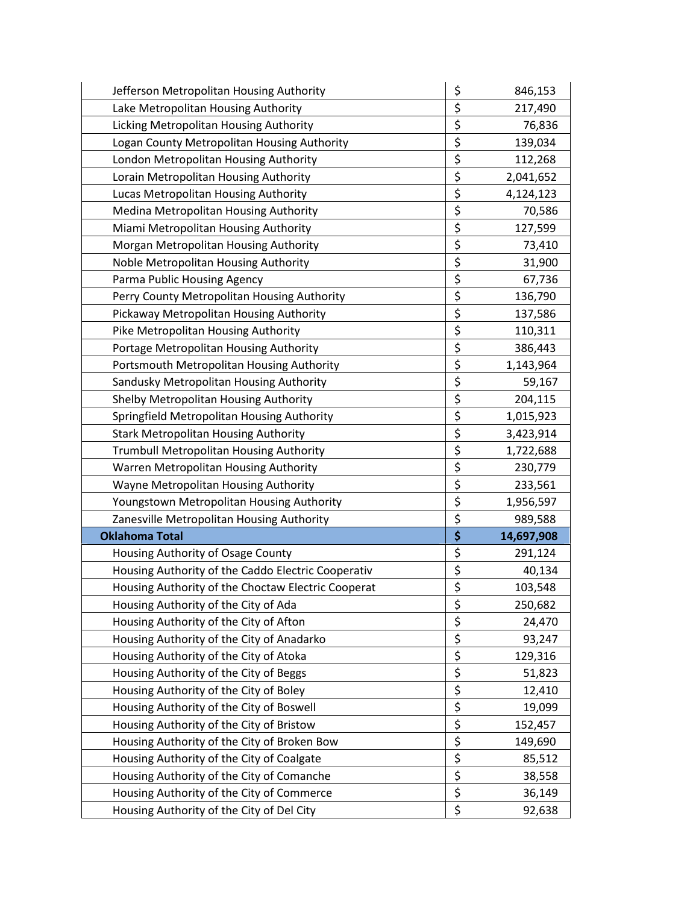| Jefferson Metropolitan Housing Authority           | \$<br>846,153    |
|----------------------------------------------------|------------------|
| Lake Metropolitan Housing Authority                | \$<br>217,490    |
| Licking Metropolitan Housing Authority             | \$<br>76,836     |
| Logan County Metropolitan Housing Authority        | \$<br>139,034    |
| London Metropolitan Housing Authority              | \$<br>112,268    |
| Lorain Metropolitan Housing Authority              | \$<br>2,041,652  |
| Lucas Metropolitan Housing Authority               | \$<br>4,124,123  |
| Medina Metropolitan Housing Authority              | \$<br>70,586     |
| Miami Metropolitan Housing Authority               | \$<br>127,599    |
| Morgan Metropolitan Housing Authority              | \$<br>73,410     |
| Noble Metropolitan Housing Authority               | \$<br>31,900     |
| Parma Public Housing Agency                        | \$<br>67,736     |
| Perry County Metropolitan Housing Authority        | \$<br>136,790    |
| Pickaway Metropolitan Housing Authority            | \$<br>137,586    |
| Pike Metropolitan Housing Authority                | \$<br>110,311    |
| Portage Metropolitan Housing Authority             | \$<br>386,443    |
| Portsmouth Metropolitan Housing Authority          | \$<br>1,143,964  |
| Sandusky Metropolitan Housing Authority            | \$<br>59,167     |
| Shelby Metropolitan Housing Authority              | \$<br>204,115    |
| Springfield Metropolitan Housing Authority         | \$<br>1,015,923  |
| <b>Stark Metropolitan Housing Authority</b>        | \$<br>3,423,914  |
| Trumbull Metropolitan Housing Authority            | \$<br>1,722,688  |
| Warren Metropolitan Housing Authority              | \$<br>230,779    |
| Wayne Metropolitan Housing Authority               | \$<br>233,561    |
| Youngstown Metropolitan Housing Authority          | \$<br>1,956,597  |
| Zanesville Metropolitan Housing Authority          | \$<br>989,588    |
| <b>Oklahoma Total</b>                              | \$<br>14,697,908 |
| Housing Authority of Osage County                  | \$<br>291,124    |
| Housing Authority of the Caddo Electric Cooperativ | \$<br>40,134     |
| Housing Authority of the Choctaw Electric Cooperat | \$<br>103,548    |
| Housing Authority of the City of Ada               | \$<br>250,682    |
| Housing Authority of the City of Afton             | \$<br>24,470     |
| Housing Authority of the City of Anadarko          | \$<br>93,247     |
| Housing Authority of the City of Atoka             | \$<br>129,316    |
| Housing Authority of the City of Beggs             | \$<br>51,823     |
| Housing Authority of the City of Boley             | \$<br>12,410     |
| Housing Authority of the City of Boswell           | \$<br>19,099     |
| Housing Authority of the City of Bristow           | \$<br>152,457    |
| Housing Authority of the City of Broken Bow        | \$<br>149,690    |
| Housing Authority of the City of Coalgate          | \$<br>85,512     |
| Housing Authority of the City of Comanche          | \$<br>38,558     |
| Housing Authority of the City of Commerce          | \$<br>36,149     |
| Housing Authority of the City of Del City          | \$<br>92,638     |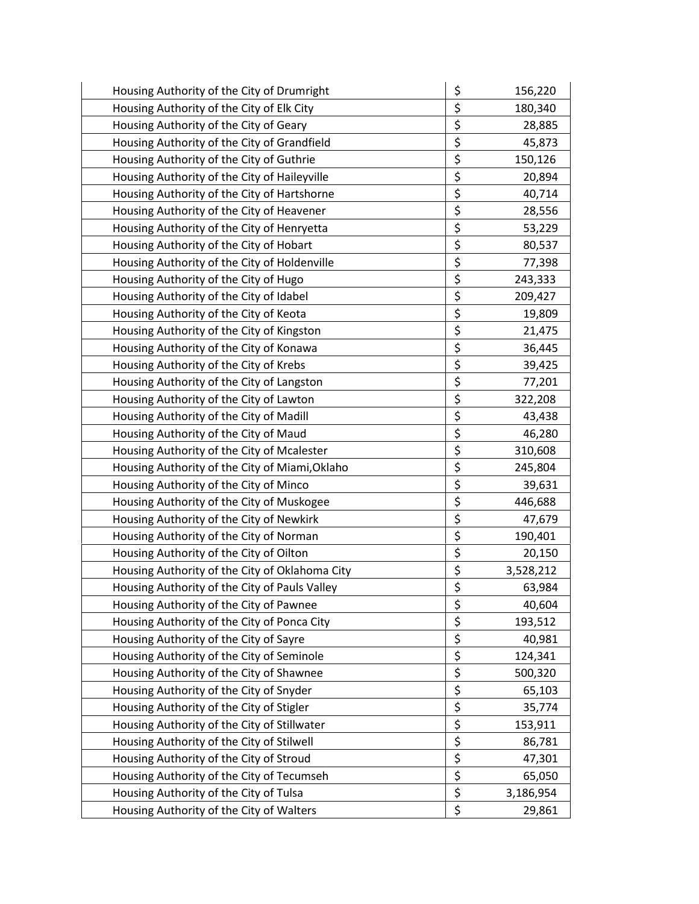| Housing Authority of the City of Drumright     | \$<br>156,220   |
|------------------------------------------------|-----------------|
| Housing Authority of the City of Elk City      | \$<br>180,340   |
| Housing Authority of the City of Geary         | \$<br>28,885    |
| Housing Authority of the City of Grandfield    | \$<br>45,873    |
| Housing Authority of the City of Guthrie       | \$<br>150,126   |
| Housing Authority of the City of Haileyville   | \$<br>20,894    |
| Housing Authority of the City of Hartshorne    | \$<br>40,714    |
| Housing Authority of the City of Heavener      | \$<br>28,556    |
| Housing Authority of the City of Henryetta     | \$<br>53,229    |
| Housing Authority of the City of Hobart        | \$<br>80,537    |
| Housing Authority of the City of Holdenville   | \$<br>77,398    |
| Housing Authority of the City of Hugo          | \$<br>243,333   |
| Housing Authority of the City of Idabel        | \$<br>209,427   |
| Housing Authority of the City of Keota         | \$<br>19,809    |
| Housing Authority of the City of Kingston      | \$<br>21,475    |
| Housing Authority of the City of Konawa        | \$<br>36,445    |
| Housing Authority of the City of Krebs         | \$<br>39,425    |
| Housing Authority of the City of Langston      | \$<br>77,201    |
| Housing Authority of the City of Lawton        | \$<br>322,208   |
| Housing Authority of the City of Madill        | \$<br>43,438    |
| Housing Authority of the City of Maud          | \$<br>46,280    |
| Housing Authority of the City of Mcalester     | \$<br>310,608   |
| Housing Authority of the City of Miami, Oklaho | \$<br>245,804   |
| Housing Authority of the City of Minco         | \$<br>39,631    |
| Housing Authority of the City of Muskogee      | \$<br>446,688   |
| Housing Authority of the City of Newkirk       | \$<br>47,679    |
| Housing Authority of the City of Norman        | \$<br>190,401   |
| Housing Authority of the City of Oilton        | \$<br>20,150    |
| Housing Authority of the City of Oklahoma City | \$<br>3,528,212 |
| Housing Authority of the City of Pauls Valley  | \$<br>63,984    |
| Housing Authority of the City of Pawnee        | \$<br>40,604    |
| Housing Authority of the City of Ponca City    | \$<br>193,512   |
| Housing Authority of the City of Sayre         | \$<br>40,981    |
| Housing Authority of the City of Seminole      | \$<br>124,341   |
| Housing Authority of the City of Shawnee       | \$<br>500,320   |
| Housing Authority of the City of Snyder        | \$<br>65,103    |
| Housing Authority of the City of Stigler       | \$<br>35,774    |
| Housing Authority of the City of Stillwater    | \$<br>153,911   |
| Housing Authority of the City of Stilwell      | \$<br>86,781    |
| Housing Authority of the City of Stroud        | \$<br>47,301    |
| Housing Authority of the City of Tecumseh      | \$<br>65,050    |
| Housing Authority of the City of Tulsa         | \$<br>3,186,954 |
| Housing Authority of the City of Walters       | \$<br>29,861    |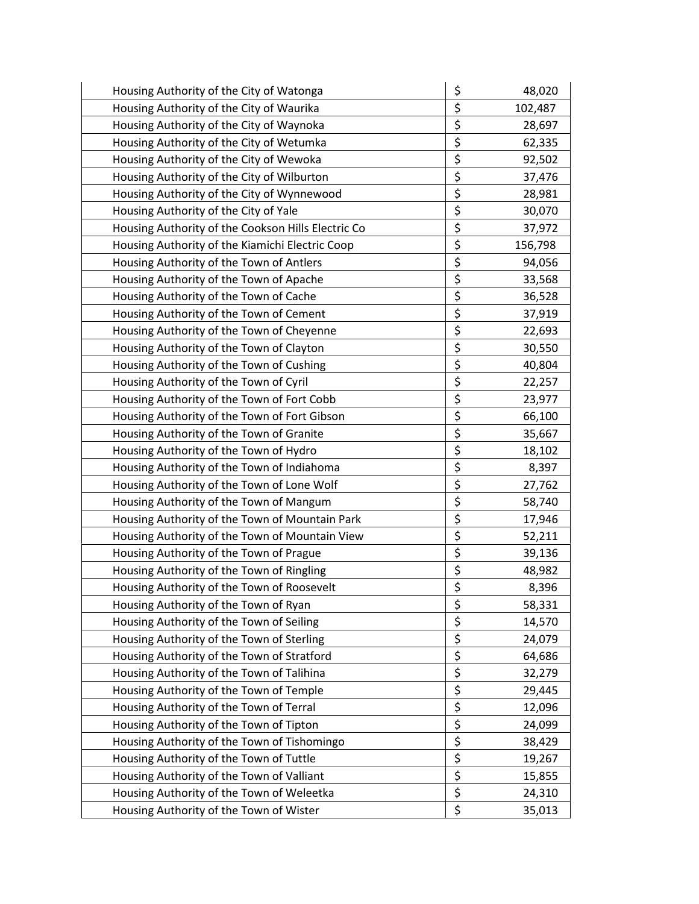| Housing Authority of the City of Watonga           | \$<br>48,020  |
|----------------------------------------------------|---------------|
| Housing Authority of the City of Waurika           | \$<br>102,487 |
| Housing Authority of the City of Waynoka           | \$<br>28,697  |
| Housing Authority of the City of Wetumka           | \$<br>62,335  |
| Housing Authority of the City of Wewoka            | \$<br>92,502  |
| Housing Authority of the City of Wilburton         | \$<br>37,476  |
| Housing Authority of the City of Wynnewood         | \$<br>28,981  |
| Housing Authority of the City of Yale              | \$<br>30,070  |
| Housing Authority of the Cookson Hills Electric Co | \$<br>37,972  |
| Housing Authority of the Kiamichi Electric Coop    | \$<br>156,798 |
| Housing Authority of the Town of Antlers           | \$<br>94,056  |
| Housing Authority of the Town of Apache            | \$<br>33,568  |
| Housing Authority of the Town of Cache             | \$<br>36,528  |
| Housing Authority of the Town of Cement            | \$<br>37,919  |
| Housing Authority of the Town of Cheyenne          | \$<br>22,693  |
| Housing Authority of the Town of Clayton           | \$<br>30,550  |
| Housing Authority of the Town of Cushing           | \$<br>40,804  |
| Housing Authority of the Town of Cyril             | \$<br>22,257  |
| Housing Authority of the Town of Fort Cobb         | \$<br>23,977  |
| Housing Authority of the Town of Fort Gibson       | \$<br>66,100  |
| Housing Authority of the Town of Granite           | \$<br>35,667  |
| Housing Authority of the Town of Hydro             | \$<br>18,102  |
| Housing Authority of the Town of Indiahoma         | \$<br>8,397   |
| Housing Authority of the Town of Lone Wolf         | \$<br>27,762  |
| Housing Authority of the Town of Mangum            | \$<br>58,740  |
| Housing Authority of the Town of Mountain Park     | \$<br>17,946  |
| Housing Authority of the Town of Mountain View     | \$<br>52,211  |
| Housing Authority of the Town of Prague            | \$<br>39,136  |
| Housing Authority of the Town of Ringling          | \$<br>48,982  |
| Housing Authority of the Town of Roosevelt         | \$<br>8,396   |
| Housing Authority of the Town of Ryan              | \$<br>58,331  |
| Housing Authority of the Town of Seiling           | \$<br>14,570  |
| Housing Authority of the Town of Sterling          | \$<br>24,079  |
| Housing Authority of the Town of Stratford         | \$<br>64,686  |
| Housing Authority of the Town of Talihina          | \$<br>32,279  |
| Housing Authority of the Town of Temple            | \$<br>29,445  |
| Housing Authority of the Town of Terral            | \$<br>12,096  |
| Housing Authority of the Town of Tipton            | \$<br>24,099  |
| Housing Authority of the Town of Tishomingo        | \$<br>38,429  |
| Housing Authority of the Town of Tuttle            | \$<br>19,267  |
| Housing Authority of the Town of Valliant          | \$<br>15,855  |
| Housing Authority of the Town of Weleetka          | \$<br>24,310  |
| Housing Authority of the Town of Wister            | \$<br>35,013  |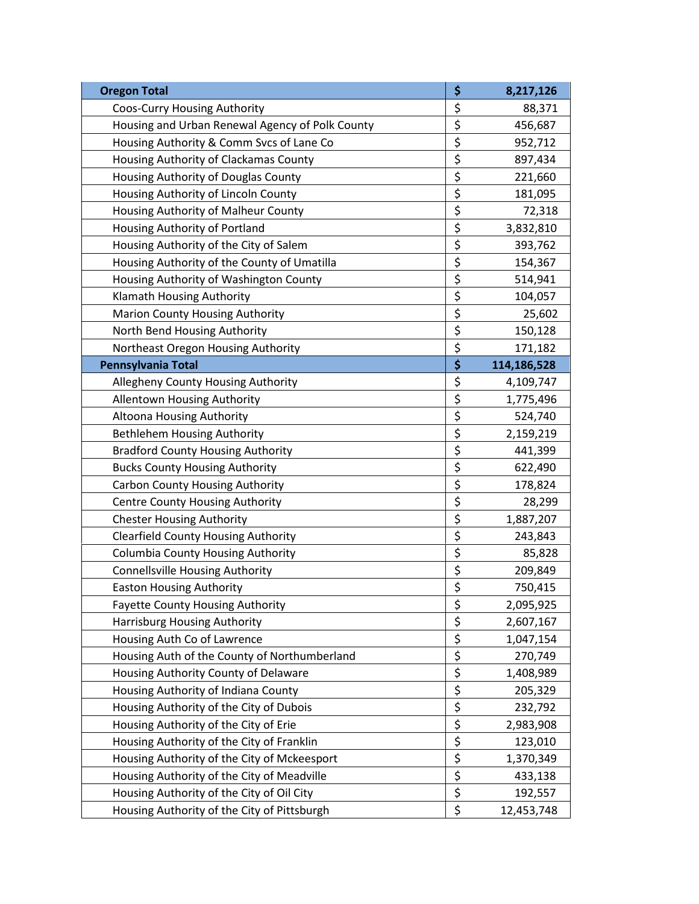| <b>Oregon Total</b>                             | \$<br>8,217,126   |
|-------------------------------------------------|-------------------|
| Coos-Curry Housing Authority                    | \$<br>88,371      |
| Housing and Urban Renewal Agency of Polk County | \$<br>456,687     |
| Housing Authority & Comm Svcs of Lane Co        | \$<br>952,712     |
| Housing Authority of Clackamas County           | \$<br>897,434     |
| Housing Authority of Douglas County             | \$<br>221,660     |
| Housing Authority of Lincoln County             | \$<br>181,095     |
| Housing Authority of Malheur County             | \$<br>72,318      |
| Housing Authority of Portland                   | \$<br>3,832,810   |
| Housing Authority of the City of Salem          | \$<br>393,762     |
| Housing Authority of the County of Umatilla     | \$<br>154,367     |
| Housing Authority of Washington County          | \$<br>514,941     |
| Klamath Housing Authority                       | \$<br>104,057     |
| Marion County Housing Authority                 | \$<br>25,602      |
| North Bend Housing Authority                    | \$<br>150,128     |
| Northeast Oregon Housing Authority              | \$<br>171,182     |
| Pennsylvania Total                              | \$<br>114,186,528 |
| Allegheny County Housing Authority              | \$<br>4,109,747   |
| Allentown Housing Authority                     | \$<br>1,775,496   |
| Altoona Housing Authority                       | \$<br>524,740     |
| <b>Bethlehem Housing Authority</b>              | \$<br>2,159,219   |
| <b>Bradford County Housing Authority</b>        | \$<br>441,399     |
| <b>Bucks County Housing Authority</b>           | \$<br>622,490     |
| <b>Carbon County Housing Authority</b>          | \$<br>178,824     |
| <b>Centre County Housing Authority</b>          | \$<br>28,299      |
| <b>Chester Housing Authority</b>                | \$<br>1,887,207   |
| <b>Clearfield County Housing Authority</b>      | \$<br>243,843     |
| <b>Columbia County Housing Authority</b>        | \$<br>85,828      |
| <b>Connellsville Housing Authority</b>          | \$<br>209,849     |
| <b>Easton Housing Authority</b>                 | \$<br>750,415     |
| <b>Fayette County Housing Authority</b>         | \$<br>2,095,925   |
| Harrisburg Housing Authority                    | \$<br>2,607,167   |
| Housing Auth Co of Lawrence                     | \$<br>1,047,154   |
| Housing Auth of the County of Northumberland    | \$<br>270,749     |
| Housing Authority County of Delaware            | \$<br>1,408,989   |
| Housing Authority of Indiana County             | \$<br>205,329     |
| Housing Authority of the City of Dubois         | \$<br>232,792     |
| Housing Authority of the City of Erie           | \$<br>2,983,908   |
| Housing Authority of the City of Franklin       | \$<br>123,010     |
| Housing Authority of the City of Mckeesport     | \$<br>1,370,349   |
| Housing Authority of the City of Meadville      | \$<br>433,138     |
| Housing Authority of the City of Oil City       | \$<br>192,557     |
| Housing Authority of the City of Pittsburgh     | \$<br>12,453,748  |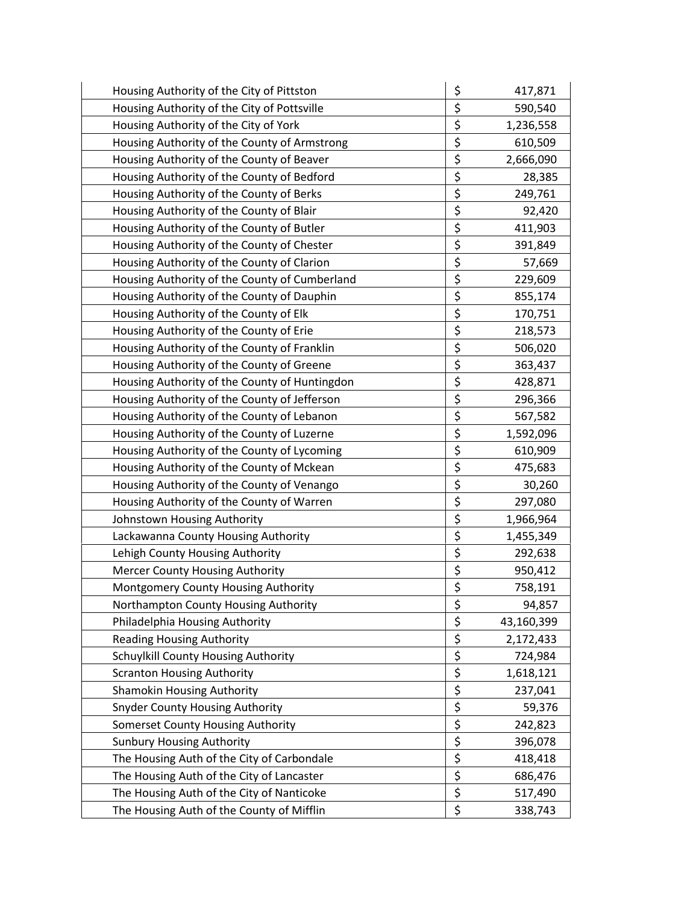| Housing Authority of the City of Pittston     | \$<br>417,871    |
|-----------------------------------------------|------------------|
| Housing Authority of the City of Pottsville   | \$<br>590,540    |
| Housing Authority of the City of York         | \$<br>1,236,558  |
| Housing Authority of the County of Armstrong  | \$<br>610,509    |
| Housing Authority of the County of Beaver     | \$<br>2,666,090  |
| Housing Authority of the County of Bedford    | \$<br>28,385     |
| Housing Authority of the County of Berks      | \$<br>249,761    |
| Housing Authority of the County of Blair      | \$<br>92,420     |
| Housing Authority of the County of Butler     | \$<br>411,903    |
| Housing Authority of the County of Chester    | \$<br>391,849    |
| Housing Authority of the County of Clarion    | \$<br>57,669     |
| Housing Authority of the County of Cumberland | \$<br>229,609    |
| Housing Authority of the County of Dauphin    | \$<br>855,174    |
| Housing Authority of the County of Elk        | \$<br>170,751    |
| Housing Authority of the County of Erie       | \$<br>218,573    |
| Housing Authority of the County of Franklin   | \$<br>506,020    |
| Housing Authority of the County of Greene     | \$<br>363,437    |
| Housing Authority of the County of Huntingdon | \$<br>428,871    |
| Housing Authority of the County of Jefferson  | \$<br>296,366    |
| Housing Authority of the County of Lebanon    | \$<br>567,582    |
| Housing Authority of the County of Luzerne    | \$<br>1,592,096  |
| Housing Authority of the County of Lycoming   | \$<br>610,909    |
| Housing Authority of the County of Mckean     | \$<br>475,683    |
| Housing Authority of the County of Venango    | \$<br>30,260     |
| Housing Authority of the County of Warren     | \$<br>297,080    |
| Johnstown Housing Authority                   | \$<br>1,966,964  |
| Lackawanna County Housing Authority           | \$<br>1,455,349  |
| Lehigh County Housing Authority               | \$<br>292,638    |
| <b>Mercer County Housing Authority</b>        | \$<br>950,412    |
| Montgomery County Housing Authority           | \$<br>758,191    |
| Northampton County Housing Authority          | \$<br>94,857     |
| Philadelphia Housing Authority                | \$<br>43,160,399 |
| <b>Reading Housing Authority</b>              | \$<br>2,172,433  |
| Schuylkill County Housing Authority           | \$<br>724,984    |
| <b>Scranton Housing Authority</b>             | \$<br>1,618,121  |
| <b>Shamokin Housing Authority</b>             | \$<br>237,041    |
| <b>Snyder County Housing Authority</b>        | \$<br>59,376     |
| Somerset County Housing Authority             | \$<br>242,823    |
| <b>Sunbury Housing Authority</b>              | \$<br>396,078    |
| The Housing Auth of the City of Carbondale    | \$<br>418,418    |
| The Housing Auth of the City of Lancaster     | \$<br>686,476    |
| The Housing Auth of the City of Nanticoke     | \$<br>517,490    |
| The Housing Auth of the County of Mifflin     | \$<br>338,743    |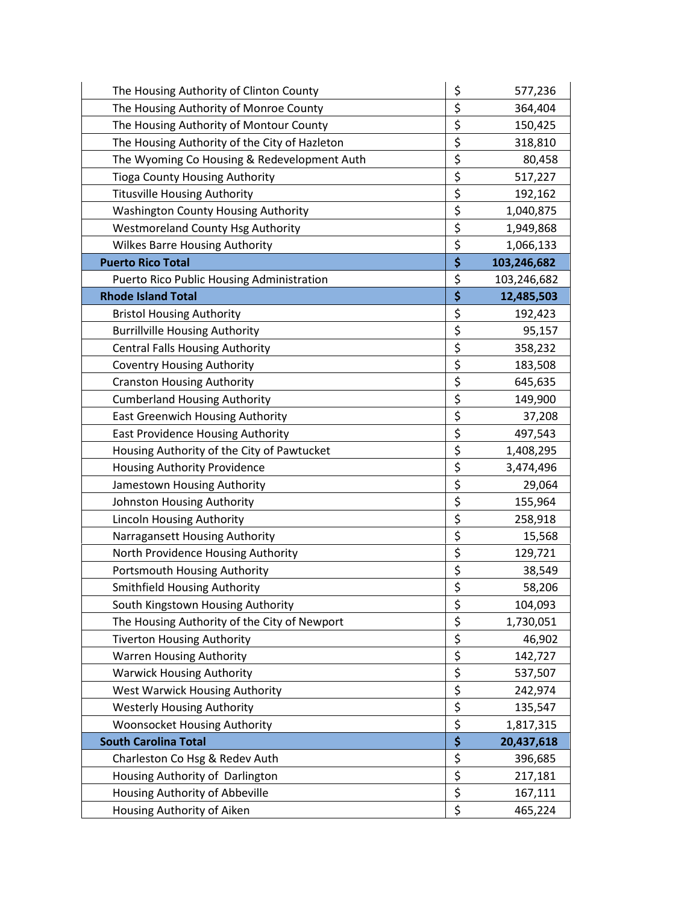| The Housing Authority of Clinton County       | \$<br>577,236     |
|-----------------------------------------------|-------------------|
| The Housing Authority of Monroe County        | \$<br>364,404     |
| The Housing Authority of Montour County       | \$<br>150,425     |
| The Housing Authority of the City of Hazleton | \$<br>318,810     |
| The Wyoming Co Housing & Redevelopment Auth   | \$<br>80,458      |
| <b>Tioga County Housing Authority</b>         | \$<br>517,227     |
| <b>Titusville Housing Authority</b>           | \$<br>192,162     |
| <b>Washington County Housing Authority</b>    | \$<br>1,040,875   |
| <b>Westmoreland County Hsg Authority</b>      | \$<br>1,949,868   |
| <b>Wilkes Barre Housing Authority</b>         | \$<br>1,066,133   |
| <b>Puerto Rico Total</b>                      | \$<br>103,246,682 |
| Puerto Rico Public Housing Administration     | \$<br>103,246,682 |
| <b>Rhode Island Total</b>                     | \$<br>12,485,503  |
| <b>Bristol Housing Authority</b>              | \$<br>192,423     |
| <b>Burrillville Housing Authority</b>         | \$<br>95,157      |
| <b>Central Falls Housing Authority</b>        | \$<br>358,232     |
| <b>Coventry Housing Authority</b>             | \$<br>183,508     |
| <b>Cranston Housing Authority</b>             | \$<br>645,635     |
| <b>Cumberland Housing Authority</b>           | \$<br>149,900     |
| East Greenwich Housing Authority              | \$<br>37,208      |
| East Providence Housing Authority             | \$<br>497,543     |
| Housing Authority of the City of Pawtucket    | \$<br>1,408,295   |
| Housing Authority Providence                  | \$<br>3,474,496   |
| Jamestown Housing Authority                   | \$<br>29,064      |
| Johnston Housing Authority                    | \$<br>155,964     |
| Lincoln Housing Authority                     | \$<br>258,918     |
| Narragansett Housing Authority                | \$<br>15,568      |
| North Providence Housing Authority            | \$<br>129,721     |
| Portsmouth Housing Authority                  | \$<br>38,549      |
| <b>Smithfield Housing Authority</b>           | \$<br>58,206      |
| South Kingstown Housing Authority             | \$<br>104,093     |
| The Housing Authority of the City of Newport  | \$<br>1,730,051   |
| <b>Tiverton Housing Authority</b>             | \$<br>46,902      |
| <b>Warren Housing Authority</b>               | \$<br>142,727     |
| <b>Warwick Housing Authority</b>              | \$<br>537,507     |
| West Warwick Housing Authority                | \$<br>242,974     |
| <b>Westerly Housing Authority</b>             | \$<br>135,547     |
| Woonsocket Housing Authority                  | \$<br>1,817,315   |
| <b>South Carolina Total</b>                   | \$<br>20,437,618  |
| Charleston Co Hsg & Redev Auth                | \$<br>396,685     |
| Housing Authority of Darlington               | \$<br>217,181     |
| Housing Authority of Abbeville                | \$<br>167,111     |
| Housing Authority of Aiken                    | \$<br>465,224     |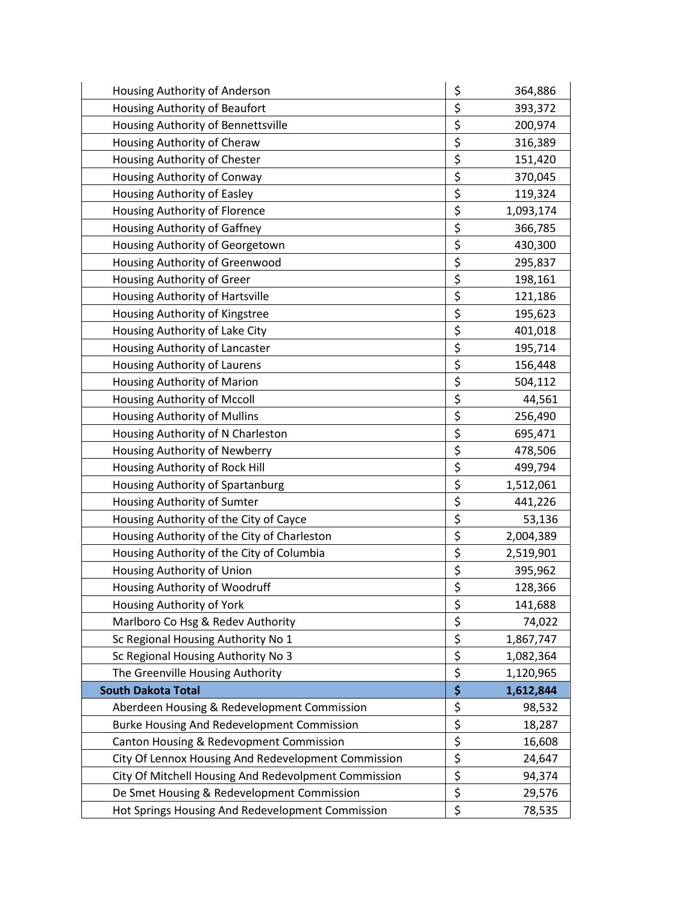| Housing Authority of Anderson                        | \$<br>364,886   |
|------------------------------------------------------|-----------------|
| Housing Authority of Beaufort                        | \$<br>393,372   |
| Housing Authority of Bennettsville                   | \$<br>200,974   |
| Housing Authority of Cheraw                          | \$<br>316,389   |
| Housing Authority of Chester                         | \$<br>151,420   |
| Housing Authority of Conway                          | \$<br>370,045   |
| Housing Authority of Easley                          | \$<br>119,324   |
| Housing Authority of Florence                        | \$<br>1,093,174 |
| Housing Authority of Gaffney                         | \$<br>366,785   |
| Housing Authority of Georgetown                      | \$<br>430,300   |
| Housing Authority of Greenwood                       | \$<br>295,837   |
| Housing Authority of Greer                           | \$<br>198,161   |
| Housing Authority of Hartsville                      | \$<br>121,186   |
| Housing Authority of Kingstree                       | \$<br>195,623   |
| Housing Authority of Lake City                       | \$<br>401,018   |
| Housing Authority of Lancaster                       | \$<br>195,714   |
| Housing Authority of Laurens                         | \$<br>156,448   |
| Housing Authority of Marion                          | \$<br>504,112   |
| Housing Authority of Mccoll                          | \$<br>44,561    |
| Housing Authority of Mullins                         | \$<br>256,490   |
| Housing Authority of N Charleston                    | \$<br>695,471   |
| Housing Authority of Newberry                        | \$<br>478,506   |
| Housing Authority of Rock Hill                       | \$<br>499,794   |
| Housing Authority of Spartanburg                     | \$<br>1,512,061 |
| Housing Authority of Sumter                          | \$<br>441,226   |
| Housing Authority of the City of Cayce               | \$<br>53,136    |
| Housing Authority of the City of Charleston          | \$<br>2,004,389 |
| Housing Authority of the City of Columbia            | \$<br>2,519,901 |
| Housing Authority of Union                           | \$<br>395,962   |
| Housing Authority of Woodruff                        | \$<br>128,366   |
| Housing Authority of York                            | \$<br>141,688   |
| Marlboro Co Hsg & Redev Authority                    | \$<br>74,022    |
| Sc Regional Housing Authority No 1                   | \$<br>1,867,747 |
| Sc Regional Housing Authority No 3                   | \$<br>1,082,364 |
| The Greenville Housing Authority                     | \$<br>1,120,965 |
| <b>South Dakota Total</b>                            | \$<br>1,612,844 |
| Aberdeen Housing & Redevelopment Commission          | \$<br>98,532    |
| Burke Housing And Redevelopment Commission           | \$<br>18,287    |
| Canton Housing & Redevopment Commission              | \$<br>16,608    |
| City Of Lennox Housing And Redevelopment Commission  | \$<br>24,647    |
| City Of Mitchell Housing And Redevolpment Commission | \$<br>94,374    |
| De Smet Housing & Redevelopment Commission           | \$<br>29,576    |
| Hot Springs Housing And Redevelopment Commission     | \$<br>78,535    |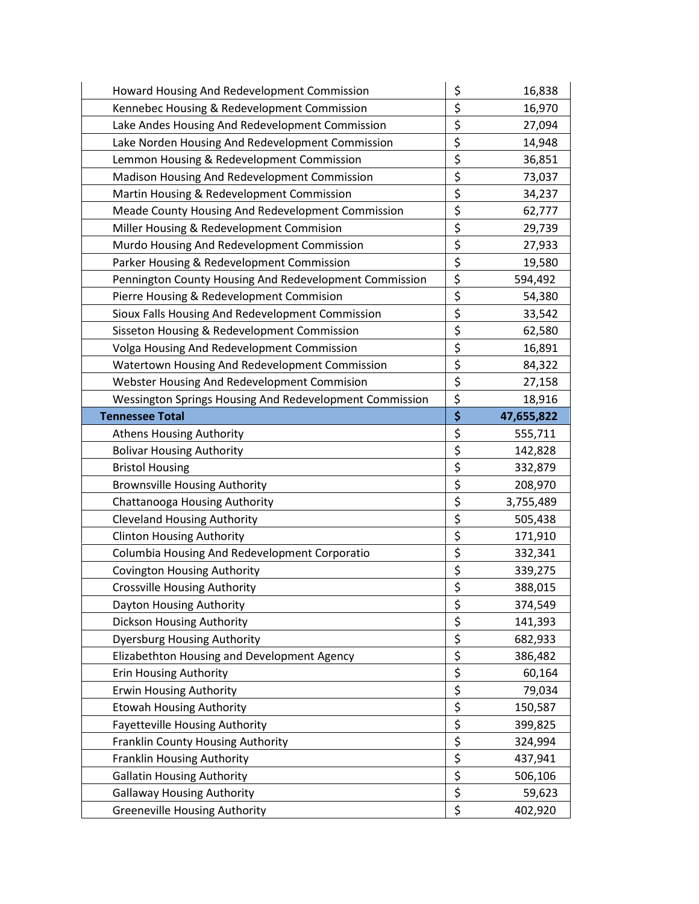| Howard Housing And Redevelopment Commission             | \$       | 16,838     |
|---------------------------------------------------------|----------|------------|
| Kennebec Housing & Redevelopment Commission             | \$       | 16,970     |
| Lake Andes Housing And Redevelopment Commission         | \$       | 27,094     |
| Lake Norden Housing And Redevelopment Commission        | \$       | 14,948     |
| Lemmon Housing & Redevelopment Commission               | \$       | 36,851     |
| Madison Housing And Redevelopment Commission            | \$       | 73,037     |
| Martin Housing & Redevelopment Commission               | \$       | 34,237     |
| Meade County Housing And Redevelopment Commission       | \$       | 62,777     |
| Miller Housing & Redevelopment Commision                | \$       | 29,739     |
| Murdo Housing And Redevelopment Commission              | \$       | 27,933     |
| Parker Housing & Redevelopment Commission               | \$       | 19,580     |
| Pennington County Housing And Redevelopment Commission  | \$       | 594,492    |
| Pierre Housing & Redevelopment Commision                | \$       | 54,380     |
| Sioux Falls Housing And Redevelopment Commission        | \$       | 33,542     |
| Sisseton Housing & Redevelopment Commission             | \$       | 62,580     |
| Volga Housing And Redevelopment Commission              | \$       | 16,891     |
| Watertown Housing And Redevelopment Commission          | \$       | 84,322     |
| Webster Housing And Redevelopment Commision             | \$       | 27,158     |
| Wessington Springs Housing And Redevelopment Commission | \$       | 18,916     |
| <b>Tennessee Total</b>                                  | \$       | 47,655,822 |
| <b>Athens Housing Authority</b>                         | \$       | 555,711    |
| <b>Bolivar Housing Authority</b>                        | \$       | 142,828    |
| <b>Bristol Housing</b>                                  | \$       | 332,879    |
| <b>Brownsville Housing Authority</b>                    | \$       | 208,970    |
| Chattanooga Housing Authority                           | \$       | 3,755,489  |
| <b>Cleveland Housing Authority</b>                      | \$       | 505,438    |
| <b>Clinton Housing Authority</b>                        | \$       | 171,910    |
| Columbia Housing And Redevelopment Corporatio           | \$       | 332,341    |
| <b>Covington Housing Authority</b>                      | \$       | 339,275    |
| <b>Crossville Housing Authority</b>                     | \$       | 388,015    |
| Dayton Housing Authority                                | \$       | 374,549    |
| <b>Dickson Housing Authority</b>                        | \$       | 141,393    |
| <b>Dyersburg Housing Authority</b>                      | \$       | 682,933    |
| Elizabethton Housing and Development Agency             |          |            |
|                                                         | \$       | 386,482    |
| <b>Erin Housing Authority</b>                           | \$       | 60,164     |
| <b>Erwin Housing Authority</b>                          | \$       | 79,034     |
| <b>Etowah Housing Authority</b>                         | \$       | 150,587    |
| <b>Fayetteville Housing Authority</b>                   | \$       | 399,825    |
| Franklin County Housing Authority                       | \$       | 324,994    |
| Franklin Housing Authority                              | \$       | 437,941    |
| <b>Gallatin Housing Authority</b>                       | \$       | 506,106    |
| <b>Gallaway Housing Authority</b>                       | \$<br>\$ | 59,623     |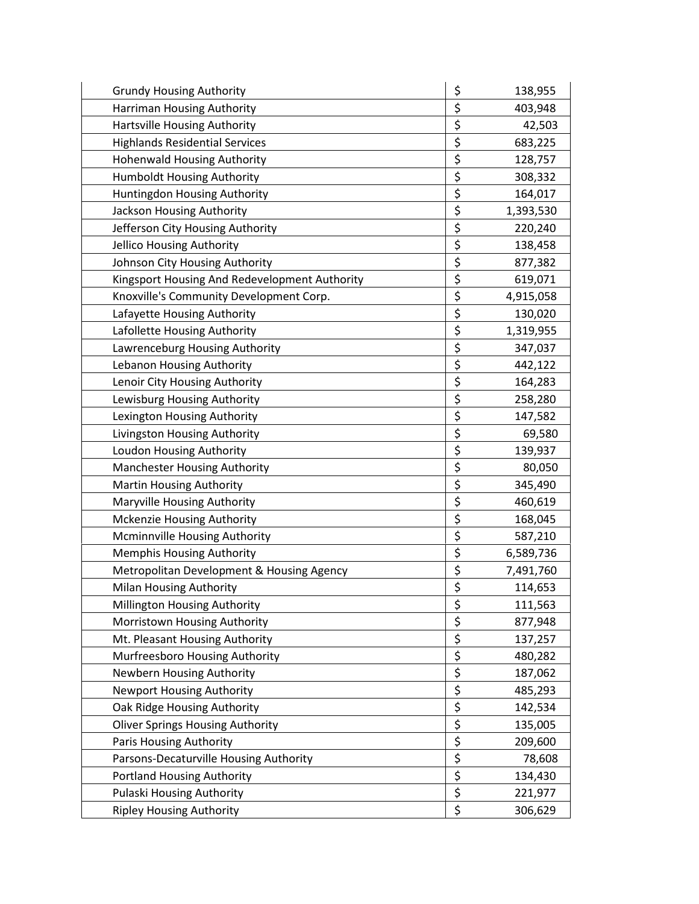| <b>Grundy Housing Authority</b>               | \$<br>138,955   |
|-----------------------------------------------|-----------------|
| Harriman Housing Authority                    | \$<br>403,948   |
| <b>Hartsville Housing Authority</b>           | \$<br>42,503    |
| <b>Highlands Residential Services</b>         | \$<br>683,225   |
| <b>Hohenwald Housing Authority</b>            | \$<br>128,757   |
| Humboldt Housing Authority                    | \$<br>308,332   |
| Huntingdon Housing Authority                  | \$<br>164,017   |
| Jackson Housing Authority                     | \$<br>1,393,530 |
| Jefferson City Housing Authority              | \$<br>220,240   |
| Jellico Housing Authority                     | \$<br>138,458   |
| Johnson City Housing Authority                | \$<br>877,382   |
| Kingsport Housing And Redevelopment Authority | \$<br>619,071   |
| Knoxville's Community Development Corp.       | \$<br>4,915,058 |
| Lafayette Housing Authority                   | \$<br>130,020   |
| Lafollette Housing Authority                  | \$<br>1,319,955 |
| Lawrenceburg Housing Authority                | \$<br>347,037   |
| Lebanon Housing Authority                     | \$<br>442,122   |
| Lenoir City Housing Authority                 | \$<br>164,283   |
| Lewisburg Housing Authority                   | \$<br>258,280   |
| Lexington Housing Authority                   | \$<br>147,582   |
| Livingston Housing Authority                  | \$<br>69,580    |
| Loudon Housing Authority                      | \$<br>139,937   |
| <b>Manchester Housing Authority</b>           | \$<br>80,050    |
| Martin Housing Authority                      | \$<br>345,490   |
| Maryville Housing Authority                   | \$<br>460,619   |
| Mckenzie Housing Authority                    | \$<br>168,045   |
| Mcminnville Housing Authority                 | \$<br>587,210   |
| <b>Memphis Housing Authority</b>              | \$<br>6,589,736 |
| Metropolitan Development & Housing Agency     | \$<br>7,491,760 |
| Milan Housing Authority                       | \$<br>114,653   |
| Millington Housing Authority                  | \$<br>111,563   |
| Morristown Housing Authority                  | \$<br>877,948   |
| Mt. Pleasant Housing Authority                | \$<br>137,257   |
| Murfreesboro Housing Authority                | \$<br>480,282   |
| Newbern Housing Authority                     | \$<br>187,062   |
| <b>Newport Housing Authority</b>              | \$<br>485,293   |
| Oak Ridge Housing Authority                   | \$<br>142,534   |
| <b>Oliver Springs Housing Authority</b>       | \$<br>135,005   |
| Paris Housing Authority                       | \$<br>209,600   |
| Parsons-Decaturville Housing Authority        | \$<br>78,608    |
| <b>Portland Housing Authority</b>             | \$<br>134,430   |
| Pulaski Housing Authority                     | \$<br>221,977   |
| <b>Ripley Housing Authority</b>               | \$<br>306,629   |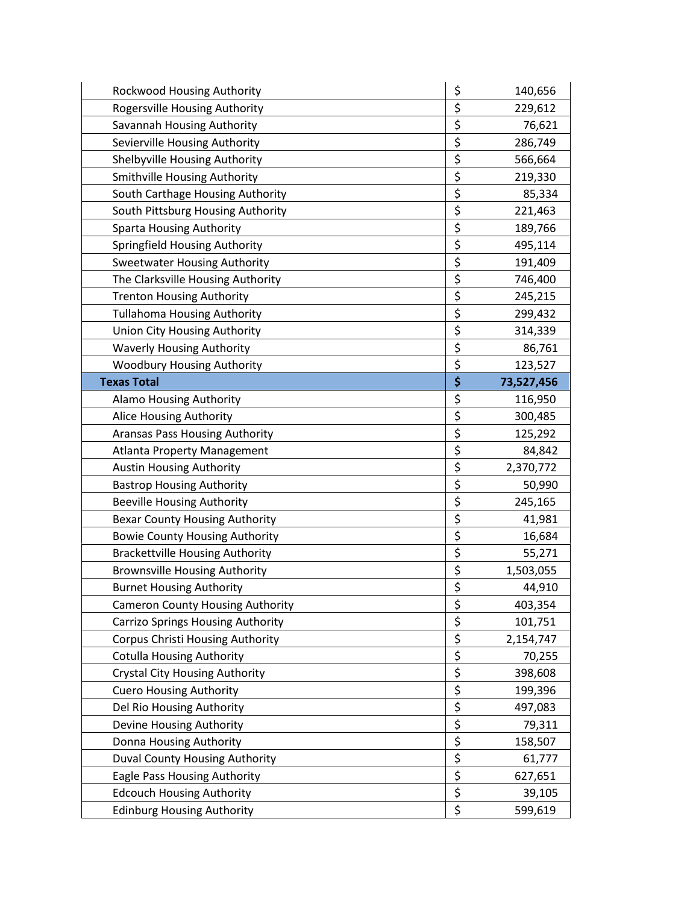| Rockwood Housing Authority               | \$<br>140,656    |
|------------------------------------------|------------------|
| Rogersville Housing Authority            | \$<br>229,612    |
| Savannah Housing Authority               | \$<br>76,621     |
| Sevierville Housing Authority            | \$<br>286,749    |
| Shelbyville Housing Authority            | \$<br>566,664    |
| Smithville Housing Authority             | \$<br>219,330    |
| South Carthage Housing Authority         | \$<br>85,334     |
| South Pittsburg Housing Authority        | \$<br>221,463    |
| <b>Sparta Housing Authority</b>          | \$<br>189,766    |
| Springfield Housing Authority            | \$<br>495,114    |
| <b>Sweetwater Housing Authority</b>      | \$<br>191,409    |
| The Clarksville Housing Authority        | \$<br>746,400    |
| <b>Trenton Housing Authority</b>         | \$<br>245,215    |
| <b>Tullahoma Housing Authority</b>       | \$<br>299,432    |
| Union City Housing Authority             | \$<br>314,339    |
| <b>Waverly Housing Authority</b>         | \$<br>86,761     |
| <b>Woodbury Housing Authority</b>        | \$<br>123,527    |
| <b>Texas Total</b>                       | \$<br>73,527,456 |
| Alamo Housing Authority                  | \$<br>116,950    |
| Alice Housing Authority                  | \$<br>300,485    |
| Aransas Pass Housing Authority           | \$<br>125,292    |
| <b>Atlanta Property Management</b>       | \$<br>84,842     |
| <b>Austin Housing Authority</b>          | \$<br>2,370,772  |
| <b>Bastrop Housing Authority</b>         | \$<br>50,990     |
| <b>Beeville Housing Authority</b>        | \$<br>245,165    |
| <b>Bexar County Housing Authority</b>    | \$<br>41,981     |
| <b>Bowie County Housing Authority</b>    | \$<br>16,684     |
| <b>Brackettville Housing Authority</b>   | \$<br>55,271     |
| <b>Brownsville Housing Authority</b>     | \$<br>1,503,055  |
| <b>Burnet Housing Authority</b>          | \$<br>44,910     |
| <b>Cameron County Housing Authority</b>  | \$<br>403,354    |
| <b>Carrizo Springs Housing Authority</b> | \$<br>101,751    |
| Corpus Christi Housing Authority         | \$<br>2,154,747  |
| <b>Cotulla Housing Authority</b>         | \$<br>70,255     |
| <b>Crystal City Housing Authority</b>    | \$<br>398,608    |
| <b>Cuero Housing Authority</b>           | \$<br>199,396    |
| Del Rio Housing Authority                | \$<br>497,083    |
| Devine Housing Authority                 | \$<br>79,311     |
| Donna Housing Authority                  | \$<br>158,507    |
| Duval County Housing Authority           | \$<br>61,777     |
| Eagle Pass Housing Authority             | \$<br>627,651    |
| <b>Edcouch Housing Authority</b>         | \$<br>39,105     |
| <b>Edinburg Housing Authority</b>        | \$<br>599,619    |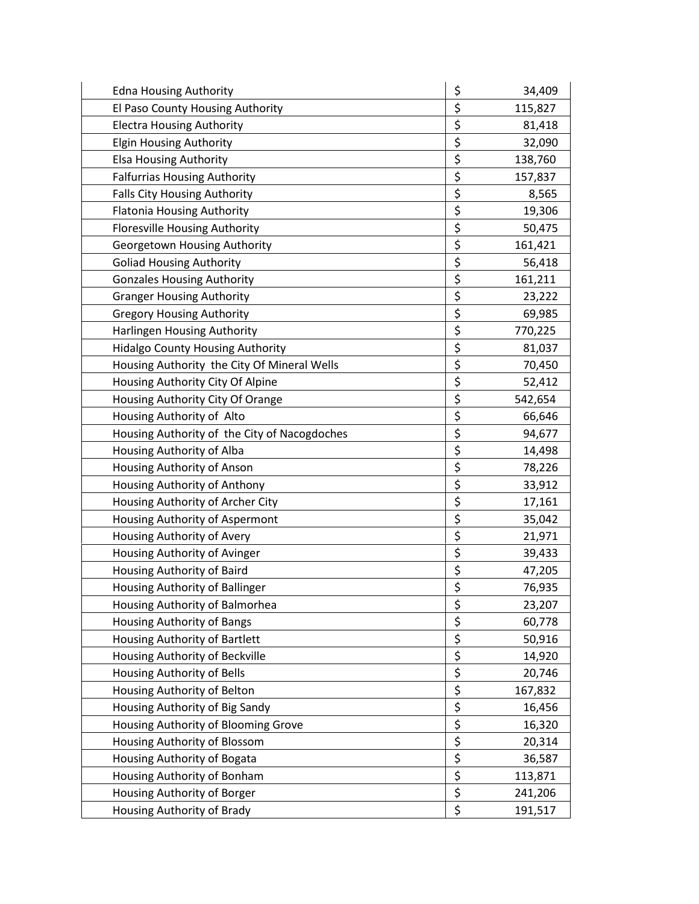| <b>Edna Housing Authority</b>                | \$               | 34,409  |
|----------------------------------------------|------------------|---------|
| El Paso County Housing Authority             | \$               | 115,827 |
| <b>Electra Housing Authority</b>             | \$               | 81,418  |
| <b>Elgin Housing Authority</b>               | \$               | 32,090  |
| <b>Elsa Housing Authority</b>                | \$               | 138,760 |
| <b>Falfurrias Housing Authority</b>          | \$               | 157,837 |
| Falls City Housing Authority                 | \$               | 8,565   |
| <b>Flatonia Housing Authority</b>            | \$               | 19,306  |
| Floresville Housing Authority                | \$               | 50,475  |
| Georgetown Housing Authority                 | \$               | 161,421 |
| <b>Goliad Housing Authority</b>              | \$               | 56,418  |
| <b>Gonzales Housing Authority</b>            | \$               | 161,211 |
| <b>Granger Housing Authority</b>             | \$               | 23,222  |
| <b>Gregory Housing Authority</b>             | \$               | 69,985  |
| Harlingen Housing Authority                  | \$               | 770,225 |
| <b>Hidalgo County Housing Authority</b>      | \$               | 81,037  |
| Housing Authority the City Of Mineral Wells  | \$               | 70,450  |
| Housing Authority City Of Alpine             | \$               | 52,412  |
| Housing Authority City Of Orange             | \$               | 542,654 |
| Housing Authority of Alto                    | \$               | 66,646  |
| Housing Authority of the City of Nacogdoches | \$               | 94,677  |
| Housing Authority of Alba                    | \$               | 14,498  |
| Housing Authority of Anson                   | \$               | 78,226  |
| Housing Authority of Anthony                 | \$               | 33,912  |
| Housing Authority of Archer City             | \$               | 17,161  |
| Housing Authority of Aspermont               | \$               | 35,042  |
| Housing Authority of Avery                   | \$               | 21,971  |
| Housing Authority of Avinger                 | \$               | 39,433  |
| Housing Authority of Baird                   | \$               | 47,205  |
| Housing Authority of Ballinger               | \$               | 76,935  |
| Housing Authority of Balmorhea               | \$               | 23,207  |
| Housing Authority of Bangs                   | \$               | 60,778  |
| Housing Authority of Bartlett                | $\overline{\xi}$ | 50,916  |
| Housing Authority of Beckville               | \$               | 14,920  |
| Housing Authority of Bells                   | $\overline{\xi}$ | 20,746  |
| Housing Authority of Belton                  | \$               | 167,832 |
| Housing Authority of Big Sandy               | $\overline{\xi}$ | 16,456  |
| Housing Authority of Blooming Grove          | \$               | 16,320  |
| Housing Authority of Blossom                 | $\overline{\xi}$ | 20,314  |
| Housing Authority of Bogata                  | \$               | 36,587  |
| Housing Authority of Bonham                  | $\overline{\xi}$ | 113,871 |
| Housing Authority of Borger                  | \$               | 241,206 |
| Housing Authority of Brady                   | \$               | 191,517 |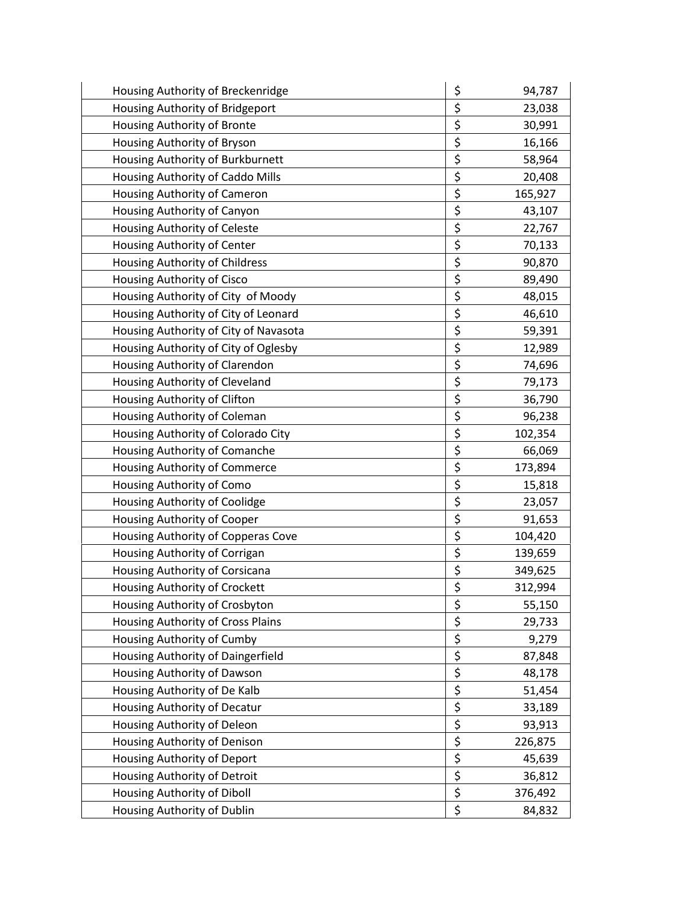| Housing Authority of Breckenridge     | \$<br>94,787  |
|---------------------------------------|---------------|
| Housing Authority of Bridgeport       | \$<br>23,038  |
| Housing Authority of Bronte           | \$<br>30,991  |
| Housing Authority of Bryson           | \$<br>16,166  |
| Housing Authority of Burkburnett      | \$<br>58,964  |
| Housing Authority of Caddo Mills      | \$<br>20,408  |
| Housing Authority of Cameron          | \$<br>165,927 |
| Housing Authority of Canyon           | \$<br>43,107  |
| Housing Authority of Celeste          | \$<br>22,767  |
| Housing Authority of Center           | \$<br>70,133  |
| Housing Authority of Childress        | \$<br>90,870  |
| Housing Authority of Cisco            | \$<br>89,490  |
| Housing Authority of City of Moody    | \$<br>48,015  |
| Housing Authority of City of Leonard  | \$<br>46,610  |
| Housing Authority of City of Navasota | \$<br>59,391  |
| Housing Authority of City of Oglesby  | \$<br>12,989  |
| Housing Authority of Clarendon        | \$<br>74,696  |
| Housing Authority of Cleveland        | \$<br>79,173  |
| Housing Authority of Clifton          | \$<br>36,790  |
| Housing Authority of Coleman          | \$<br>96,238  |
| Housing Authority of Colorado City    | \$<br>102,354 |
| Housing Authority of Comanche         | \$<br>66,069  |
| Housing Authority of Commerce         | \$<br>173,894 |
| Housing Authority of Como             | \$<br>15,818  |
| Housing Authority of Coolidge         | \$<br>23,057  |
| Housing Authority of Cooper           | \$<br>91,653  |
| Housing Authority of Copperas Cove    | \$<br>104,420 |
| Housing Authority of Corrigan         | \$<br>139,659 |
| Housing Authority of Corsicana        | \$<br>349,625 |
| Housing Authority of Crockett         | \$<br>312,994 |
| Housing Authority of Crosbyton        | \$<br>55,150  |
| Housing Authority of Cross Plains     | \$<br>29,733  |
| Housing Authority of Cumby            | \$<br>9,279   |
| Housing Authority of Daingerfield     | \$<br>87,848  |
| Housing Authority of Dawson           | \$<br>48,178  |
| Housing Authority of De Kalb          | \$<br>51,454  |
| Housing Authority of Decatur          | \$<br>33,189  |
| Housing Authority of Deleon           | \$<br>93,913  |
| Housing Authority of Denison          | \$<br>226,875 |
| Housing Authority of Deport           | \$<br>45,639  |
| Housing Authority of Detroit          | \$<br>36,812  |
| Housing Authority of Diboll           | \$<br>376,492 |
| Housing Authority of Dublin           | \$<br>84,832  |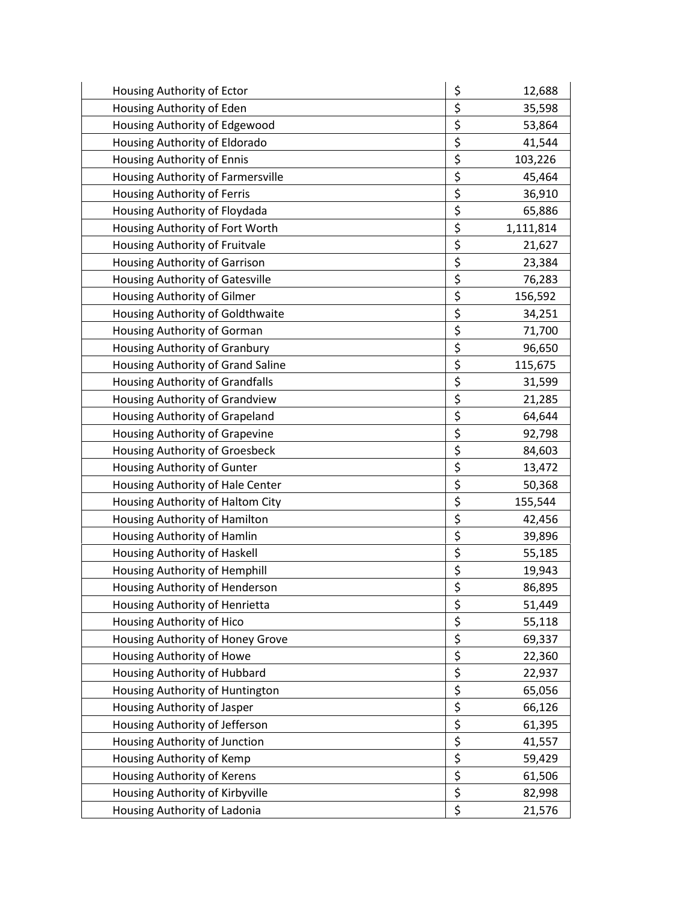| Housing Authority of Ector        | \$<br>12,688    |
|-----------------------------------|-----------------|
| Housing Authority of Eden         | \$<br>35,598    |
| Housing Authority of Edgewood     | \$<br>53,864    |
| Housing Authority of Eldorado     | \$<br>41,544    |
| Housing Authority of Ennis        | \$<br>103,226   |
| Housing Authority of Farmersville | \$<br>45,464    |
| Housing Authority of Ferris       | \$<br>36,910    |
| Housing Authority of Floydada     | \$<br>65,886    |
| Housing Authority of Fort Worth   | \$<br>1,111,814 |
| Housing Authority of Fruitvale    | \$<br>21,627    |
| Housing Authority of Garrison     | \$<br>23,384    |
| Housing Authority of Gatesville   | \$<br>76,283    |
| Housing Authority of Gilmer       | \$<br>156,592   |
| Housing Authority of Goldthwaite  | \$<br>34,251    |
| Housing Authority of Gorman       | \$<br>71,700    |
| Housing Authority of Granbury     | \$<br>96,650    |
| Housing Authority of Grand Saline | \$<br>115,675   |
| Housing Authority of Grandfalls   | \$<br>31,599    |
| Housing Authority of Grandview    | \$<br>21,285    |
| Housing Authority of Grapeland    | \$<br>64,644    |
| Housing Authority of Grapevine    | \$<br>92,798    |
| Housing Authority of Groesbeck    | \$<br>84,603    |
| Housing Authority of Gunter       | \$<br>13,472    |
| Housing Authority of Hale Center  | \$<br>50,368    |
| Housing Authority of Haltom City  | \$<br>155,544   |
| Housing Authority of Hamilton     | \$<br>42,456    |
| Housing Authority of Hamlin       | \$<br>39,896    |
| Housing Authority of Haskell      | \$<br>55,185    |
| Housing Authority of Hemphill     | \$<br>19,943    |
| Housing Authority of Henderson    | \$<br>86,895    |
| Housing Authority of Henrietta    | \$<br>51,449    |
| Housing Authority of Hico         | \$<br>55,118    |
| Housing Authority of Honey Grove  | \$<br>69,337    |
| Housing Authority of Howe         | \$<br>22,360    |
| Housing Authority of Hubbard      | \$<br>22,937    |
| Housing Authority of Huntington   | \$<br>65,056    |
| Housing Authority of Jasper       | \$<br>66,126    |
| Housing Authority of Jefferson    | \$<br>61,395    |
| Housing Authority of Junction     | \$<br>41,557    |
| Housing Authority of Kemp         | \$<br>59,429    |
| Housing Authority of Kerens       | \$<br>61,506    |
| Housing Authority of Kirbyville   | \$<br>82,998    |
| Housing Authority of Ladonia      | \$<br>21,576    |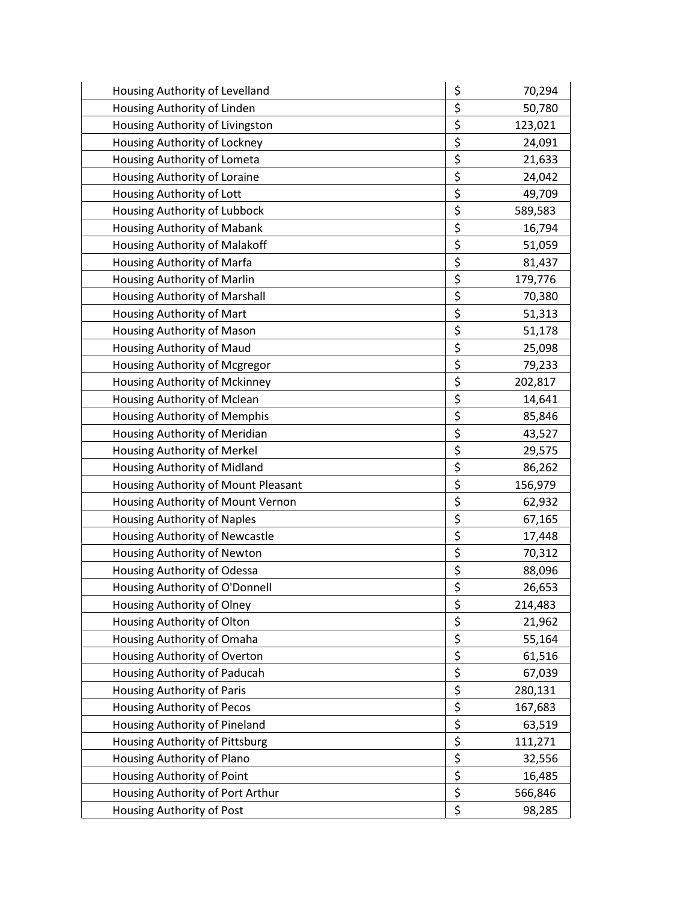| Housing Authority of Levelland      | \$<br>70,294  |
|-------------------------------------|---------------|
| Housing Authority of Linden         | \$<br>50,780  |
| Housing Authority of Livingston     | \$<br>123,021 |
| Housing Authority of Lockney        | \$<br>24,091  |
| Housing Authority of Lometa         | \$<br>21,633  |
| Housing Authority of Loraine        | \$<br>24,042  |
| Housing Authority of Lott           | \$<br>49,709  |
| Housing Authority of Lubbock        | \$<br>589,583 |
| Housing Authority of Mabank         | \$<br>16,794  |
| Housing Authority of Malakoff       | \$<br>51,059  |
| Housing Authority of Marfa          | \$<br>81,437  |
| Housing Authority of Marlin         | \$<br>179,776 |
| Housing Authority of Marshall       | \$<br>70,380  |
| Housing Authority of Mart           | \$<br>51,313  |
| Housing Authority of Mason          | \$<br>51,178  |
| Housing Authority of Maud           | \$<br>25,098  |
| Housing Authority of Mcgregor       | \$<br>79,233  |
| Housing Authority of Mckinney       | \$<br>202,817 |
| Housing Authority of Mclean         | \$<br>14,641  |
| Housing Authority of Memphis        | \$<br>85,846  |
| Housing Authority of Meridian       | \$<br>43,527  |
| Housing Authority of Merkel         | \$<br>29,575  |
| Housing Authority of Midland        | \$<br>86,262  |
| Housing Authority of Mount Pleasant | \$<br>156,979 |
| Housing Authority of Mount Vernon   | \$<br>62,932  |
| Housing Authority of Naples         | \$<br>67,165  |
| Housing Authority of Newcastle      | \$<br>17,448  |
| Housing Authority of Newton         | \$<br>70,312  |
| Housing Authority of Odessa         | \$<br>88,096  |
| Housing Authority of O'Donnell      | \$<br>26,653  |
| Housing Authority of Olney          | \$<br>214,483 |
| Housing Authority of Olton          | \$<br>21,962  |
| Housing Authority of Omaha          | \$<br>55,164  |
| Housing Authority of Overton        | \$<br>61,516  |
| Housing Authority of Paducah        | \$<br>67,039  |
| Housing Authority of Paris          | \$<br>280,131 |
| Housing Authority of Pecos          | \$<br>167,683 |
| Housing Authority of Pineland       | \$<br>63,519  |
| Housing Authority of Pittsburg      | \$<br>111,271 |
| Housing Authority of Plano          | \$<br>32,556  |
| Housing Authority of Point          | \$<br>16,485  |
| Housing Authority of Port Arthur    | \$<br>566,846 |
| Housing Authority of Post           | \$<br>98,285  |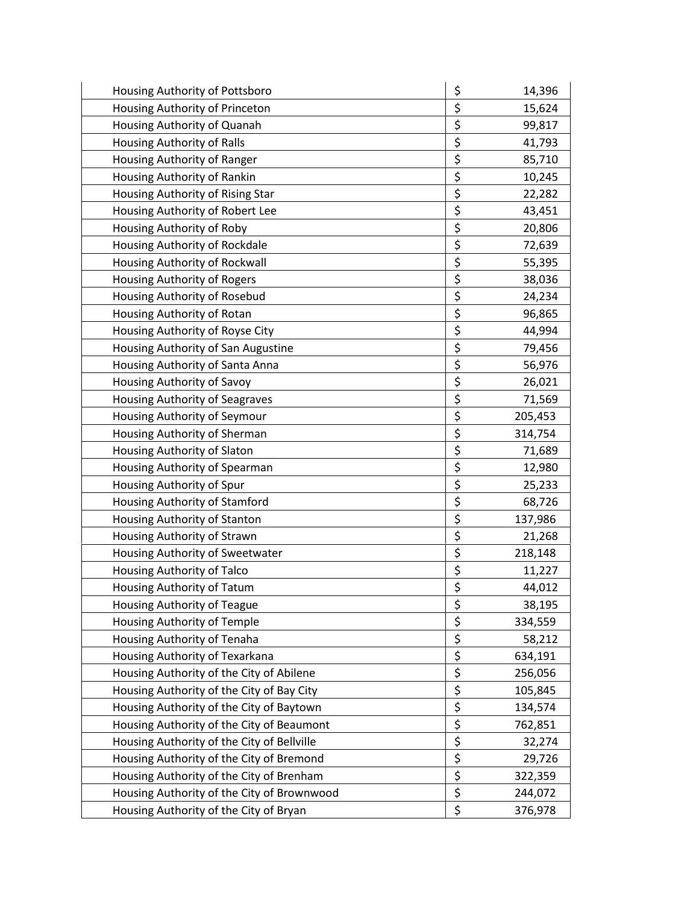| Housing Authority of Pottsboro             | \$<br>14,396  |
|--------------------------------------------|---------------|
| Housing Authority of Princeton             | \$<br>15,624  |
| Housing Authority of Quanah                | \$<br>99,817  |
| Housing Authority of Ralls                 | \$<br>41,793  |
| Housing Authority of Ranger                | \$<br>85,710  |
| Housing Authority of Rankin                | \$<br>10,245  |
| Housing Authority of Rising Star           | \$<br>22,282  |
| Housing Authority of Robert Lee            | \$<br>43,451  |
| Housing Authority of Roby                  | \$<br>20,806  |
| Housing Authority of Rockdale              | \$<br>72,639  |
| Housing Authority of Rockwall              | \$<br>55,395  |
| Housing Authority of Rogers                | \$<br>38,036  |
| Housing Authority of Rosebud               | \$<br>24,234  |
| Housing Authority of Rotan                 | \$<br>96,865  |
| Housing Authority of Royse City            | \$<br>44,994  |
| Housing Authority of San Augustine         | \$<br>79,456  |
| Housing Authority of Santa Anna            | \$<br>56,976  |
| Housing Authority of Savoy                 | \$<br>26,021  |
| Housing Authority of Seagraves             | \$<br>71,569  |
| Housing Authority of Seymour               | \$<br>205,453 |
| Housing Authority of Sherman               | \$<br>314,754 |
| Housing Authority of Slaton                | \$<br>71,689  |
| Housing Authority of Spearman              | \$<br>12,980  |
| Housing Authority of Spur                  | \$<br>25,233  |
| Housing Authority of Stamford              | \$<br>68,726  |
| Housing Authority of Stanton               | \$<br>137,986 |
| Housing Authority of Strawn                | \$<br>21,268  |
| Housing Authority of Sweetwater            | \$<br>218,148 |
| Housing Authority of Talco                 | \$<br>11,227  |
| Housing Authority of Tatum                 | \$<br>44,012  |
| Housing Authority of Teague                | \$<br>38,195  |
| Housing Authority of Temple                | \$<br>334,559 |
| Housing Authority of Tenaha                | \$<br>58,212  |
| Housing Authority of Texarkana             | \$<br>634,191 |
| Housing Authority of the City of Abilene   | \$<br>256,056 |
| Housing Authority of the City of Bay City  | \$<br>105,845 |
| Housing Authority of the City of Baytown   | \$<br>134,574 |
| Housing Authority of the City of Beaumont  | \$<br>762,851 |
| Housing Authority of the City of Bellville | \$<br>32,274  |
| Housing Authority of the City of Bremond   | \$<br>29,726  |
| Housing Authority of the City of Brenham   | \$<br>322,359 |
| Housing Authority of the City of Brownwood | \$<br>244,072 |
| Housing Authority of the City of Bryan     | \$<br>376,978 |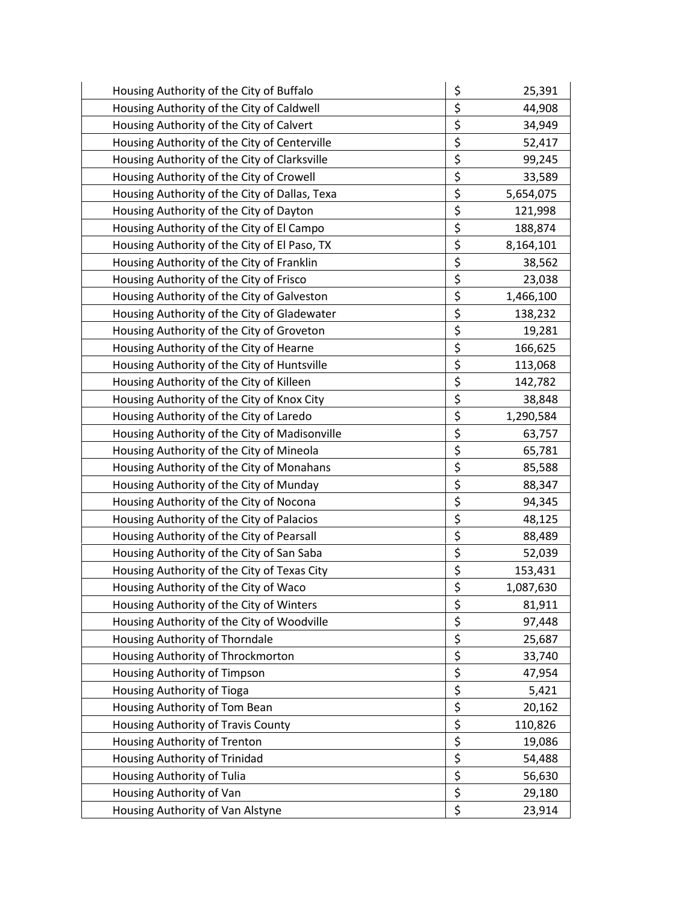| Housing Authority of the City of Buffalo      | \$<br>25,391    |
|-----------------------------------------------|-----------------|
| Housing Authority of the City of Caldwell     | \$<br>44,908    |
| Housing Authority of the City of Calvert      | \$<br>34,949    |
| Housing Authority of the City of Centerville  | \$<br>52,417    |
| Housing Authority of the City of Clarksville  | \$<br>99,245    |
| Housing Authority of the City of Crowell      | \$<br>33,589    |
| Housing Authority of the City of Dallas, Texa | \$<br>5,654,075 |
| Housing Authority of the City of Dayton       | \$<br>121,998   |
| Housing Authority of the City of El Campo     | \$<br>188,874   |
| Housing Authority of the City of El Paso, TX  | \$<br>8,164,101 |
| Housing Authority of the City of Franklin     | \$<br>38,562    |
| Housing Authority of the City of Frisco       | \$<br>23,038    |
| Housing Authority of the City of Galveston    | \$<br>1,466,100 |
| Housing Authority of the City of Gladewater   | \$<br>138,232   |
| Housing Authority of the City of Groveton     | \$<br>19,281    |
| Housing Authority of the City of Hearne       | \$<br>166,625   |
| Housing Authority of the City of Huntsville   | \$<br>113,068   |
| Housing Authority of the City of Killeen      | \$<br>142,782   |
| Housing Authority of the City of Knox City    | \$<br>38,848    |
| Housing Authority of the City of Laredo       | \$<br>1,290,584 |
| Housing Authority of the City of Madisonville | \$<br>63,757    |
| Housing Authority of the City of Mineola      | \$<br>65,781    |
| Housing Authority of the City of Monahans     | \$<br>85,588    |
| Housing Authority of the City of Munday       | \$<br>88,347    |
| Housing Authority of the City of Nocona       | \$<br>94,345    |
| Housing Authority of the City of Palacios     | \$<br>48,125    |
| Housing Authority of the City of Pearsall     | \$<br>88,489    |
| Housing Authority of the City of San Saba     | \$<br>52,039    |
| Housing Authority of the City of Texas City   | \$<br>153,431   |
| Housing Authority of the City of Waco         | \$<br>1,087,630 |
| Housing Authority of the City of Winters      | \$<br>81,911    |
| Housing Authority of the City of Woodville    | \$<br>97,448    |
| Housing Authority of Thorndale                | \$<br>25,687    |
| Housing Authority of Throckmorton             | \$<br>33,740    |
| Housing Authority of Timpson                  | \$<br>47,954    |
| Housing Authority of Tioga                    | \$<br>5,421     |
| Housing Authority of Tom Bean                 | \$<br>20,162    |
| Housing Authority of Travis County            | \$<br>110,826   |
| Housing Authority of Trenton                  | \$<br>19,086    |
| Housing Authority of Trinidad                 | \$<br>54,488    |
| Housing Authority of Tulia                    | \$<br>56,630    |
| Housing Authority of Van                      | \$<br>29,180    |
| Housing Authority of Van Alstyne              | \$<br>23,914    |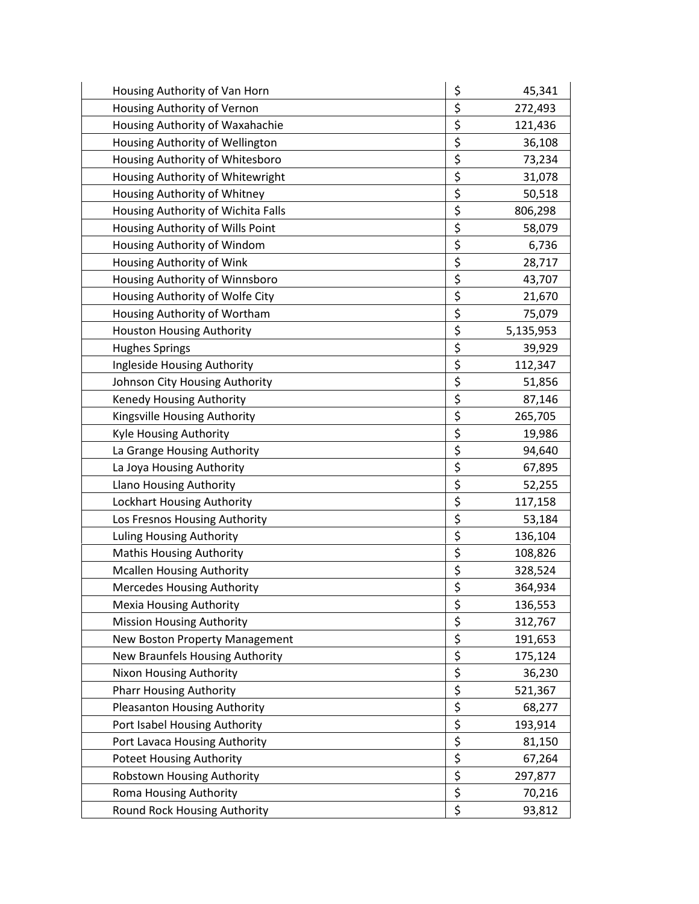| Housing Authority of Van Horn       | \$<br>45,341    |
|-------------------------------------|-----------------|
| Housing Authority of Vernon         | \$<br>272,493   |
| Housing Authority of Waxahachie     | \$<br>121,436   |
| Housing Authority of Wellington     | \$<br>36,108    |
| Housing Authority of Whitesboro     | \$<br>73,234    |
| Housing Authority of Whitewright    | \$<br>31,078    |
| Housing Authority of Whitney        | \$<br>50,518    |
| Housing Authority of Wichita Falls  | \$<br>806,298   |
| Housing Authority of Wills Point    | \$<br>58,079    |
| Housing Authority of Windom         | \$<br>6,736     |
| Housing Authority of Wink           | \$<br>28,717    |
| Housing Authority of Winnsboro      | \$<br>43,707    |
| Housing Authority of Wolfe City     | \$<br>21,670    |
| Housing Authority of Wortham        | \$<br>75,079    |
| Houston Housing Authority           | \$<br>5,135,953 |
| <b>Hughes Springs</b>               | \$<br>39,929    |
| Ingleside Housing Authority         | \$<br>112,347   |
| Johnson City Housing Authority      | \$<br>51,856    |
| Kenedy Housing Authority            | \$<br>87,146    |
| Kingsville Housing Authority        | \$<br>265,705   |
| Kyle Housing Authority              | \$<br>19,986    |
| La Grange Housing Authority         | \$<br>94,640    |
| La Joya Housing Authority           | \$<br>67,895    |
| <b>Llano Housing Authority</b>      | \$<br>52,255    |
| Lockhart Housing Authority          | \$<br>117,158   |
| Los Fresnos Housing Authority       | \$<br>53,184    |
| Luling Housing Authority            | \$<br>136,104   |
| <b>Mathis Housing Authority</b>     | \$<br>108,826   |
| <b>Mcallen Housing Authority</b>    | \$<br>328,524   |
| <b>Mercedes Housing Authority</b>   | \$<br>364,934   |
| <b>Mexia Housing Authority</b>      | \$<br>136,553   |
| <b>Mission Housing Authority</b>    | \$<br>312,767   |
| New Boston Property Management      | \$<br>191,653   |
| New Braunfels Housing Authority     | \$<br>175,124   |
| Nixon Housing Authority             | \$<br>36,230    |
| <b>Pharr Housing Authority</b>      | \$<br>521,367   |
| <b>Pleasanton Housing Authority</b> | \$<br>68,277    |
| Port Isabel Housing Authority       | \$<br>193,914   |
| Port Lavaca Housing Authority       | \$<br>81,150    |
| <b>Poteet Housing Authority</b>     | \$<br>67,264    |
| Robstown Housing Authority          | \$<br>297,877   |
| Roma Housing Authority              | \$<br>70,216    |
| Round Rock Housing Authority        | \$<br>93,812    |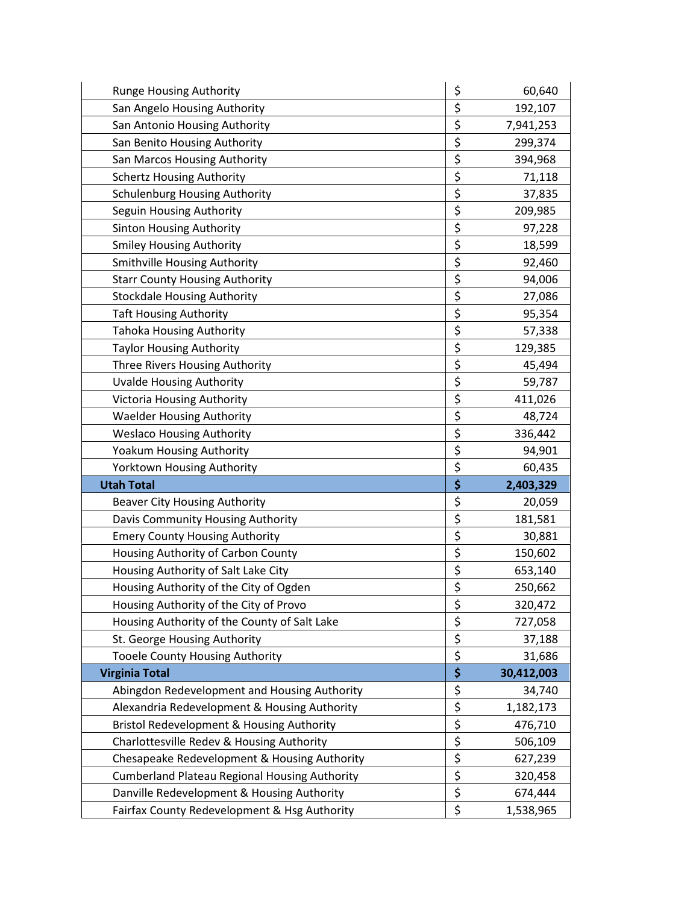| Runge Housing Authority                                                                    | \$       | 60,640     |
|--------------------------------------------------------------------------------------------|----------|------------|
| San Angelo Housing Authority                                                               | \$       | 192,107    |
| San Antonio Housing Authority                                                              | \$       | 7,941,253  |
| San Benito Housing Authority                                                               | \$       | 299,374    |
| San Marcos Housing Authority                                                               | \$       | 394,968    |
| <b>Schertz Housing Authority</b>                                                           | \$       | 71,118     |
| <b>Schulenburg Housing Authority</b>                                                       | \$       | 37,835     |
| Seguin Housing Authority                                                                   | \$       | 209,985    |
| <b>Sinton Housing Authority</b>                                                            | \$       | 97,228     |
| <b>Smiley Housing Authority</b>                                                            | \$       | 18,599     |
| Smithville Housing Authority                                                               | \$       | 92,460     |
| <b>Starr County Housing Authority</b>                                                      | \$       | 94,006     |
| <b>Stockdale Housing Authority</b>                                                         | \$       | 27,086     |
| <b>Taft Housing Authority</b>                                                              | \$       | 95,354     |
| <b>Tahoka Housing Authority</b>                                                            | \$       | 57,338     |
| <b>Taylor Housing Authority</b>                                                            | \$       | 129,385    |
| Three Rivers Housing Authority                                                             | \$       | 45,494     |
| <b>Uvalde Housing Authority</b>                                                            | \$       | 59,787     |
| Victoria Housing Authority                                                                 | \$       | 411,026    |
| <b>Waelder Housing Authority</b>                                                           | \$       | 48,724     |
| <b>Weslaco Housing Authority</b>                                                           | \$       | 336,442    |
| Yoakum Housing Authority                                                                   | \$       | 94,901     |
| Yorktown Housing Authority                                                                 | \$       | 60,435     |
| <b>Utah Total</b>                                                                          | \$       | 2,403,329  |
| <b>Beaver City Housing Authority</b>                                                       | \$       | 20,059     |
| Davis Community Housing Authority                                                          | \$       | 181,581    |
| <b>Emery County Housing Authority</b>                                                      | \$       | 30,881     |
| Housing Authority of Carbon County                                                         | \$       | 150,602    |
| Housing Authority of Salt Lake City                                                        | \$       | 653,140    |
| Housing Authority of the City of Ogden                                                     |          | 250,662    |
|                                                                                            | \$       |            |
| Housing Authority of the City of Provo                                                     | \$       | 320,472    |
| Housing Authority of the County of Salt Lake                                               | \$       | 727,058    |
| St. George Housing Authority                                                               | \$       | 37,188     |
| Tooele County Housing Authority                                                            | \$       | 31,686     |
| <b>Virginia Total</b>                                                                      | \$       | 30,412,003 |
| Abingdon Redevelopment and Housing Authority                                               | \$       | 34,740     |
| Alexandria Redevelopment & Housing Authority                                               | \$       | 1,182,173  |
| Bristol Redevelopment & Housing Authority                                                  | \$       | 476,710    |
| Charlottesville Redev & Housing Authority                                                  | \$       | 506,109    |
| Chesapeake Redevelopment & Housing Authority                                               | \$       | 627,239    |
| <b>Cumberland Plateau Regional Housing Authority</b>                                       | \$       | 320,458    |
| Danville Redevelopment & Housing Authority<br>Fairfax County Redevelopment & Hsg Authority | \$<br>\$ | 674,444    |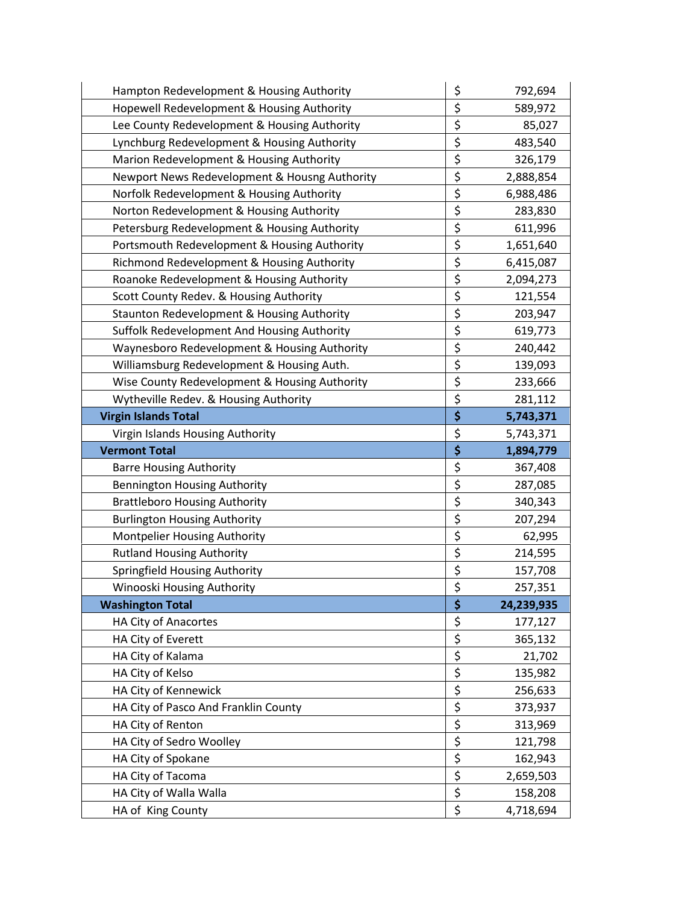| Hampton Redevelopment & Housing Authority     | \$       | 792,694    |
|-----------------------------------------------|----------|------------|
| Hopewell Redevelopment & Housing Authority    | \$       | 589,972    |
| Lee County Redevelopment & Housing Authority  | \$       | 85,027     |
| Lynchburg Redevelopment & Housing Authority   | \$       | 483,540    |
| Marion Redevelopment & Housing Authority      | \$       | 326,179    |
| Newport News Redevelopment & Housng Authority | \$       | 2,888,854  |
| Norfolk Redevelopment & Housing Authority     | \$       | 6,988,486  |
| Norton Redevelopment & Housing Authority      | \$       | 283,830    |
| Petersburg Redevelopment & Housing Authority  | \$       | 611,996    |
| Portsmouth Redevelopment & Housing Authority  | \$       | 1,651,640  |
| Richmond Redevelopment & Housing Authority    | \$       | 6,415,087  |
| Roanoke Redevelopment & Housing Authority     | \$       | 2,094,273  |
| Scott County Redev. & Housing Authority       | \$       | 121,554    |
| Staunton Redevelopment & Housing Authority    | \$       | 203,947    |
| Suffolk Redevelopment And Housing Authority   | \$       | 619,773    |
| Waynesboro Redevelopment & Housing Authority  | \$       | 240,442    |
| Williamsburg Redevelopment & Housing Auth.    | \$       | 139,093    |
| Wise County Redevelopment & Housing Authority | \$       | 233,666    |
| Wytheville Redev. & Housing Authority         | \$       | 281,112    |
| <b>Virgin Islands Total</b>                   | \$       | 5,743,371  |
| Virgin Islands Housing Authority              | \$       | 5,743,371  |
| <b>Vermont Total</b>                          | \$       | 1,894,779  |
| <b>Barre Housing Authority</b>                | \$       | 367,408    |
| <b>Bennington Housing Authority</b>           | \$       | 287,085    |
| <b>Brattleboro Housing Authority</b>          | \$       | 340,343    |
| <b>Burlington Housing Authority</b>           | \$       | 207,294    |
| Montpelier Housing Authority                  | \$       | 62,995     |
| <b>Rutland Housing Authority</b>              | \$       | 214,595    |
| Springfield Housing Authority                 | \$       | 157,708    |
| Winooski Housing Authority                    | \$       | 257,351    |
| <b>Washington Total</b>                       | \$       | 24,239,935 |
| HA City of Anacortes                          | \$       | 177,127    |
| HA City of Everett                            | \$       | 365,132    |
| HA City of Kalama                             | \$       | 21,702     |
| HA City of Kelso                              | \$       | 135,982    |
| HA City of Kennewick                          | \$       | 256,633    |
| HA City of Pasco And Franklin County          | \$       | 373,937    |
| HA City of Renton                             | \$       | 313,969    |
| HA City of Sedro Woolley                      | \$       | 121,798    |
| HA City of Spokane                            | \$       | 162,943    |
|                                               |          |            |
| HA City of Tacoma                             | \$       | 2,659,503  |
| HA City of Walla Walla<br>HA of King County   | \$<br>\$ | 158,208    |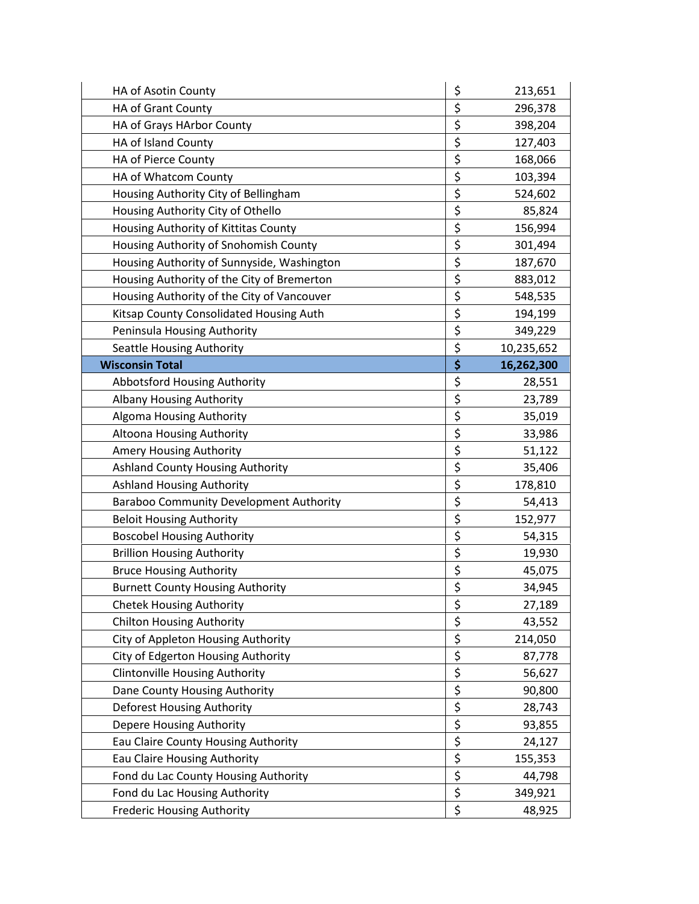| HA of Asotin County                        | \$<br>213,651    |
|--------------------------------------------|------------------|
| HA of Grant County                         | \$<br>296,378    |
| HA of Grays HArbor County                  | \$<br>398,204    |
| HA of Island County                        | \$<br>127,403    |
| HA of Pierce County                        | \$<br>168,066    |
| HA of Whatcom County                       | \$<br>103,394    |
| Housing Authority City of Bellingham       | \$<br>524,602    |
| Housing Authority City of Othello          | \$<br>85,824     |
| Housing Authority of Kittitas County       | \$<br>156,994    |
| Housing Authority of Snohomish County      | \$<br>301,494    |
| Housing Authority of Sunnyside, Washington | \$<br>187,670    |
| Housing Authority of the City of Bremerton | \$<br>883,012    |
| Housing Authority of the City of Vancouver | \$<br>548,535    |
| Kitsap County Consolidated Housing Auth    | \$<br>194,199    |
| Peninsula Housing Authority                | \$<br>349,229    |
| Seattle Housing Authority                  | \$<br>10,235,652 |
| <b>Wisconsin Total</b>                     | \$<br>16,262,300 |
| Abbotsford Housing Authority               | \$<br>28,551     |
| Albany Housing Authority                   | \$<br>23,789     |
| <b>Algoma Housing Authority</b>            | \$<br>35,019     |
| Altoona Housing Authority                  | \$<br>33,986     |
| Amery Housing Authority                    | \$<br>51,122     |
| Ashland County Housing Authority           | \$<br>35,406     |
| <b>Ashland Housing Authority</b>           | \$<br>178,810    |
| Baraboo Community Development Authority    | \$<br>54,413     |
| <b>Beloit Housing Authority</b>            | \$<br>152,977    |
| <b>Boscobel Housing Authority</b>          | \$<br>54,315     |
| <b>Brillion Housing Authority</b>          | \$<br>19,930     |
| <b>Bruce Housing Authority</b>             | \$<br>45,075     |
| <b>Burnett County Housing Authority</b>    | \$<br>34,945     |
| <b>Chetek Housing Authority</b>            | \$<br>27,189     |
| <b>Chilton Housing Authority</b>           | \$<br>43,552     |
| City of Appleton Housing Authority         | \$<br>214,050    |
| City of Edgerton Housing Authority         | \$<br>87,778     |
| <b>Clintonville Housing Authority</b>      | \$<br>56,627     |
| Dane County Housing Authority              | \$<br>90,800     |
| Deforest Housing Authority                 | \$<br>28,743     |
| Depere Housing Authority                   | \$<br>93,855     |
| Eau Claire County Housing Authority        | \$<br>24,127     |
| Eau Claire Housing Authority               | \$<br>155,353    |
| Fond du Lac County Housing Authority       | \$<br>44,798     |
| Fond du Lac Housing Authority              | \$<br>349,921    |
|                                            | \$               |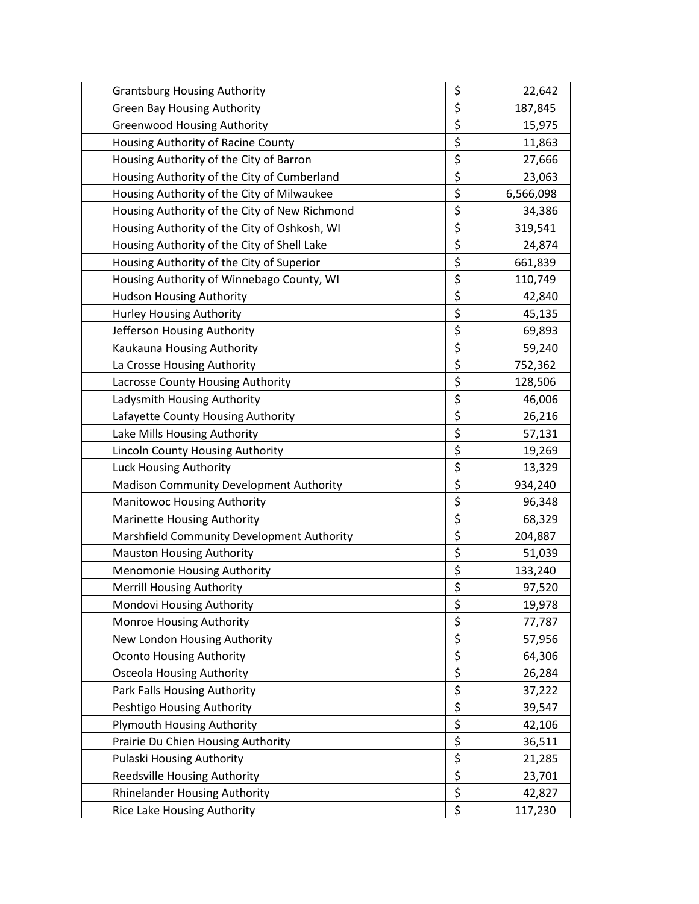| <b>Grantsburg Housing Authority</b>           | \$<br>22,642    |
|-----------------------------------------------|-----------------|
| <b>Green Bay Housing Authority</b>            | \$<br>187,845   |
| <b>Greenwood Housing Authority</b>            | \$<br>15,975    |
| Housing Authority of Racine County            | \$<br>11,863    |
| Housing Authority of the City of Barron       | \$<br>27,666    |
| Housing Authority of the City of Cumberland   | \$<br>23,063    |
| Housing Authority of the City of Milwaukee    | \$<br>6,566,098 |
| Housing Authority of the City of New Richmond | \$<br>34,386    |
| Housing Authority of the City of Oshkosh, WI  | \$<br>319,541   |
| Housing Authority of the City of Shell Lake   | \$<br>24,874    |
| Housing Authority of the City of Superior     | \$<br>661,839   |
| Housing Authority of Winnebago County, WI     | \$<br>110,749   |
| <b>Hudson Housing Authority</b>               | \$<br>42,840    |
| Hurley Housing Authority                      | \$<br>45,135    |
| Jefferson Housing Authority                   | \$<br>69,893    |
| Kaukauna Housing Authority                    | \$<br>59,240    |
| La Crosse Housing Authority                   | \$<br>752,362   |
| Lacrosse County Housing Authority             | \$<br>128,506   |
| Ladysmith Housing Authority                   | \$<br>46,006    |
| Lafayette County Housing Authority            | \$<br>26,216    |
| Lake Mills Housing Authority                  | \$<br>57,131    |
| Lincoln County Housing Authority              | \$<br>19,269    |
| Luck Housing Authority                        | \$<br>13,329    |
| Madison Community Development Authority       | \$<br>934,240   |
| <b>Manitowoc Housing Authority</b>            | \$<br>96,348    |
| Marinette Housing Authority                   | \$<br>68,329    |
| Marshfield Community Development Authority    | \$<br>204,887   |
| <b>Mauston Housing Authority</b>              | \$<br>51,039    |
| Menomonie Housing Authority                   | \$<br>133,240   |
| <b>Merrill Housing Authority</b>              | \$<br>97,520    |
| Mondovi Housing Authority                     | \$<br>19,978    |
| Monroe Housing Authority                      | \$<br>77,787    |
| New London Housing Authority                  | \$<br>57,956    |
| <b>Oconto Housing Authority</b>               | \$<br>64,306    |
| <b>Osceola Housing Authority</b>              | \$<br>26,284    |
| Park Falls Housing Authority                  | \$<br>37,222    |
| Peshtigo Housing Authority                    | \$<br>39,547    |
| Plymouth Housing Authority                    | \$<br>42,106    |
| Prairie Du Chien Housing Authority            | \$<br>36,511    |
| Pulaski Housing Authority                     | \$<br>21,285    |
| Reedsville Housing Authority                  | \$<br>23,701    |
| <b>Rhinelander Housing Authority</b>          | \$<br>42,827    |
| Rice Lake Housing Authority                   | \$<br>117,230   |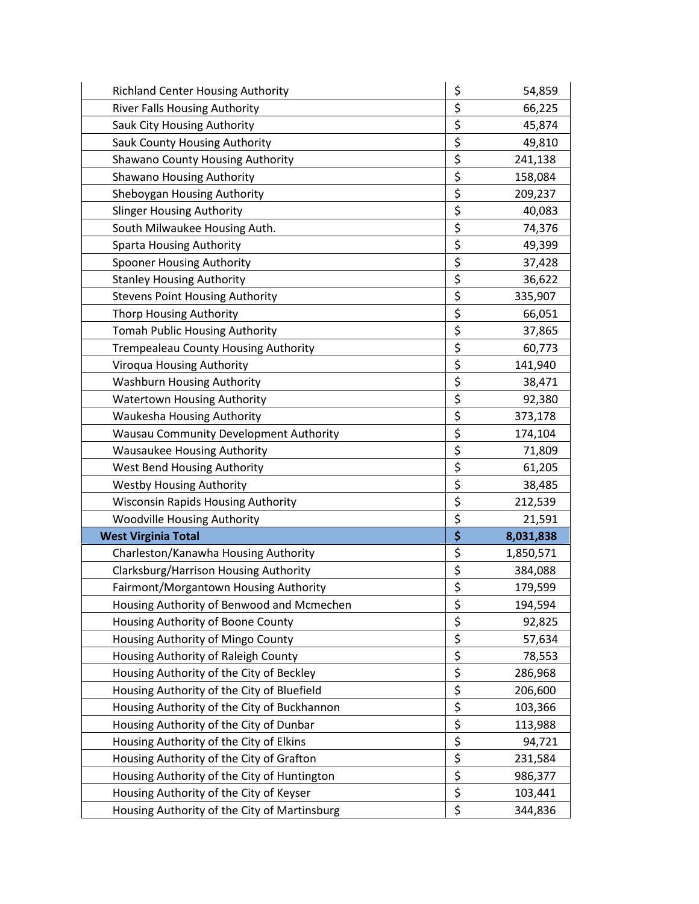| <b>Richland Center Housing Authority</b>     | \$<br>54,859    |
|----------------------------------------------|-----------------|
| <b>River Falls Housing Authority</b>         | \$<br>66,225    |
| Sauk City Housing Authority                  | \$<br>45,874    |
| Sauk County Housing Authority                | \$<br>49,810    |
| Shawano County Housing Authority             | \$<br>241,138   |
| Shawano Housing Authority                    | \$<br>158,084   |
| Sheboygan Housing Authority                  | \$<br>209,237   |
| <b>Slinger Housing Authority</b>             | \$<br>40,083    |
| South Milwaukee Housing Auth.                | \$<br>74,376    |
| <b>Sparta Housing Authority</b>              | \$<br>49,399    |
| Spooner Housing Authority                    | \$<br>37,428    |
| <b>Stanley Housing Authority</b>             | \$<br>36,622    |
| <b>Stevens Point Housing Authority</b>       | \$<br>335,907   |
| <b>Thorp Housing Authority</b>               | \$<br>66,051    |
| <b>Tomah Public Housing Authority</b>        | \$<br>37,865    |
| <b>Trempealeau County Housing Authority</b>  | \$<br>60,773    |
| Viroqua Housing Authority                    | \$<br>141,940   |
| <b>Washburn Housing Authority</b>            | \$<br>38,471    |
| <b>Watertown Housing Authority</b>           | \$<br>92,380    |
| Waukesha Housing Authority                   | \$<br>373,178   |
| Wausau Community Development Authority       | \$<br>174,104   |
| <b>Wausaukee Housing Authority</b>           | \$<br>71,809    |
| West Bend Housing Authority                  | \$<br>61,205    |
| <b>Westby Housing Authority</b>              | \$<br>38,485    |
| <b>Wisconsin Rapids Housing Authority</b>    | \$<br>212,539   |
| <b>Woodville Housing Authority</b>           | \$<br>21,591    |
| <b>West Virginia Total</b>                   | \$<br>8,031,838 |
| Charleston/Kanawha Housing Authority         | \$<br>1,850,571 |
| Clarksburg/Harrison Housing Authority        | \$<br>384,088   |
| Fairmont/Morgantown Housing Authority        | \$<br>179,599   |
| Housing Authority of Benwood and Mcmechen    | \$<br>194,594   |
| Housing Authority of Boone County            | \$<br>92,825    |
| Housing Authority of Mingo County            | \$<br>57,634    |
| Housing Authority of Raleigh County          | \$<br>78,553    |
| Housing Authority of the City of Beckley     | \$<br>286,968   |
| Housing Authority of the City of Bluefield   | \$<br>206,600   |
| Housing Authority of the City of Buckhannon  | \$<br>103,366   |
| Housing Authority of the City of Dunbar      | \$<br>113,988   |
| Housing Authority of the City of Elkins      | \$<br>94,721    |
| Housing Authority of the City of Grafton     | \$<br>231,584   |
| Housing Authority of the City of Huntington  | \$<br>986,377   |
| Housing Authority of the City of Keyser      | \$<br>103,441   |
| Housing Authority of the City of Martinsburg | \$<br>344,836   |